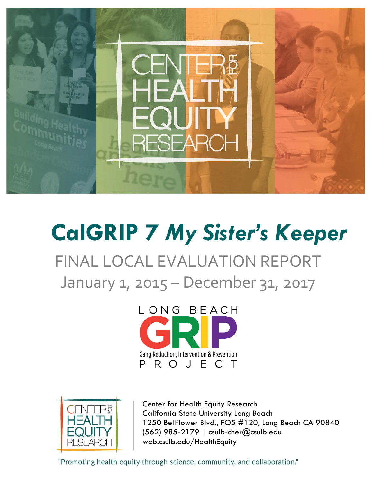

# **CalGRIP 7** *My Sister's Keeper*

FINAL LOCAL EVALUATION REPORT January 1, 2015 – December 31, 2017





Center for Health Equity Research California State University Long Beach 1250 Bellflower Blvd., FO5 #120, Long Beach CA 90840 (562) 985-2179 | csulb-cher@csulb.edu web.csulb.edu/HealthEquity

"Promoting health equity through science, community, and collaboration."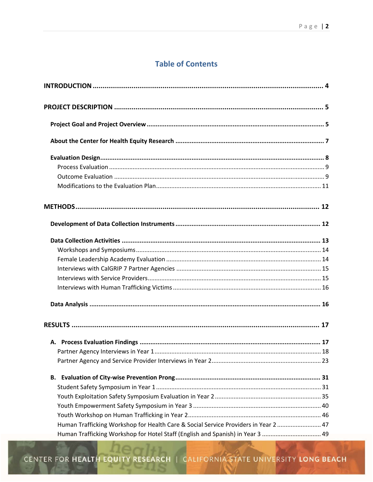# **Table of Contents**

| Human Trafficking Workshop for Health Care & Social Service Providers in Year 2  47 |
|-------------------------------------------------------------------------------------|
| Human Trafficking Workshop for Hotel Staff (English and Spanish) in Year 3  49      |

CENTER FOR HEALTH EQUITY RESEARCH | CALIFORNIA STATE UNIVERSITY LONG BEACH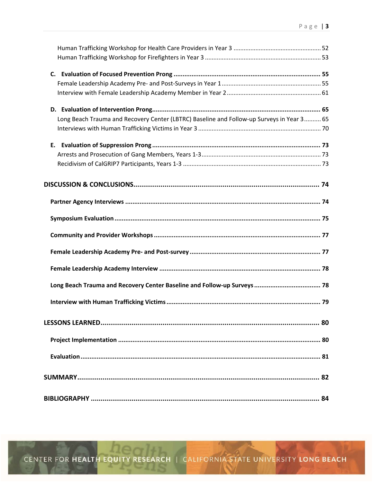| Long Beach Trauma and Recovery Center (LBTRC) Baseline and Follow-up Surveys in Year 3 65 |  |
|-------------------------------------------------------------------------------------------|--|
|                                                                                           |  |
|                                                                                           |  |
|                                                                                           |  |
|                                                                                           |  |
|                                                                                           |  |
|                                                                                           |  |
|                                                                                           |  |
|                                                                                           |  |
|                                                                                           |  |
|                                                                                           |  |
| Long Beach Trauma and Recovery Center Baseline and Follow-up Surveys  78                  |  |
|                                                                                           |  |
|                                                                                           |  |
|                                                                                           |  |
|                                                                                           |  |
|                                                                                           |  |
|                                                                                           |  |

CENTER FOR **HEALTH EQUITY RESEARCH** | CALIFORNIA STATE UNIVERSITY LONG BEACH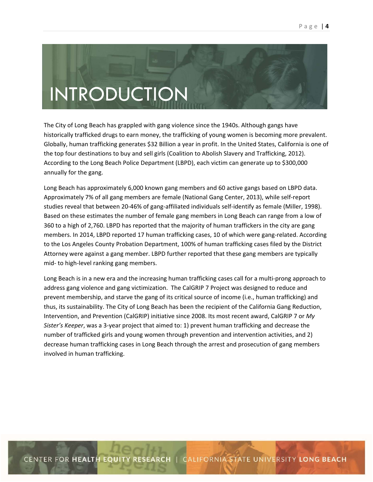# INTRODUCTION

The City of Long Beach has grappled with gang violence since the 1940s. Although gangs have historically trafficked drugs to earn money, the trafficking of young women is becoming more prevalent. Globally, human trafficking generates \$32 Billion a year in profit. In the United States, California is one of the top four destinations to buy and sell girls (Coalition to Abolish Slavery and Trafficking, 2012). According to the Long Beach Police Department (LBPD), each victim can generate up to \$300,000 annually for the gang.

Long Beach has approximately 6,000 known gang members and 60 active gangs based on LBPD data. Approximately 7% of all gang members are female (National Gang Center, 2013), while self‐report studies reveal that between 20-46% of gang-affiliated individuals self-identify as female (Miller, 1998). Based on these estimates the number of female gang members in Long Beach can range from a low of 360 to a high of 2,760. LBPD has reported that the majority of human traffickers in the city are gang members. In 2014, LBPD reported 17 human trafficking cases, 10 of which were gang-related. According to the Los Angeles County Probation Department, 100% of human trafficking cases filed by the District Attorney were against a gang member. LBPD further reported that these gang members are typically mid‐ to high‐level ranking gang members.

Long Beach is in a new era and the increasing human trafficking cases call for a multi-prong approach to address gang violence and gang victimization. The CalGRIP 7 Project was designed to reduce and prevent membership, and starve the gang of its critical source of income (i.e., human trafficking) and thus, its sustainability. The City of Long Beach has been the recipient of the California Gang Reduction, Intervention, and Prevention (CalGRIP) initiative since 2008. Its most recent award, CalGRIP 7 or *My Sister's Keeper*, was a 3‐year project that aimed to: 1) prevent human trafficking and decrease the number of trafficked girls and young women through prevention and intervention activities, and 2) decrease human trafficking cases in Long Beach through the arrest and prosecution of gang members involved in human trafficking.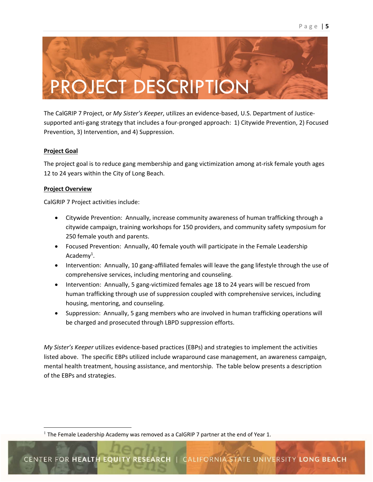

The CalGRIP 7 Project, or *My Sister's Keeper*, utilizes an evidence‐based, U.S. Department of Justice‐ supported anti‐gang strategy that includes a four‐pronged approach: 1) Citywide Prevention, 2) Focused Prevention, 3) Intervention, and 4) Suppression.

#### **Project Goal**

The project goal is to reduce gang membership and gang victimization among at‐risk female youth ages 12 to 24 years within the City of Long Beach.

#### **Project Overview**

CalGRIP 7 Project activities include:

- Citywide Prevention: Annually, increase community awareness of human trafficking through a citywide campaign, training workshops for 150 providers, and community safety symposium for 250 female youth and parents.
- Focused Prevention: Annually, 40 female youth will participate in the Female Leadership Academy<sup>1</sup>.
- Intervention: Annually, 10 gang-affiliated females will leave the gang lifestyle through the use of comprehensive services, including mentoring and counseling.
- Intervention: Annually, 5 gang-victimized females age 18 to 24 years will be rescued from human trafficking through use of suppression coupled with comprehensive services, including housing, mentoring, and counseling.
- Suppression: Annually, 5 gang members who are involved in human trafficking operations will be charged and prosecuted through LBPD suppression efforts.

*My Sister's Keeper* utilizes evidence‐based practices (EBPs) and strategies to implement the activities listed above. The specific EBPs utilized include wraparound case management, an awareness campaign, mental health treatment, housing assistance, and mentorship. The table below presents a description of the EBPs and strategies.

<sup>&</sup>lt;sup>1</sup> The Female Leadership Academy was removed as a CalGRIP 7 partner at the end of Year 1.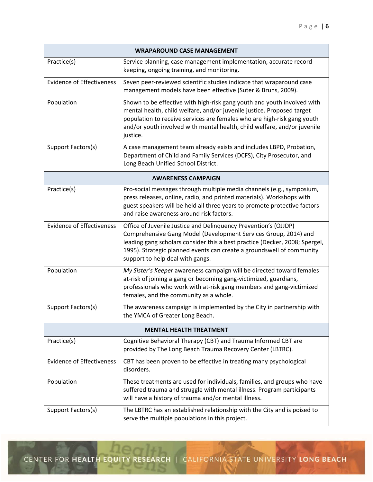| <b>WRAPAROUND CASE MANAGEMENT</b> |                                                                                                                                                                                                                                                                                                                                |  |  |
|-----------------------------------|--------------------------------------------------------------------------------------------------------------------------------------------------------------------------------------------------------------------------------------------------------------------------------------------------------------------------------|--|--|
| Practice(s)                       | Service planning, case management implementation, accurate record<br>keeping, ongoing training, and monitoring.                                                                                                                                                                                                                |  |  |
| <b>Evidence of Effectiveness</b>  | Seven peer-reviewed scientific studies indicate that wraparound case<br>management models have been effective (Suter & Bruns, 2009).                                                                                                                                                                                           |  |  |
| Population                        | Shown to be effective with high-risk gang youth and youth involved with<br>mental health, child welfare, and/or juvenile justice. Proposed target<br>population to receive services are females who are high-risk gang youth<br>and/or youth involved with mental health, child welfare, and/or juvenile<br>justice.           |  |  |
| Support Factors(s)                | A case management team already exists and includes LBPD, Probation,<br>Department of Child and Family Services (DCFS), City Prosecutor, and<br>Long Beach Unified School District.                                                                                                                                             |  |  |
|                                   | <b>AWARENESS CAMPAIGN</b>                                                                                                                                                                                                                                                                                                      |  |  |
| Practice(s)                       | Pro-social messages through multiple media channels (e.g., symposium,<br>press releases, online, radio, and printed materials). Workshops with<br>guest speakers will be held all three years to promote protective factors<br>and raise awareness around risk factors.                                                        |  |  |
| <b>Evidence of Effectiveness</b>  | Office of Juvenile Justice and Delinquency Prevention's (OJJDP)<br>Comprehensive Gang Model (Development Services Group, 2014) and<br>leading gang scholars consider this a best practice (Decker, 2008; Spergel,<br>1995). Strategic planned events can create a groundswell of community<br>support to help deal with gangs. |  |  |
| Population                        | My Sister's Keeper awareness campaign will be directed toward females<br>at-risk of joining a gang or becoming gang-victimized, guardians,<br>professionals who work with at-risk gang members and gang-victimized<br>females, and the community as a whole.                                                                   |  |  |
| Support Factors(s)                | The awareness campaign is implemented by the City in partnership with<br>the YMCA of Greater Long Beach.                                                                                                                                                                                                                       |  |  |
| <b>MENTAL HEALTH TREATMENT</b>    |                                                                                                                                                                                                                                                                                                                                |  |  |
| Practice(s)                       | Cognitive Behavioral Therapy (CBT) and Trauma Informed CBT are<br>provided by The Long Beach Trauma Recovery Center (LBTRC).                                                                                                                                                                                                   |  |  |
| <b>Evidence of Effectiveness</b>  | CBT has been proven to be effective in treating many psychological<br>disorders.                                                                                                                                                                                                                                               |  |  |
| Population                        | These treatments are used for individuals, families, and groups who have<br>suffered trauma and struggle with mental illness. Program participants<br>will have a history of trauma and/or mental illness.                                                                                                                     |  |  |
| Support Factors(s)                | The LBTRC has an established relationship with the City and is poised to<br>serve the multiple populations in this project.                                                                                                                                                                                                    |  |  |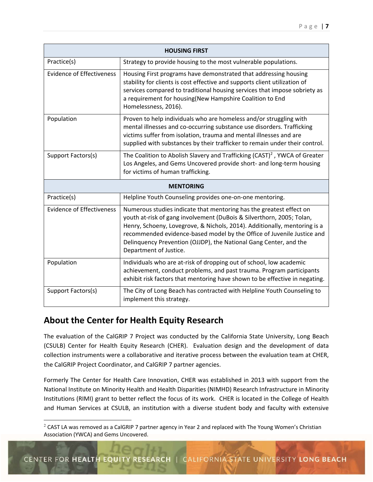| <b>HOUSING FIRST</b>             |                                                                                                                                                                                                                                                                                                                                                                                                    |  |  |
|----------------------------------|----------------------------------------------------------------------------------------------------------------------------------------------------------------------------------------------------------------------------------------------------------------------------------------------------------------------------------------------------------------------------------------------------|--|--|
| Practice(s)                      | Strategy to provide housing to the most vulnerable populations.                                                                                                                                                                                                                                                                                                                                    |  |  |
| <b>Evidence of Effectiveness</b> | Housing First programs have demonstrated that addressing housing<br>stability for clients is cost effective and supports client utilization of<br>services compared to traditional housing services that impose sobriety as<br>a requirement for housing(New Hampshire Coalition to End<br>Homelessness, 2016).                                                                                    |  |  |
| Population                       | Proven to help individuals who are homeless and/or struggling with<br>mental illnesses and co-occurring substance use disorders. Trafficking<br>victims suffer from isolation, trauma and mental illnesses and are<br>supplied with substances by their trafficker to remain under their control.                                                                                                  |  |  |
| Support Factors(s)               | The Coalition to Abolish Slavery and Trafficking (CAST) <sup>2</sup> , YWCA of Greater<br>Los Angeles, and Gems Uncovered provide short- and long-term housing<br>for victims of human trafficking.                                                                                                                                                                                                |  |  |
| <b>MENTORING</b>                 |                                                                                                                                                                                                                                                                                                                                                                                                    |  |  |
| Practice(s)                      | Helpline Youth Counseling provides one-on-one mentoring.                                                                                                                                                                                                                                                                                                                                           |  |  |
| <b>Evidence of Effectiveness</b> | Numerous studies indicate that mentoring has the greatest effect on<br>youth at-risk of gang involvement (DuBois & Silverthorn, 2005; Tolan,<br>Henry, Schoeny, Lovegrove, & Nichols, 2014). Additionally, mentoring is a<br>recommended evidence-based model by the Office of Juvenile Justice and<br>Delinquency Prevention (OJJDP), the National Gang Center, and the<br>Department of Justice. |  |  |
| Population                       | Individuals who are at-risk of dropping out of school, low academic<br>achievement, conduct problems, and past trauma. Program participants<br>exhibit risk factors that mentoring have shown to be effective in negating.                                                                                                                                                                         |  |  |
| Support Factors(s)               | The City of Long Beach has contracted with Helpline Youth Counseling to<br>implement this strategy.                                                                                                                                                                                                                                                                                                |  |  |

# **About the Center for Health Equity Research**

The evaluation of the CalGRIP 7 Project was conducted by the California State University, Long Beach (CSULB) Center for Health Equity Research (CHER). Evaluation design and the development of data collection instruments were a collaborative and iterative process between the evaluation team at CHER, the CalGRIP Project Coordinator, and CalGRIP 7 partner agencies.

Formerly The Center for Health Care Innovation, CHER was established in 2013 with support from the National Institute on Minority Health and Health Disparities (NIMHD) Research Infrastructure in Minority Institutions (RIMI) grant to better reflect the focus of its work. CHER is located in the College of Health and Human Services at CSULB, an institution with a diverse student body and faculty with extensive

 $2$  CAST LA was removed as a CalGRIP 7 partner agency in Year 2 and replaced with The Young Women's Christian Association (YWCA) and Gems Uncovered.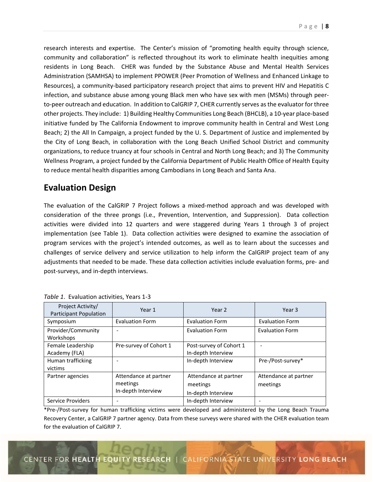research interests and expertise. The Center's mission of "promoting health equity through science, community and collaboration" is reflected throughout its work to eliminate health inequities among residents in Long Beach. CHER was funded by the Substance Abuse and Mental Health Services Administration (SAMHSA) to implement PPOWER (Peer Promotion of Wellness and Enhanced Linkage to Resources), a community-based participatory research project that aims to prevent HIV and Hepatitis C infection, and substance abuse among young Black men who have sex with men (MSMs) through peer‐ to-peer outreach and education. In addition to CalGRIP 7, CHER currently serves as the evaluator for three other projects. They include: 1) Building Healthy Communities Long Beach (BHCLB), a 10‐year place‐based initiative funded by The California Endowment to improve community health in Central and West Long Beach; 2) the All In Campaign, a project funded by the U. S. Department of Justice and implemented by the City of Long Beach, in collaboration with the Long Beach Unified School District and community organizations, to reduce truancy at four schools in Central and North Long Beach; and 3) The Community Wellness Program, a project funded by the California Department of Public Health Office of Health Equity to reduce mental health disparities among Cambodians in Long Beach and Santa Ana.

# **Evaluation Design**

The evaluation of the CalGRIP 7 Project follows a mixed-method approach and was developed with consideration of the three prongs (i.e., Prevention, Intervention, and Suppression). Data collection activities were divided into 12 quarters and were staggered during Years 1 through 3 of project implementation (see Table 1). Data collection activities were designed to examine the association of program services with the project's intended outcomes, as well as to learn about the successes and challenges of service delivery and service utilization to help inform the CalGRIP project team of any adjustments that needed to be made. These data collection activities include evaluation forms, pre‐ and post‐surveys, and in‐depth interviews.

| Project Activity/<br><b>Participant Population</b> | Year 1                                                  | Year <sub>2</sub>                                       | Year 3                            |
|----------------------------------------------------|---------------------------------------------------------|---------------------------------------------------------|-----------------------------------|
| Symposium                                          | <b>Evaluation Form</b>                                  | <b>Evaluation Form</b>                                  | <b>Evaluation Form</b>            |
| Provider/Community<br>Workshops                    |                                                         | <b>Evaluation Form</b>                                  | <b>Evaluation Form</b>            |
| Female Leadership<br>Academy (FLA)                 | Pre-survey of Cohort 1                                  | Post-survey of Cohort 1<br>In-depth Interview           |                                   |
| Human trafficking<br>victims                       |                                                         | In-depth Interview                                      | Pre-/Post-survey*                 |
| Partner agencies                                   | Attendance at partner<br>meetings<br>In-depth Interview | Attendance at partner<br>meetings<br>In-depth Interview | Attendance at partner<br>meetings |
| Service Providers                                  |                                                         | In-depth Interview                                      |                                   |

*Table 1*. Evaluation activities, Years 1‐3

\*Pre‐/Post‐survey for human trafficking victims were developed and administered by the Long Beach Trauma Recovery Center, a CalGRIP 7 partner agency. Data from these surveys were shared with the CHER evaluation team for the evaluation of CalGRIP 7.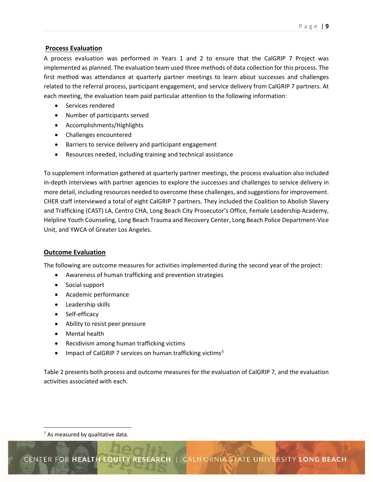## **Process Evaluation**

A process evaluation was performed in Years 1 and 2 to ensure that the CalGRIP 7 Project was implemented as planned. The evaluation team used three methods of data collection for this process. The first method was attendance at quarterly partner meetings to learn about successes and challenges related to the referral process, participant engagement, and service delivery from CalGRIP 7 partners. At each meeting, the evaluation team paid particular attention to the following information:

- Services rendered
- Number of participants served
- Accomplishments/Highlights
- Challenges encountered
- Barriers to service delivery and participant engagement
- Resources needed, including training and technical assistance

To supplement information gathered at quarterly partner meetings, the process evaluation also included in-depth interviews with partner agencies to explore the successes and challenges to service delivery in more detail, including resources needed to overcome these challenges, and suggestions for improvement. CHER staff interviewed a total of eight CalGRIP 7 partners. They included the Coalition to Abolish Slavery and Trafficking (CAST) LA, Centro CHA, Long Beach City Prosecutor's Office, Female Leadership Academy, Helpline Youth Counseling, Long Beach Trauma and Recovery Center, Long Beach Police Department‐Vice Unit, and YWCA of Greater Los Angeles.

## **Outcome Evaluation**

The following are outcome measures for activities implemented during the second year of the project:

- Awareness of human trafficking and prevention strategies
- Social support
- Academic performance
- Leadership skills
- Self-efficacy
- Ability to resist peer pressure
- Mental health
- Recidivism among human trafficking victims
- **IMPACT OF CALGRIP 7 services on human trafficking victims**<sup>3</sup>

Table 2 presents both process and outcome measures for the evaluation of CalGRIP 7, and the evaluation activities associated with each.

  $3$  As measured by qualitative data.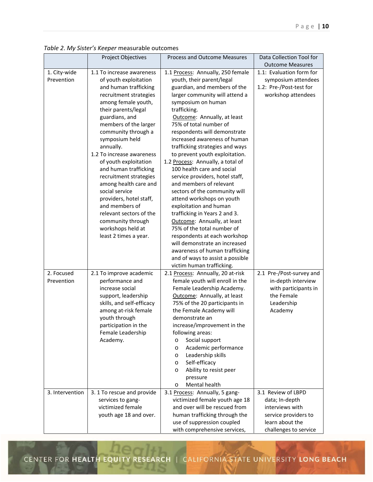|                 | , apre E. , piocer o neeper incasara |                                                              |                                                     |
|-----------------|--------------------------------------|--------------------------------------------------------------|-----------------------------------------------------|
|                 | Project Objectives                   | Process and Outcome Measures                                 | Data Collection Tool for<br><b>Outcome Measures</b> |
| 1. City-wide    | 1.1 To increase awareness            | 1.1 Process: Annually, 250 female                            | 1.1: Evaluation form for                            |
| Prevention      | of youth exploitation                | youth, their parent/legal                                    | symposium attendees                                 |
|                 | and human trafficking                | guardian, and members of the                                 | 1.2: Pre-/Post-test for                             |
|                 | recruitment strategies               | larger community will attend a                               | workshop attendees                                  |
|                 | among female youth,                  | symposium on human                                           |                                                     |
|                 | their parents/legal                  | trafficking.                                                 |                                                     |
|                 | guardians, and                       | Outcome: Annually, at least                                  |                                                     |
|                 | members of the larger                | 75% of total number of                                       |                                                     |
|                 |                                      |                                                              |                                                     |
|                 | community through a                  | respondents will demonstrate<br>increased awareness of human |                                                     |
|                 | symposium held                       |                                                              |                                                     |
|                 | annually.                            | trafficking strategies and ways                              |                                                     |
|                 | 1.2 To increase awareness            | to prevent youth exploitation.                               |                                                     |
|                 | of youth exploitation                | 1.2 Process: Annually, a total of                            |                                                     |
|                 | and human trafficking                | 100 health care and social                                   |                                                     |
|                 | recruitment strategies               | service providers, hotel staff,                              |                                                     |
|                 | among health care and                | and members of relevant                                      |                                                     |
|                 | social service                       | sectors of the community will                                |                                                     |
|                 | providers, hotel staff,              | attend workshops on youth                                    |                                                     |
|                 | and members of                       | exploitation and human                                       |                                                     |
|                 | relevant sectors of the              | trafficking in Years 2 and 3.                                |                                                     |
|                 | community through                    | Outcome: Annually, at least                                  |                                                     |
|                 | workshops held at                    | 75% of the total number of                                   |                                                     |
|                 | least 2 times a year.                | respondents at each workshop                                 |                                                     |
|                 |                                      | will demonstrate an increased                                |                                                     |
|                 |                                      | awareness of human trafficking                               |                                                     |
|                 |                                      | and of ways to assist a possible                             |                                                     |
|                 |                                      | victim human trafficking.                                    |                                                     |
| 2. Focused      | 2.1 To improve academic              | 2.1 Process: Annually, 20 at-risk                            | 2.1 Pre-/Post-survey and                            |
| Prevention      | performance and                      | female youth will enroll in the                              | in-depth interview                                  |
|                 | increase social                      | Female Leadership Academy.                                   | with participants in                                |
|                 | support, leadership                  | Outcome: Annually, at least                                  | the Female                                          |
|                 | skills, and self-efficacy            | 75% of the 20 participants in                                | Leadership                                          |
|                 | among at-risk female                 | the Female Academy will                                      | Academy                                             |
|                 | youth through                        | demonstrate an                                               |                                                     |
|                 | participation in the                 | increase/improvement in the                                  |                                                     |
|                 | Female Leadership                    | following areas:                                             |                                                     |
|                 | Academy.                             | Social support<br>$\circ$                                    |                                                     |
|                 |                                      | Academic performance<br>$\circ$                              |                                                     |
|                 |                                      | Leadership skills<br>$\circ$                                 |                                                     |
|                 |                                      | Self-efficacy<br>$\circ$                                     |                                                     |
|                 |                                      | Ability to resist peer<br>O                                  |                                                     |
|                 |                                      | pressure                                                     |                                                     |
|                 |                                      | Mental health<br>$\circ$                                     |                                                     |
| 3. Intervention | 3. 1 To rescue and provide           | 3.1 Process: Annually, 5 gang-                               | 3.1 Review of LBPD                                  |
|                 | services to gang-                    | victimized female youth age 18                               | data; In-depth                                      |
|                 | victimized female                    | and over will be rescued from                                | interviews with                                     |
|                 | youth age 18 and over.               | human trafficking through the                                | service providers to                                |
|                 |                                      | use of suppression coupled                                   | learn about the                                     |
|                 |                                      | with comprehensive services,                                 | challenges to service                               |

*Table 2*. *My Sister's Keeper* measurable outcomes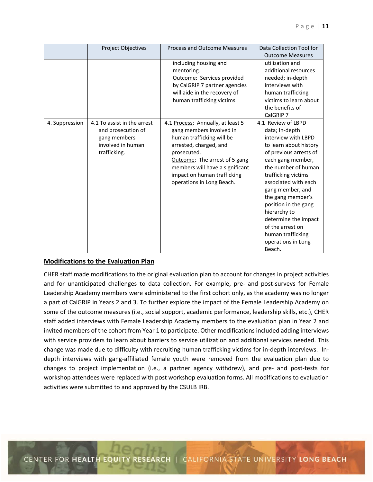|                | <b>Project Objectives</b>                                                                              | <b>Process and Outcome Measures</b>                                                                                                                                                                                                                                 | Data Collection Tool for<br><b>Outcome Measures</b>                                                                                                                                                                                                                                                                                                                                          |
|----------------|--------------------------------------------------------------------------------------------------------|---------------------------------------------------------------------------------------------------------------------------------------------------------------------------------------------------------------------------------------------------------------------|----------------------------------------------------------------------------------------------------------------------------------------------------------------------------------------------------------------------------------------------------------------------------------------------------------------------------------------------------------------------------------------------|
|                |                                                                                                        | including housing and<br>mentoring.<br>Outcome: Services provided<br>by CalGRIP 7 partner agencies<br>will aide in the recovery of<br>human trafficking victims.                                                                                                    | utilization and<br>additional resources<br>needed; in-depth<br>interviews with<br>human trafficking<br>victims to learn about<br>the benefits of<br>CalGRIP 7                                                                                                                                                                                                                                |
| 4. Suppression | 4.1 To assist in the arrest<br>and prosecution of<br>gang members<br>involved in human<br>trafficking. | 4.1 Process: Annually, at least 5<br>gang members involved in<br>human trafficking will be<br>arrested, charged, and<br>prosecuted.<br>Outcome: The arrest of 5 gang<br>members will have a significant<br>impact on human trafficking<br>operations in Long Beach. | 4.1 Review of LBPD<br>data; In-depth<br>interview with LBPD<br>to learn about history<br>of previous arrests of<br>each gang member,<br>the number of human<br>trafficking victims<br>associated with each<br>gang member, and<br>the gang member's<br>position in the gang<br>hierarchy to<br>determine the impact<br>of the arrest on<br>human trafficking<br>operations in Long<br>Beach. |

## **Modifications to the Evaluation Plan**

CHER staff made modifications to the original evaluation plan to account for changes in project activities and for unanticipated challenges to data collection. For example, pre- and post-surveys for Female Leadership Academy members were administered to the first cohort only, as the academy was no longer a part of CalGRIP in Years 2 and 3. To further explore the impact of the Female Leadership Academy on some of the outcome measures (i.e., social support, academic performance, leadership skills, etc.), CHER staff added interviews with Female Leadership Academy members to the evaluation plan in Year 2 and invited members of the cohort from Year 1 to participate. Other modifications included adding interviews with service providers to learn about barriers to service utilization and additional services needed. This change was made due to difficulty with recruiting human trafficking victims for in‐depth interviews. In‐ depth interviews with gang-affiliated female youth were removed from the evaluation plan due to changes to project implementation (i.e., a partner agency withdrew), and pre- and post-tests for workshop attendees were replaced with post workshop evaluation forms. All modifications to evaluation activities were submitted to and approved by the CSULB IRB.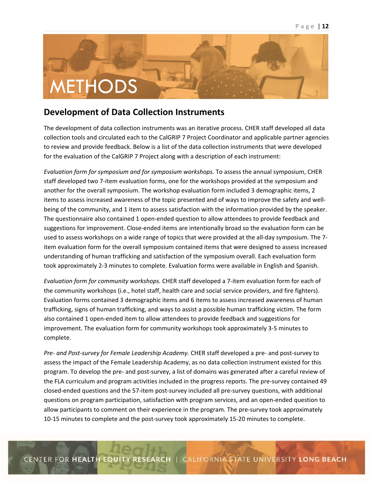

# **Development of Data Collection Instruments**

The development of data collection instruments was an iterative process. CHER staff developed all data collection tools and circulated each to the CalGRIP 7 Project Coordinator and applicable partner agencies to review and provide feedback. Below is a list of the data collection instruments that were developed for the evaluation of the CalGRIP 7 Project along with a description of each instrument:

*Evaluation form for symposium and for symposium workshops.* To assess the annual symposium, CHER staff developed two 7‐item evaluation forms, one for the workshops provided at the symposium and another for the overall symposium. The workshop evaluation form included 3 demographic items, 2 items to assess increased awareness of the topic presented and of ways to improve the safety and wellbeing of the community, and 1 item to assess satisfaction with the information provided by the speaker. The questionnaire also contained 1 open‐ended question to allow attendees to provide feedback and suggestions for improvement. Close‐ended items are intentionally broad so the evaluation form can be used to assess workshops on a wide range of topics that were provided at the all-day symposium. The 7item evaluation form for the overall symposium contained items that were designed to assess increased understanding of human trafficking and satisfaction of the symposium overall. Each evaluation form took approximately 2‐3 minutes to complete. Evaluation forms were available in English and Spanish.

*Evaluation form for community workshops.* CHER staff developed a 7‐item evaluation form for each of the community workshops (i.e., hotel staff, health care and social service providers, and fire fighters). Evaluation forms contained 3 demographic items and 6 items to assess increased awareness of human trafficking, signs of human trafficking, and ways to assist a possible human trafficking victim. The form also contained 1 open‐ended item to allow attendees to provide feedback and suggestions for improvement. The evaluation form for community workshops took approximately 3‐5 minutes to complete.

*Pre‐ and Post‐survey for Female Leadership Academy.* CHER staff developed a pre‐ and post‐survey to assess the impact of the Female Leadership Academy, as no data collection instrument existed for this program. To develop the pre‐ and post‐survey, a list of domains was generated after a careful review of the FLA curriculum and program activities included in the progress reports. The pre-survey contained 49 closed‐ended questions and the 57‐item post‐survey included all pre‐survey questions, with additional questions on program participation, satisfaction with program services, and an open‐ended question to allow participants to comment on their experience in the program. The pre‐survey took approximately 10‐15 minutes to complete and the post‐survey took approximately 15‐20 minutes to complete.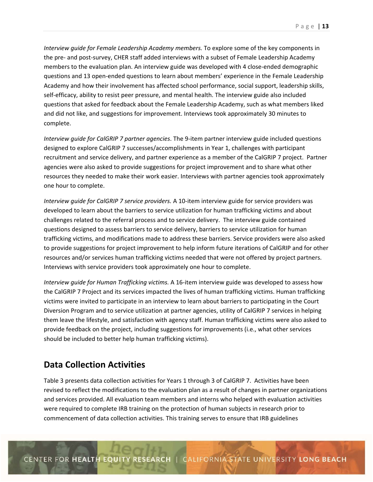*Interview guide for Female Leadership Academy members.* To explore some of the key components in the pre‐ and post‐survey, CHER staff added interviews with a subset of Female Leadership Academy members to the evaluation plan. An interview guide was developed with 4 close-ended demographic questions and 13 open-ended questions to learn about members' experience in the Female Leadership Academy and how their involvement has affected school performance, social support, leadership skills, self-efficacy, ability to resist peer pressure, and mental health. The interview guide also included questions that asked for feedback about the Female Leadership Academy, such as what members liked and did not like, and suggestions for improvement. Interviews took approximately 30 minutes to complete.

*Interview guide for CalGRIP 7 partner agencies*. The 9‐item partner interview guide included questions designed to explore CalGRIP 7 successes/accomplishments in Year 1, challenges with participant recruitment and service delivery, and partner experience as a member of the CalGRIP 7 project. Partner agencies were also asked to provide suggestions for project improvement and to share what other resources they needed to make their work easier. Interviews with partner agencies took approximately one hour to complete.

*Interview guide for CalGRIP 7 service providers.* A 10‐item interview guide for service providers was developed to learn about the barriers to service utilization for human trafficking victims and about challenges related to the referral process and to service delivery. The interview guide contained questions designed to assess barriers to service delivery, barriers to service utilization for human trafficking victims, and modifications made to address these barriers. Service providers were also asked to provide suggestions for project improvement to help inform future iterations of CalGRIP and for other resources and/or services human trafficking victims needed that were not offered by project partners. Interviews with service providers took approximately one hour to complete.

*Interview guide for Human Trafficking victims.* A 16‐item interview guide was developed to assess how the CalGRIP 7 Project and its services impacted the lives of human trafficking victims. Human trafficking victims were invited to participate in an interview to learn about barriers to participating in the Court Diversion Program and to service utilization at partner agencies, utility of CalGRIP 7 services in helping them leave the lifestyle, and satisfaction with agency staff. Human trafficking victims were also asked to provide feedback on the project, including suggestions for improvements (i.e., what other services should be included to better help human trafficking victims).

# **Data Collection Activities**

Table 3 presents data collection activities for Years 1 through 3 of CalGRIP 7. Activities have been revised to reflect the modifications to the evaluation plan as a result of changes in partner organizations and services provided. All evaluation team members and interns who helped with evaluation activities were required to complete IRB training on the protection of human subjects in research prior to commencement of data collection activities. This training serves to ensure that IRB guidelines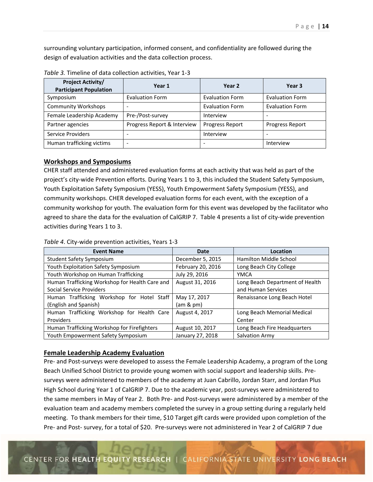surrounding voluntary participation, informed consent, and confidentiality are followed during the design of evaluation activities and the data collection process.

| <b>Project Activity/</b><br><b>Participant Population</b> | Year 1                      | Year 2                 | Year 3                 |
|-----------------------------------------------------------|-----------------------------|------------------------|------------------------|
| Symposium                                                 | <b>Evaluation Form</b>      | <b>Evaluation Form</b> | <b>Evaluation Form</b> |
| <b>Community Workshops</b>                                | $\overline{\phantom{a}}$    | <b>Evaluation Form</b> | <b>Evaluation Form</b> |
| Female Leadership Academy                                 | Pre-/Post-survey            | Interview              |                        |
| Partner agencies                                          | Progress Report & Interview | Progress Report        | <b>Progress Report</b> |
| <b>Service Providers</b>                                  | ٠                           | Interview              |                        |
| Human trafficking victims                                 | ۰                           |                        | Interview              |

*Table 3.* Timeline of data collection activities, Year 1‐3

#### **Workshops and Symposiums**

CHER staff attended and administered evaluation forms at each activity that was held as part of the project's city‐wide Prevention efforts. During Years 1 to 3, this included the Student Safety Symposium, Youth Exploitation Safety Symposium (YESS), Youth Empowerment Safety Symposium (YESS), and community workshops. CHER developed evaluation forms for each event, with the exception of a community workshop for youth. The evaluation form for this event was developed by the facilitator who agreed to share the data for the evaluation of CalGRIP 7. Table 4 presents a list of city-wide prevention activities during Years 1 to 3.

| <b>Event Name</b>                              | Date              | Location                        |
|------------------------------------------------|-------------------|---------------------------------|
| <b>Student Safety Symposium</b>                | December 5, 2015  | Hamilton Middle School          |
| Youth Exploitation Safety Symposium            | February 20, 2016 | Long Beach City College         |
| Youth Workshop on Human Trafficking            | July 29, 2016     | YMCA                            |
| Human Trafficking Workshop for Health Care and | August 31, 2016   | Long Beach Department of Health |
| Social Service Providers                       |                   | and Human Services              |
| Human Trafficking Workshop for Hotel Staff     | May 17, 2017      | Renaissance Long Beach Hotel    |
| (English and Spanish)                          | (am & pm)         |                                 |
| Human Trafficking Workshop for Health Care     | August 4, 2017    | Long Beach Memorial Medical     |
| <b>Providers</b>                               |                   | Center                          |
| Human Trafficking Workshop for Firefighters    | August 10, 2017   | Long Beach Fire Headquarters    |
| Youth Empowerment Safety Symposium             | January 27, 2018  | Salvation Army                  |

*Table 4*. City‐wide prevention activities, Years 1‐3

#### **Female Leadership Academy Evaluation**

Pre‐ and Post‐surveys were developed to assess the Female Leadership Academy, a program of the Long Beach Unified School District to provide young women with social support and leadership skills. Pre‐ surveys were administered to members of the academy at Juan Cabrillo, Jordan Starr, and Jordan Plus High School during Year 1 of CalGRIP 7. Due to the academic year, post-surveys were administered to the same members in May of Year 2. Both Pre- and Post-surveys were administered by a member of the evaluation team and academy members completed the survey in a group setting during a regularly held meeting. To thank members for their time, \$10 Target gift cards were provided upon completion of the Pre‐ and Post‐ survey, for a total of \$20. Pre‐surveys were not administered in Year 2 of CalGRIP 7 due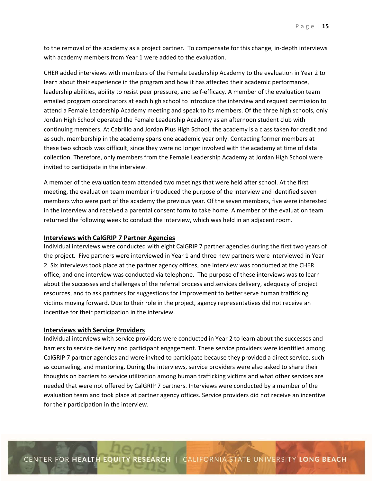to the removal of the academy as a project partner. To compensate for this change, in‐depth interviews with academy members from Year 1 were added to the evaluation.

CHER added interviews with members of the Female Leadership Academy to the evaluation in Year 2 to learn about their experience in the program and how it has affected their academic performance, leadership abilities, ability to resist peer pressure, and self‐efficacy. A member of the evaluation team emailed program coordinators at each high school to introduce the interview and request permission to attend a Female Leadership Academy meeting and speak to its members. Of the three high schools, only Jordan High School operated the Female Leadership Academy as an afternoon student club with continuing members. At Cabrillo and Jordan Plus High School, the academy is a class taken for credit and as such, membership in the academy spans one academic year only. Contacting former members at these two schools was difficult, since they were no longer involved with the academy at time of data collection. Therefore, only members from the Female Leadership Academy at Jordan High School were invited to participate in the interview.

A member of the evaluation team attended two meetings that were held after school. At the first meeting, the evaluation team member introduced the purpose of the interview and identified seven members who were part of the academy the previous year. Of the seven members, five were interested in the interview and received a parental consent form to take home. A member of the evaluation team returned the following week to conduct the interview, which was held in an adjacent room.

#### **Interviews with CalGRIP 7 Partner Agencies**

Individual interviews were conducted with eight CalGRIP 7 partner agencies during the first two years of the project. Five partners were interviewed in Year 1 and three new partners were interviewed in Year 2. Six interviews took place at the partner agency offices, one interview was conducted at the CHER office, and one interview was conducted via telephone. The purpose of these interviews was to learn about the successes and challenges of the referral process and services delivery, adequacy of project resources, and to ask partners for suggestions for improvement to better serve human trafficking victims moving forward. Due to their role in the project, agency representatives did not receive an incentive for their participation in the interview.

#### **Interviews with Service Providers**

Individual interviews with service providers were conducted in Year 2 to learn about the successes and barriers to service delivery and participant engagement. These service providers were identified among CalGRIP 7 partner agencies and were invited to participate because they provided a direct service, such as counseling, and mentoring. During the interviews, service providers were also asked to share their thoughts on barriers to service utilization among human trafficking victims and what other services are needed that were not offered by CalGRIP 7 partners. Interviews were conducted by a member of the evaluation team and took place at partner agency offices. Service providers did not receive an incentive for their participation in the interview.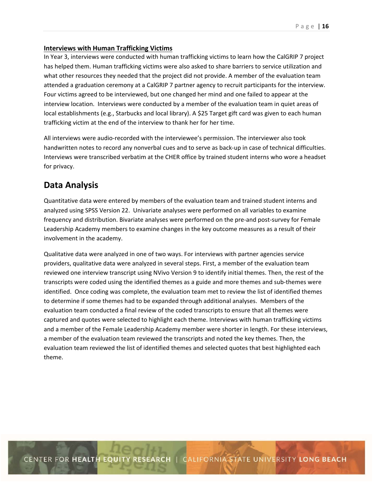#### **Interviews with Human Trafficking Victims**

In Year 3, interviews were conducted with human trafficking victims to learn how the CalGRIP 7 project has helped them. Human trafficking victims were also asked to share barriers to service utilization and what other resources they needed that the project did not provide. A member of the evaluation team attended a graduation ceremony at a CalGRIP 7 partner agency to recruit participants for the interview. Four victims agreed to be interviewed, but one changed her mind and one failed to appear at the interview location. Interviews were conducted by a member of the evaluation team in quiet areas of local establishments (e.g., Starbucks and local library). A \$25 Target gift card was given to each human trafficking victim at the end of the interview to thank her for her time.

All interviews were audio‐recorded with the interviewee's permission. The interviewer also took handwritten notes to record any nonverbal cues and to serve as back-up in case of technical difficulties. Interviews were transcribed verbatim at the CHER office by trained student interns who wore a headset for privacy.

# **Data Analysis**

Quantitative data were entered by members of the evaluation team and trained student interns and analyzed using SPSS Version 22. Univariate analyses were performed on all variables to examine frequency and distribution. Bivariate analyses were performed on the pre‐and post‐survey for Female Leadership Academy members to examine changes in the key outcome measures as a result of their involvement in the academy.

Qualitative data were analyzed in one of two ways. For interviews with partner agencies service providers, qualitative data were analyzed in several steps. First, a member of the evaluation team reviewed one interview transcript using NVivo Version 9 to identify initial themes. Then, the rest of the transcripts were coded using the identified themes as a guide and more themes and sub‐themes were identified. Once coding was complete, the evaluation team met to review the list of identified themes to determine if some themes had to be expanded through additional analyses. Members of the evaluation team conducted a final review of the coded transcripts to ensure that all themes were captured and quotes were selected to highlight each theme. Interviews with human trafficking victims and a member of the Female Leadership Academy member were shorter in length. For these interviews, a member of the evaluation team reviewed the transcripts and noted the key themes. Then, the evaluation team reviewed the list of identified themes and selected quotes that best highlighted each theme.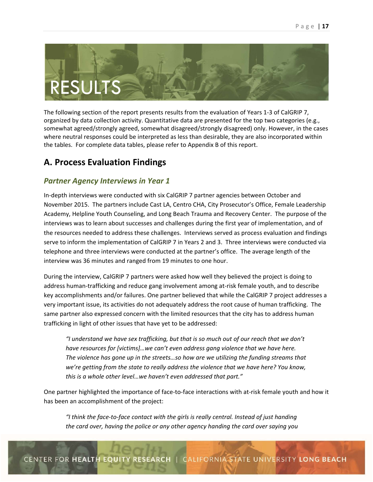

The following section of the report presents results from the evaluation of Years 1‐3 of CalGRIP 7, organized by data collection activity. Quantitative data are presented for the top two categories (e.g., somewhat agreed/strongly agreed, somewhat disagreed/strongly disagreed) only. However, in the cases where neutral responses could be interpreted as less than desirable, they are also incorporated within the tables. For complete data tables, please refer to Appendix B of this report.

# **A. Process Evaluation Findings**

## *Partner Agency Interviews in Year 1*

In-depth interviews were conducted with six CalGRIP 7 partner agencies between October and November 2015. The partners include Cast LA, Centro CHA, City Prosecutor's Office, Female Leadership Academy, Helpline Youth Counseling, and Long Beach Trauma and Recovery Center. The purpose of the interviews was to learn about successes and challenges during the first year of implementation, and of the resources needed to address these challenges. Interviews served as process evaluation and findings serve to inform the implementation of CalGRIP 7 in Years 2 and 3. Three interviews were conducted via telephone and three interviews were conducted at the partner's office. The average length of the interview was 36 minutes and ranged from 19 minutes to one hour.

During the interview, CalGRIP 7 partners were asked how well they believed the project is doing to address human‐trafficking and reduce gang involvement among at‐risk female youth, and to describe key accomplishments and/or failures. One partner believed that while the CalGRIP 7 project addresses a very important issue, its activities do not adequately address the root cause of human trafficking. The same partner also expressed concern with the limited resources that the city has to address human trafficking in light of other issues that have yet to be addressed:

*"I understand we have sex trafficking, but that is so much out of our reach that we don't have resources for [victims]…we can't even address gang violence that we have here. The violence has gone up in the streets…so how are we utilizing the funding streams that we're getting from the state to really address the violence that we have here? You know, this is a whole other level…we haven't even addressed that part."* 

One partner highlighted the importance of face-to-face interactions with at-risk female youth and how it has been an accomplishment of the project:

*"I think the face‐to‐face contact with the girls is really central. Instead of just handing the card over, having the police or any other agency handing the card over saying you*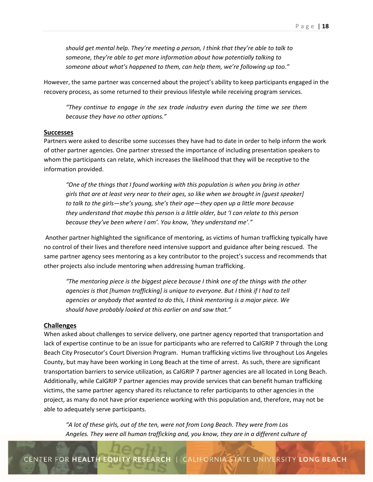*should get mental help. They're meeting a person, I think that they're able to talk to someone, they're able to get more information about how potentially talking to someone about what's happened to them, can help them, we're following up too."* 

However, the same partner was concerned about the project's ability to keep participants engaged in the recovery process, as some returned to their previous lifestyle while receiving program services.

 *"They continue to engage in the sex trade industry even during the time we see them because they have no other options."* 

#### **Successes**

Partners were asked to describe some successes they have had to date in order to help inform the work of other partner agencies. One partner stressed the importance of including presentation speakers to whom the participants can relate, which increases the likelihood that they will be receptive to the information provided.

*"One of the things that I found working with this population is when you bring in other girls that are at least very near to their ages, so like when we brought in [guest speaker] to talk to the girls—she's young, she's their age—they open up a little more because they understand that maybe this person is a little older, but 'I can relate to this person because they've been where I am'. You know, 'they understand me'."* 

 Another partner highlighted the significance of mentoring, as victims of human trafficking typically have no control of their lives and therefore need intensive support and guidance after being rescued. The same partner agency sees mentoring as a key contributor to the project's success and recommends that other projects also include mentoring when addressing human trafficking.

*"The mentoring piece is the biggest piece because I think one of the things with the other agencies is that [human trafficking] is unique to everyone. But I think if I had to tell agencies or anybody that wanted to do this, I think mentoring is a major piece. We should have probably looked at this earlier on and saw that."* 

#### **Challenges**

When asked about challenges to service delivery, one partner agency reported that transportation and lack of expertise continue to be an issue for participants who are referred to CalGRIP 7 through the Long Beach City Prosecutor's Court Diversion Program. Human trafficking victims live throughout Los Angeles County, but may have been working in Long Beach at the time of arrest. As such, there are significant transportation barriers to service utilization, as CalGRIP 7 partner agencies are all located in Long Beach. Additionally, while CalGRIP 7 partner agencies may provide services that can benefit human trafficking victims, the same partner agency shared its reluctance to refer participants to other agencies in the project, as many do not have prior experience working with this population and, therefore, may not be able to adequately serve participants.

*"A lot of these girls, out of the ten, were not from Long Beach. They were from Los Angeles. They were all human trafficking and, you know, they are in a different culture of*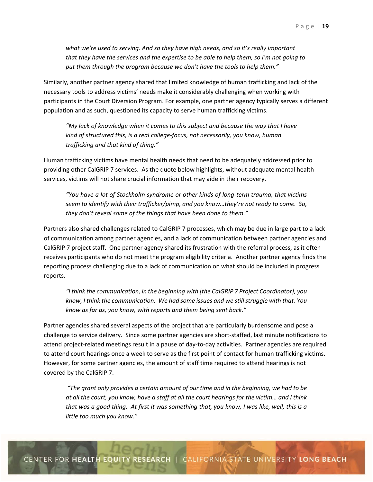*what we're used to serving. And so they have high needs, and so it's really important that they have the services and the expertise to be able to help them, so I'm not going to put them through the program because we don't have the tools to help them."* 

Similarly, another partner agency shared that limited knowledge of human trafficking and lack of the necessary tools to address victims' needs make it considerably challenging when working with participants in the Court Diversion Program. For example, one partner agency typically serves a different population and as such, questioned its capacity to serve human trafficking victims.

 *"My lack of knowledge when it comes to this subject and because the way that I have kind of structured this, is a real college‐focus, not necessarily, you know, human trafficking and that kind of thing."* 

Human trafficking victims have mental health needs that need to be adequately addressed prior to providing other CalGRIP 7 services. As the quote below highlights, without adequate mental health services, victims will not share crucial information that may aide in their recovery.

*"You have a lot of Stockholm syndrome or other kinds of long‐term trauma, that victims seem to identify with their trafficker/pimp, and you know…they're not ready to come. So, they don't reveal some of the things that have been done to them."* 

Partners also shared challenges related to CalGRIP 7 processes, which may be due in large part to a lack of communication among partner agencies, and a lack of communication between partner agencies and CalGRIP 7 project staff. One partner agency shared its frustration with the referral process, as it often receives participants who do not meet the program eligibility criteria. Another partner agency finds the reporting process challenging due to a lack of communication on what should be included in progress reports.

*"I think the communication, in the beginning with [the CalGRIP 7 Project Coordinator], you know, I think the communication. We had some issues and we still struggle with that. You know as far as, you know, with reports and them being sent back."* 

Partner agencies shared several aspects of the project that are particularly burdensome and pose a challenge to service delivery. Since some partner agencies are short‐staffed, last minute notifications to attend project-related meetings result in a pause of day-to-day activities. Partner agencies are required to attend court hearings once a week to serve as the first point of contact for human trafficking victims. However, for some partner agencies, the amount of staff time required to attend hearings is not covered by the CalGRIP 7.

 *"The grant only provides a certain amount of our time and in the beginning, we had to be at all the court, you know, have a staff at all the court hearings for the victim… and I think that was a good thing. At first it was something that, you know, I was like, well, this is a little too much you know."*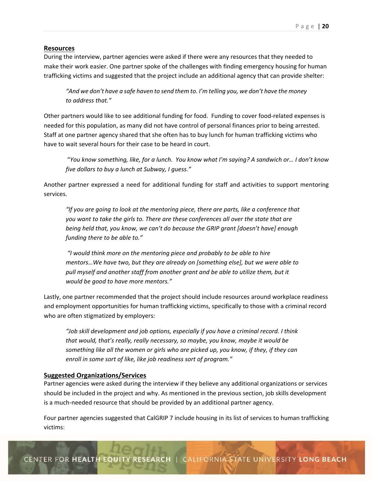#### **Resources**

During the interview, partner agencies were asked if there were any resources that they needed to make their work easier. One partner spoke of the challenges with finding emergency housing for human trafficking victims and suggested that the project include an additional agency that can provide shelter:

*"And we don't have a safe haven to send them to. I'm telling you, we don't have the money to address that."* 

Other partners would like to see additional funding for food. Funding to cover food‐related expenses is needed for this population, as many did not have control of personal finances prior to being arrested. Staff at one partner agency shared that she often has to buy lunch for human trafficking victims who have to wait several hours for their case to be heard in court.

"*You know something, like, for a lunch. You know what I'm saying? A sandwich or… I don't know five dollars to buy a lunch at Subway, I guess."* 

Another partner expressed a need for additional funding for staff and activities to support mentoring services.

*"If you are going to look at the mentoring piece, there are parts, like a conference that you want to take the girls to. There are these conferences all over the state that are being held that, you know, we can't do because the GRIP grant [doesn't have] enough funding there to be able to."* 

 *"I would think more on the mentoring piece and probably to be able to hire mentors…We have two, but they are already on [something else], but we were able to pull myself and another staff from another grant and be able to utilize them, but it would be good to have more mentors."* 

Lastly, one partner recommended that the project should include resources around workplace readiness and employment opportunities for human trafficking victims, specifically to those with a criminal record who are often stigmatized by employers:

*"Job skill development and job options, especially if you have a criminal record. I think that would, that's really, really necessary, so maybe, you know, maybe it would be something like all the women or girls who are picked up, you know, if they, if they can enroll in some sort of like, like job readiness sort of program."*

#### **Suggested Organizations/Services**

Partner agencies were asked during the interview if they believe any additional organizations or services should be included in the project and why. As mentioned in the previous section, job skills development is a much‐needed resource that should be provided by an additional partner agency.

Four partner agencies suggested that CalGRIP 7 include housing in its list of services to human trafficking victims: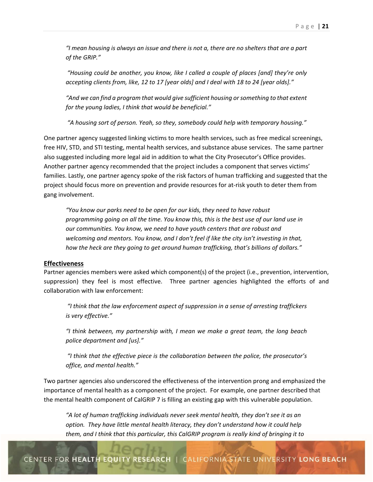*"I mean housing is always an issue and there is not a, there are no shelters that are a part of the GRIP."* 

 *"Housing could be another, you know, like I called a couple of places [and] they're only accepting clients from, like, 12 to 17 [year olds] and I deal with 18 to 24 [year olds]."* 

*"And we can find a program that would give sufficient housing or something to that extent for the young ladies, I think that would be beneficial."* 

 *"A housing sort of person. Yeah, so they, somebody could help with temporary housing."* 

One partner agency suggested linking victims to more health services, such as free medical screenings, free HIV, STD, and STI testing, mental health services, and substance abuse services. The same partner also suggested including more legal aid in addition to what the City Prosecutor's Office provides. Another partner agency recommended that the project includes a component that serves victims' families. Lastly, one partner agency spoke of the risk factors of human trafficking and suggested that the project should focus more on prevention and provide resources for at-risk youth to deter them from gang involvement.

*"You know our parks need to be open for our kids, they need to have robust programming going on all the time. You know this, this is the best use of our land use in our communities. You know, we need to have youth centers that are robust and welcoming and mentors. You know, and I don't feel if like the city isn't investing in that, how the heck are they going to get around human trafficking, that's billions of dollars."* 

#### **Effectiveness**

Partner agencies members were asked which component(s) of the project (i.e., prevention, intervention, suppression) they feel is most effective. Three partner agencies highlighted the efforts of and collaboration with law enforcement:

 *"I think that the law enforcement aspect of suppression in a sense of arresting traffickers is very effective."* 

*"I think between, my partnership with, I mean we make a great team, the long beach police department and [us]."* 

 *"I think that the effective piece is the collaboration between the police, the prosecutor's office, and mental health."* 

Two partner agencies also underscored the effectiveness of the intervention prong and emphasized the importance of mental health as a component of the project. For example, one partner described that the mental health component of CalGRIP 7 is filling an existing gap with this vulnerable population.

*"A lot of human trafficking individuals never seek mental health, they don't see it as an option. They have little mental health literacy, they don't understand how it could help them, and I think that this particular, this CalGRIP program is really kind of bringing it to*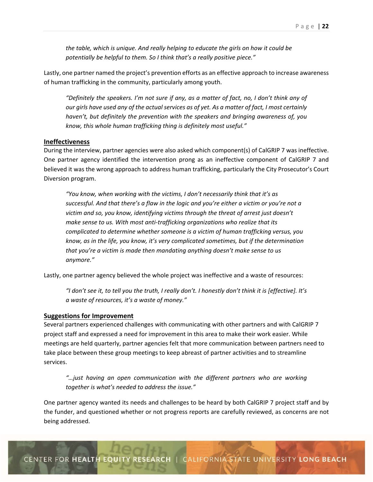*the table, which is unique. And really helping to educate the girls on how it could be potentially be helpful to them. So I think that's a really positive piece."* 

Lastly, one partner named the project's prevention efforts as an effective approach to increase awareness of human trafficking in the community, particularly among youth.

*"Definitely the speakers. I'm not sure if any, as a matter of fact, no, I don't think any of our girls have used any of the actual services as of yet. As a matter of fact, I most certainly haven't, but definitely the prevention with the speakers and bringing awareness of, you know, this whole human trafficking thing is definitely most useful."* 

#### **Ineffectiveness**

During the interview, partner agencies were also asked which component(s) of CalGRIP 7 was ineffective. One partner agency identified the intervention prong as an ineffective component of CalGRIP 7 and believed it was the wrong approach to address human trafficking, particularly the City Prosecutor's Court Diversion program.

*"You know, when working with the victims, I don't necessarily think that it's as successful. And that there's a flaw in the logic and you're either a victim or you're not a victim and so, you know, identifying victims through the threat of arrest just doesn't make sense to us. With most anti‐trafficking organizations who realize that its complicated to determine whether someone is a victim of human trafficking versus, you know, as in the life, you know, it's very complicated sometimes, but if the determination that you're a victim is made then mandating anything doesn't make sense to us anymore."* 

Lastly, one partner agency believed the whole project was ineffective and a waste of resources: 

*"I don't see it, to tell you the truth, I really don't. I honestly don't think it is [effective]. It's a waste of resources, it's a waste of money."* 

#### **Suggestions for Improvement**

Several partners experienced challenges with communicating with other partners and with CalGRIP 7 project staff and expressed a need for improvement in this area to make their work easier. While meetings are held quarterly, partner agencies felt that more communication between partners need to take place between these group meetings to keep abreast of partner activities and to streamline services.

*"…just having an open communication with the different partners who are working together is what's needed to address the issue."* 

One partner agency wanted its needs and challenges to be heard by both CalGRIP 7 project staff and by the funder, and questioned whether or not progress reports are carefully reviewed, as concerns are not being addressed.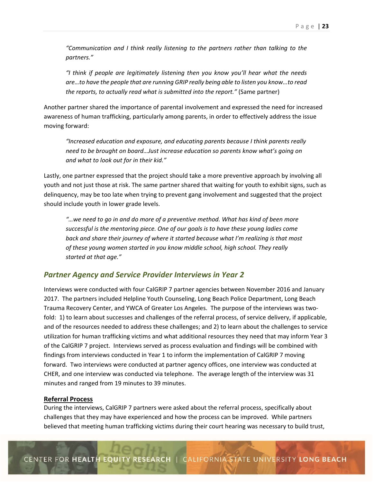*"Communication and I think really listening to the partners rather than talking to the partners."* 

*"I think if people are legitimately listening then you know you'll hear what the needs are…to have the people that are running GRIP really being able to listen you know…to read the reports, to actually read what is submitted into the report."* (Same partner)

Another partner shared the importance of parental involvement and expressed the need for increased awareness of human trafficking, particularly among parents, in order to effectively address the issue moving forward:

*"Increased education and exposure, and educating parents because I think parents really need to be brought on board…Just increase education so parents know what's going on and what to look out for in their kid."*

Lastly, one partner expressed that the project should take a more preventive approach by involving all youth and not just those at risk. The same partner shared that waiting for youth to exhibit signs, such as delinquency, may be too late when trying to prevent gang involvement and suggested that the project should include youth in lower grade levels.

*"…we need to go in and do more of a preventive method. What has kind of been more successful is the mentoring piece. One of our goals is to have these young ladies come back and share their journey of where it started because what I'm realizing is that most of these young women started in you know middle school, high school. They really started at that age."* 

## *Partner Agency and Service Provider Interviews in Year 2*

Interviews were conducted with four CalGRIP 7 partner agencies between November 2016 and January 2017. The partners included Helpline Youth Counseling, Long Beach Police Department, Long Beach Trauma Recovery Center, and YWCA of Greater Los Angeles. The purpose of the interviews was two‐ fold: 1) to learn about successes and challenges of the referral process, of service delivery, if applicable, and of the resources needed to address these challenges; and 2) to learn about the challenges to service utilization for human trafficking victims and what additional resources they need that may inform Year 3 of the CalGRIP 7 project. Interviews served as process evaluation and findings will be combined with findings from interviews conducted in Year 1 to inform the implementation of CalGRIP 7 moving forward. Two interviews were conducted at partner agency offices, one interview was conducted at CHER, and one interview was conducted via telephone. The average length of the interview was 31 minutes and ranged from 19 minutes to 39 minutes.

#### **Referral Process**

During the interviews, CalGRIP 7 partners were asked about the referral process, specifically about challenges that they may have experienced and how the process can be improved. While partners believed that meeting human trafficking victims during their court hearing was necessary to build trust,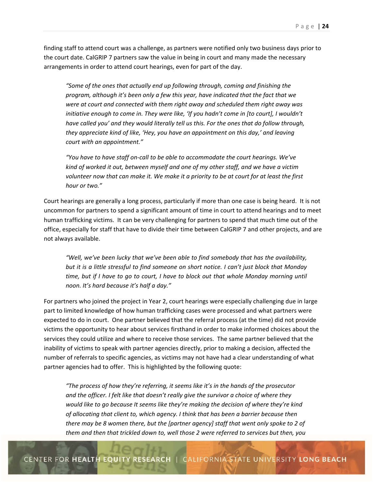finding staff to attend court was a challenge, as partners were notified only two business days prior to the court date. CalGRIP 7 partners saw the value in being in court and many made the necessary arrangements in order to attend court hearings, even for part of the day.

*"Some of the ones that actually end up following through, coming and finishing the program, although it's been only a few this year, have indicated that the fact that we were at court and connected with them right away and scheduled them right away was initiative enough to come in. They were like, 'If you hadn't come in [to court], I wouldn't have called you' and they would literally tell us this. For the ones that do follow through, they appreciate kind of like, 'Hey, you have an appointment on this day,' and leaving court with an appointment."* 

*"You have to have staff on‐call to be able to accommodate the court hearings. We've kind of worked it out, between myself and one of my other staff, and we have a victim volunteer now that can make it. We make it a priority to be at court for at least the first hour or two."* 

Court hearings are generally a long process, particularly if more than one case is being heard. It is not uncommon for partners to spend a significant amount of time in court to attend hearings and to meet human trafficking victims. It can be very challenging for partners to spend that much time out of the office, especially for staff that have to divide their time between CalGRIP 7 and other projects, and are not always available.

*"Well, we've been lucky that we've been able to find somebody that has the availability, but it is a little stressful to find someone on short notice. I can't just block that Monday time, but if I have to go to court, I have to block out that whole Monday morning until noon. It's hard because it's half a day."* 

For partners who joined the project in Year 2, court hearings were especially challenging due in large part to limited knowledge of how human trafficking cases were processed and what partners were expected to do in court. One partner believed that the referral process (at the time) did not provide victims the opportunity to hear about services firsthand in order to make informed choices about the services they could utilize and where to receive those services. The same partner believed that the inability of victims to speak with partner agencies directly, prior to making a decision, affected the number of referrals to specific agencies, as victims may not have had a clear understanding of what partner agencies had to offer. This is highlighted by the following quote:

*"The process of how they're referring, it seems like it's in the hands of the prosecutor and the officer. I felt like that doesn't really give the survivor a choice of where they would like to go because It seems like they're making the decision of where they're kind of allocating that client to, which agency. I think that has been a barrier because then there may be 8 women there, but the [partner agency] staff that went only spoke to 2 of them and then that trickled down to, well those 2 were referred to services but then, you*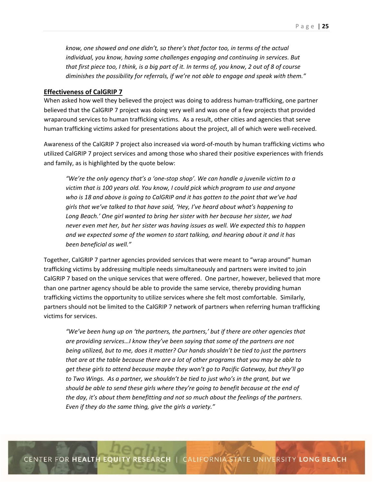*know, one showed and one didn't, so there's that factor too, in terms of the actual individual, you know, having some challenges engaging and continuing in services. But that first piece too, I think, is a big part of it. In terms of, you know, 2 out of 8 of course diminishes the possibility for referrals, if we're not able to engage and speak with them."* 

#### **Effectiveness of CalGRIP 7**

When asked how well they believed the project was doing to address human‐trafficking, one partner believed that the CalGRIP 7 project was doing very well and was one of a few projects that provided wraparound services to human trafficking victims. As a result, other cities and agencies that serve human trafficking victims asked for presentations about the project, all of which were well-received.

Awareness of the CalGRIP 7 project also increased via word‐of‐mouth by human trafficking victims who utilized CalGRIP 7 project services and among those who shared their positive experiences with friends and family, as is highlighted by the quote below:

*"We're the only agency that's a 'one‐stop shop'. We can handle a juvenile victim to a victim that is 100 years old. You know, I could pick which program to use and anyone who is 18 and above is going to CalGRIP and it has gotten to the point that we've had girls that we've talked to that have said, 'Hey, I've heard about what's happening to Long Beach.' One girl wanted to bring her sister with her because her sister, we had never even met her, but her sister was having issues as well. We expected this to happen and we expected some of the women to start talking, and hearing about it and it has been beneficial as well."* 

Together, CalGRIP 7 partner agencies provided services that were meant to "wrap around" human trafficking victims by addressing multiple needs simultaneously and partners were invited to join CalGRIP 7 based on the unique services that were offered. One partner, however, believed that more than one partner agency should be able to provide the same service, thereby providing human trafficking victims the opportunity to utilize services where she felt most comfortable. Similarly, partners should not be limited to the CalGRIP 7 network of partners when referring human trafficking victims for services.

*"We've been hung up on 'the partners, the partners,' but if there are other agencies that are providing services…I know they've been saying that some of the partners are not being utilized, but to me, does it matter? Our hands shouldn't be tied to just the partners that are at the table because there are a lot of other programs that you may be able to get these girls to attend because maybe they won't go to Pacific Gateway, but they'll go to Two Wings. As a partner, we shouldn't be tied to just who's in the grant, but we should be able to send these girls where they're going to benefit because at the end of the day, it's about them benefitting and not so much about the feelings of the partners. Even if they do the same thing, give the girls a variety."*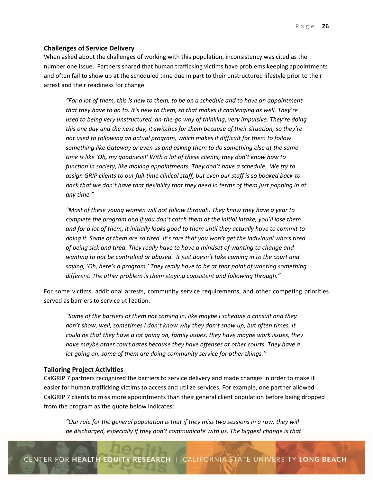## **Challenges of Service Delivery**

When asked about the challenges of working with this population, inconsistency was cited as the number one issue. Partners shared that human trafficking victims have problems keeping appointments and often fail to show up at the scheduled time due in part to their unstructured lifestyle prior to their arrest and their readiness for change.

*"For a lot of them, this is new to them, to be on a schedule and to have an appointment that they have to go to. It's new to them, so that makes it challenging as well. They're used to being very unstructured, on‐the‐go way of thinking, very impulsive. They're doing this one day and the next day, it switches for them because of their situation, so they're not used to following an actual program, which makes it difficult for them to follow something like Gateway or even us and asking them to do something else at the same time is like 'Oh, my goodness!' With a lot of these clients, they don't know how to function in society, like making appointments. They don't have a schedule. We try to assign GRIP clients to our full‐time clinical staff, but even our staff is so booked back‐to‐ back that we don't have that flexibility that they need in terms of them just popping in at any time."* 

*"Most of these young women will not follow through. They know they have a year to complete the program and if you don't catch them at the initial intake, you'll lose them and for a lot of them, it initially looks good to them until they actually have to commit to doing it. Some of them are so tired. It's rare that you won't get the individual who's tired of being sick and tired. They really have to have a mindset of wanting to change and wanting to not be controlled or abused. It just doesn't take coming in to the court and saying, 'Oh, here's a program.' They really have to be at that point of wanting something different. The other problem is them staying consistent and following through."* 

For some victims, additional arrests, community service requirements, and other competing priorities served as barriers to service utilization.

*"Some of the barriers of them not coming in, like maybe I schedule a consult and they don't show, well, sometimes I don't know why they don't show up, but often times, it could be that they have a lot going on, family issues, they have maybe work issues, they have maybe other court dates because they have offenses at other courts. They have a lot going on, some of them are doing community service for other things."* 

### **Tailoring Project Activities**

CalGRIP 7 partners recognized the barriers to service delivery and made changes in order to make it easier for human trafficking victims to access and utilize services. For example, one partner allowed CalGRIP 7 clients to miss more appointments than their general client population before being dropped from the program as the quote below indicates:

*"Our rule for the general population is that if they miss two sessions in a row, they will*  be discharged, especially if they don't communicate with us. The biggest change is that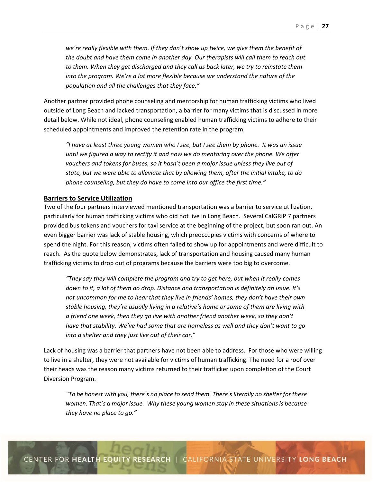*we're really flexible with them. If they don't show up twice, we give them the benefit of the doubt and have them come in another day. Our therapists will call them to reach out to them. When they get discharged and they call us back later, we try to reinstate them*  into the program. We're a lot more flexible because we understand the nature of the *population and all the challenges that they face."* 

Another partner provided phone counseling and mentorship for human trafficking victims who lived outside of Long Beach and lacked transportation, a barrier for many victims that is discussed in more detail below. While not ideal, phone counseling enabled human trafficking victims to adhere to their scheduled appointments and improved the retention rate in the program.

*"I have at least three young women who I see, but I see them by phone. It was an issue until we figured a way to rectify it and now we do mentoring over the phone. We offer vouchers and tokens for buses, so it hasn't been a major issue unless they live out of state, but we were able to alleviate that by allowing them, after the initial intake, to do phone counseling, but they do have to come into our office the first time."* 

#### **Barriers to Service Utilization**

Two of the four partners interviewed mentioned transportation was a barrier to service utilization, particularly for human trafficking victims who did not live in Long Beach. Several CalGRIP 7 partners provided bus tokens and vouchers for taxi service at the beginning of the project, but soon ran out. An even bigger barrier was lack of stable housing, which preoccupies victims with concerns of where to spend the night. For this reason, victims often failed to show up for appointments and were difficult to reach. As the quote below demonstrates, lack of transportation and housing caused many human trafficking victims to drop out of programs because the barriers were too big to overcome.

*"They say they will complete the program and try to get here, but when it really comes down to it, a lot of them do drop. Distance and transportation is definitely an issue. It's not uncommon for me to hear that they live in friends' homes, they don't have their own stable housing, they're usually living in a relative's home or some of them are living with a friend one week, then they go live with another friend another week, so they don't have that stability. We've had some that are homeless as well and they don't want to go into a shelter and they just live out of their car."* 

Lack of housing was a barrier that partners have not been able to address. For those who were willing to live in a shelter, they were not available for victims of human trafficking. The need for a roof over their heads was the reason many victims returned to their trafficker upon completion of the Court Diversion Program.

*"To be honest with you, there's no place to send them. There's literally no shelter for these women. That's a major issue. Why these young women stay in these situations is because they have no place to go."*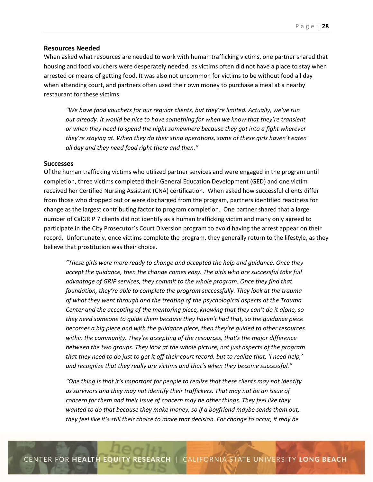#### **Resources Needed**

When asked what resources are needed to work with human trafficking victims, one partner shared that housing and food vouchers were desperately needed, as victims often did not have a place to stay when arrested or means of getting food. It was also not uncommon for victims to be without food all day when attending court, and partners often used their own money to purchase a meal at a nearby restaurant for these victims.

*"We have food vouchers for our regular clients, but they're limited. Actually, we've run out already. It would be nice to have something for when we know that they're transient or when they need to spend the night somewhere because they got into a fight wherever they're staying at. When they do their sting operations, some of these girls haven't eaten*  all day and they need food right there and then."

#### **Successes**

Of the human trafficking victims who utilized partner services and were engaged in the program until completion, three victims completed their General Education Development (GED) and one victim received her Certified Nursing Assistant (CNA) certification. When asked how successful clients differ from those who dropped out or were discharged from the program, partners identified readiness for change as the largest contributing factor to program completion. One partner shared that a large number of CalGRIP 7 clients did not identify as a human trafficking victim and many only agreed to participate in the City Prosecutor's Court Diversion program to avoid having the arrest appear on their record. Unfortunately, once victims complete the program, they generally return to the lifestyle, as they believe that prostitution was their choice.

*"These girls were more ready to change and accepted the help and guidance. Once they accept the guidance, then the change comes easy. The girls who are successful take full advantage of GRIP services, they commit to the whole program. Once they find that foundation, they're able to complete the program successfully. They look at the trauma of what they went through and the treating of the psychological aspects at the Trauma Center and the accepting of the mentoring piece, knowing that they can't do it alone, so they need someone to guide them because they haven't had that, so the guidance piece becomes a big piece and with the guidance piece, then they're guided to other resources within the community. They're accepting of the resources, that's the major difference between the two groups. They look at the whole picture, not just aspects of the program that they need to do just to get it off their court record, but to realize that, 'I need help,' and recognize that they really are victims and that's when they become successful."* 

*"One thing is that it's important for people to realize that these clients may not identify as survivors and they may not identify their traffickers. That may not be an issue of concern for them and their issue of concern may be other things. They feel like they wanted to do that because they make money, so if a boyfriend maybe sends them out, they feel like it's still their choice to make that decision. For change to occur, it may be*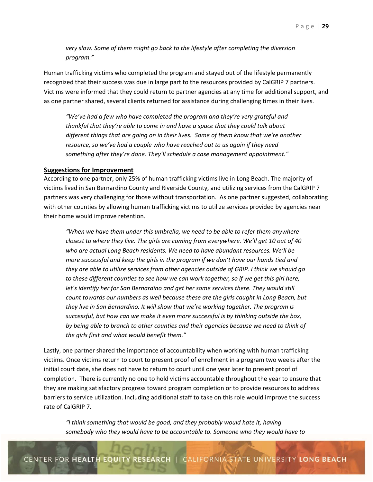*very slow. Some of them might go back to the lifestyle after completing the diversion program."* 

Human trafficking victims who completed the program and stayed out of the lifestyle permanently recognized that their success was due in large part to the resources provided by CalGRIP 7 partners. Victims were informed that they could return to partner agencies at any time for additional support, and as one partner shared, several clients returned for assistance during challenging times in their lives.

*"We've had a few who have completed the program and they're very grateful and thankful that they're able to come in and have a space that they could talk about different things that are going on in their lives. Some of them know that we're another resource, so we've had a couple who have reached out to us again if they need*  something after they're done. They'll schedule a case management appointment."

#### **Suggestions for Improvement**

According to one partner, only 25% of human trafficking victims live in Long Beach. The majority of victims lived in San Bernardino County and Riverside County, and utilizing services from the CalGRIP 7 partners was very challenging for those without transportation. As one partner suggested, collaborating with other counties by allowing human trafficking victims to utilize services provided by agencies near their home would improve retention.

*"When we have them under this umbrella, we need to be able to refer them anywhere closest to where they live. The girls are coming from everywhere. We'll get 10 out of 40 who are actual Long Beach residents. We need to have abundant resources. We'll be more successful and keep the girls in the program if we don't have our hands tied and they are able to utilize services from other agencies outside of GRIP. I think we should go to these different counties to see how we can work together, so if we get this girl here,*  let's identify her for San Bernardino and get her some services there. They would still *count towards our numbers as well because these are the girls caught in Long Beach, but they live in San Bernardino. It will show that we're working together. The program is successful, but how can we make it even more successful is by thinking outside the box, by being able to branch to other counties and their agencies because we need to think of the girls first and what would benefit them."* 

Lastly, one partner shared the importance of accountability when working with human trafficking victims. Once victims return to court to present proof of enrollment in a program two weeks after the initial court date, she does not have to return to court until one year later to present proof of completion. There is currently no one to hold victims accountable throughout the year to ensure that they are making satisfactory progress toward program completion or to provide resources to address barriers to service utilization. Including additional staff to take on this role would improve the success rate of CalGRIP 7.

*"I think something that would be good, and they probably would hate it, having somebody who they would have to be accountable to. Someone who they would have to*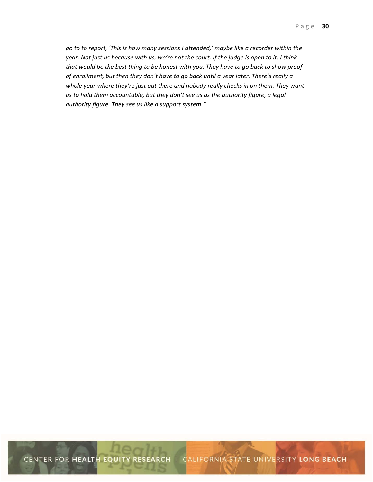*go to to report, 'This is how many sessions I attended,' maybe like a recorder within the year. Not just us because with us, we're not the court. If the judge is open to it, I think that would be the best thing to be honest with you. They have to go back to show proof of enrollment, but then they don't have to go back until a year later. There's really a whole year where they're just out there and nobody really checks in on them. They want us to hold them accountable, but they don't see us as the authority figure, a legal authority figure. They see us like a support system."* 

CENTER FOR HEALTH EQUITY RESEARCH | CALIFORNIA STATE UNIVERSITY LONG BEACH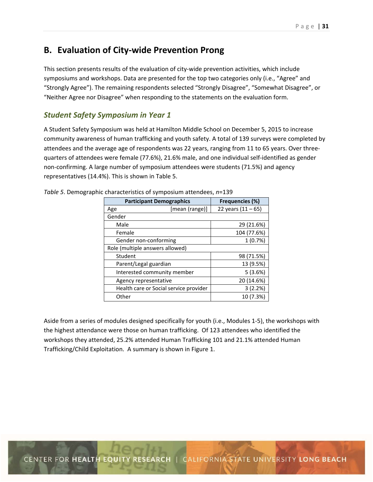# **B. Evaluation of City‐wide Prevention Prong**

This section presents results of the evaluation of city-wide prevention activities, which include symposiums and workshops. Data are presented for the top two categories only (i.e., "Agree" and "Strongly Agree"). The remaining respondents selected "Strongly Disagree", "Somewhat Disagree", or "Neither Agree nor Disagree" when responding to the statements on the evaluation form.

## *Student Safety Symposium in Year 1*

A Student Safety Symposium was held at Hamilton Middle School on December 5, 2015 to increase community awareness of human trafficking and youth safety. A total of 139 surveys were completed by attendees and the average age of respondents was 22 years, ranging from 11 to 65 years. Over three‐ quarters of attendees were female (77.6%), 21.6% male, and one individual self‐identified as gender non‐confirming. A large number of symposium attendees were students (71.5%) and agency representatives (14.4%). This is shown in Table 5.

| <b>Participant Demographics</b>        | <b>Frequencies (%)</b> |  |  |
|----------------------------------------|------------------------|--|--|
| [mean (range)]<br>Age                  | 22 years $(11 - 65)$   |  |  |
| Gender                                 |                        |  |  |
| Male                                   | 29 (21.6%)             |  |  |
| Female                                 | 104 (77.6%)            |  |  |
| Gender non-conforming                  | 1(0.7%)                |  |  |
| Role (multiple answers allowed)        |                        |  |  |
| Student                                | 98 (71.5%)             |  |  |
| Parent/Legal guardian                  | 13 (9.5%)              |  |  |
| Interested community member            | 5(3.6%)                |  |  |
| Agency representative                  | 20 (14.6%)             |  |  |
| Health care or Social service provider | 3(2.2%)                |  |  |
| Other                                  | 10 (7.3%)              |  |  |

*Table 5*. Demographic characteristics of symposium attendees, *n*=139

Aside from a series of modules designed specifically for youth (i.e., Modules 1‐5), the workshops with the highest attendance were those on human trafficking. Of 123 attendees who identified the workshops they attended, 25.2% attended Human Trafficking 101 and 21.1% attended Human Trafficking/Child Exploitation. A summary is shown in Figure 1.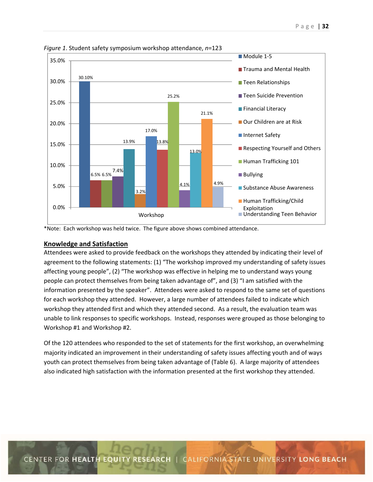

*Figure 1*. Student safety symposium workshop attendance, *n*=123

\*Note: Each workshop was held twice. The figure above shows combined attendance.

## **Knowledge and Satisfaction**

Attendees were asked to provide feedback on the workshops they attended by indicating their level of agreement to the following statements: (1) "The workshop improved my understanding of safety issues affecting young people", (2) "The workshop was effective in helping me to understand ways young people can protect themselves from being taken advantage of", and (3) "I am satisfied with the information presented by the speaker". Attendees were asked to respond to the same set of questions for each workshop they attended. However, a large number of attendees failed to indicate which workshop they attended first and which they attended second. As a result, the evaluation team was unable to link responses to specific workshops. Instead, responses were grouped as those belonging to Workshop #1 and Workshop #2.

Of the 120 attendees who responded to the set of statements for the first workshop, an overwhelming majority indicated an improvement in their understanding of safety issues affecting youth and of ways youth can protect themselves from being taken advantage of (Table 6). A large majority of attendees also indicated high satisfaction with the information presented at the first workshop they attended.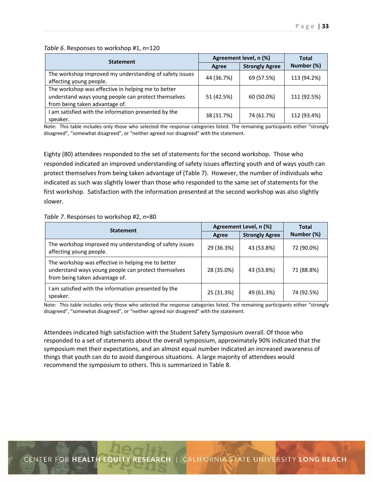|  | Table 6. Responses to workshop #1, n=120 |  |  |
|--|------------------------------------------|--|--|
|--|------------------------------------------|--|--|

| <b>Statement</b>                                                                                                                            | Agreement level, n (%) |                       | <b>Total</b> |
|---------------------------------------------------------------------------------------------------------------------------------------------|------------------------|-----------------------|--------------|
|                                                                                                                                             | Agree                  | <b>Strongly Agree</b> | Number (%)   |
| The workshop improved my understanding of safety issues<br>affecting young people.                                                          | 44 (36.7%)             | 69 (57.5%)            | 113 (94.2%)  |
| The workshop was effective in helping me to better<br>understand ways young people can protect themselves<br>from being taken advantage of. | 51 (42.5%)             | 60 (50.0%)            | 111 (92.5%)  |
| I am satisfied with the information presented by the<br>speaker.                                                                            | 38 (31.7%)             | 74 (61.7%)            | 112 (93.4%)  |

Note: This table includes only those who selected the response categories listed. The remaining participants either "strongly disagreed", "somewhat disagreed", or "neither agreed nor disagreed" with the statement.

Eighty (80) attendees responded to the set of statements for the second workshop. Those who responded indicated an improved understanding of safety issues affecting youth and of ways youth can protect themselves from being taken advantage of (Table 7). However, the number of individuals who indicated as such was slightly lower than those who responded to the same set of statements for the first workshop. Satisfaction with the information presented at the second workshop was also slightly slower.

#### *Table 7*. Responses to workshop #2, *n*=80

| <b>Statement</b>                                                                                                                            | Agreement Level, n (%) |                       | <b>Total</b> |
|---------------------------------------------------------------------------------------------------------------------------------------------|------------------------|-----------------------|--------------|
|                                                                                                                                             | Agree                  | <b>Strongly Agree</b> | Number (%)   |
| The workshop improved my understanding of safety issues<br>affecting young people.                                                          | 29 (36.3%)             | 43 (53.8%)            | 72 (90.0%)   |
| The workshop was effective in helping me to better<br>understand ways young people can protect themselves<br>from being taken advantage of. | 28 (35.0%)             | 43 (53.8%)            | 71 (88.8%)   |
| I am satisfied with the information presented by the<br>speaker.                                                                            | 25 (31.3%)             | 49 (61.3%)            | 74 (92.5%)   |

Note: This table includes only those who selected the response categories listed. The remaining participants either "strongly disagreed", "somewhat disagreed", or "neither agreed nor disagreed" with the statement.

Attendees indicated high satisfaction with the Student Safety Symposium overall. Of those who responded to a set of statements about the overall symposium, approximately 90% indicated that the symposium met their expectations, and an almost equal number indicated an increased awareness of things that youth can do to avoid dangerous situations. A large majority of attendees would recommend the symposium to others. This is summarized in Table 8.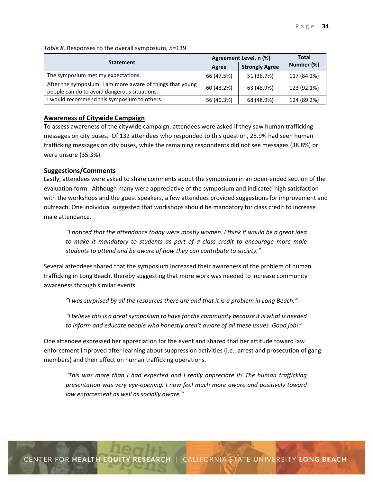| <b>Statement</b>                                                                                          | Agreement Level, n (%) |                       | <b>Total</b> |
|-----------------------------------------------------------------------------------------------------------|------------------------|-----------------------|--------------|
|                                                                                                           | Agree                  | <b>Strongly Agree</b> | Number (%)   |
| The symposium met my expectations.                                                                        | 66 (47.5%)             | 51 (36.7%)            | 117 (84.2%)  |
| After the symposium, I am more aware of things that young<br>people can do to avoid dangerous situations. | 60 (43.2%)             | 63 (48.9%)            | 123 (92.1%)  |
| I would recommend this symposium to others.                                                               | 56 (40.3%)             | 68 (48.9%)            | 124 (89.2%)  |

*Table 8.* Responses to the overall symposium, *n*=139

#### **Awareness of Citywide Campaign**

To assess awareness of the citywide campaign, attendees were asked if they saw human trafficking messages on city buses. Of 132 attendees who responded to this question, 25.9% had seen human trafficking messages on city buses, while the remaining respondents did not see messages (38.8%) or were unsure (35.3%).

#### **Suggestions/Comments**

Lastly, attendees were asked to share comments about the symposium in an open‐ended section of the evaluation form. Although many were appreciative of the symposium and indicated high satisfaction with the workshops and the guest speakers, a few attendees provided suggestions for improvement and outreach. One individual suggested that workshops should be mandatory for class credit to increase male attendance.

*"I noticed that the attendance today were mostly women. I think it would be a great idea to make it mandatory to students as part of a class credit to encourage more male students to attend and be aware of how they can contribute to society."* 

Several attendees shared that the symposium increased their awareness of the problem of human trafficking in Long Beach, thereby suggesting that more work was needed to increase community awareness through similar events.

 *"I was surprised by all the resources there are and that it is a problem in Long Beach."* 

 *"I believe this is a great symposium to have for the community because it is what is needed to inform and educate people who honestly aren't aware of all these issues. Good job!"* 

One attendee expressed her appreciation for the event and shared that her attitude toward law enforcement improved after learning about suppression activities (i.e., arrest and prosecution of gang members) and their effect on human trafficking operations.

 *"This was more than I had expected and I really appreciate it! The human trafficking presentation was very eye‐opening. I now feel much more aware and positively toward law enforcement as well as socially aware."*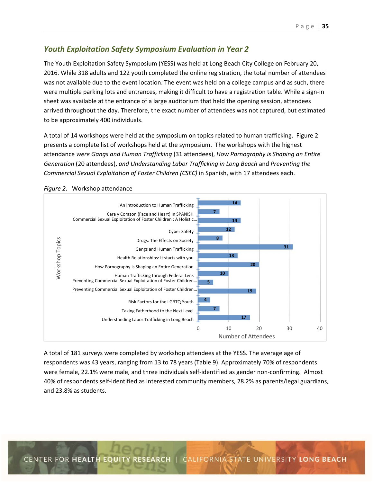## *Youth Exploitation Safety Symposium Evaluation in Year 2*

The Youth Exploitation Safety Symposium (YESS) was held at Long Beach City College on February 20, 2016. While 318 adults and 122 youth completed the online registration, the total number of attendees was not available due to the event location. The event was held on a college campus and as such, there were multiple parking lots and entrances, making it difficult to have a registration table. While a sign-in sheet was available at the entrance of a large auditorium that held the opening session, attendees arrived throughout the day. Therefore, the exact number of attendees was not captured, but estimated to be approximately 400 individuals.

A total of 14 workshops were held at the symposium on topics related to human trafficking. Figure 2 presents a complete list of workshops held at the symposium. The workshops with the highest attendance *were Gangs and Human Trafficking* (31 attendees), *How Pornography is Shaping an Entire Generation* (20 attendees), *and Understanding Labor Trafficking in Long Beach* and *Preventing the Commercial Sexual Exploitation of Foster Children (CSEC)* in Spanish, with 17 attendees each.



*Figure 2*. Workshop attendance

A total of 181 surveys were completed by workshop attendees at the YESS. The average age of respondents was 43 years, ranging from 13 to 78 years (Table 9). Approximately 70% of respondents were female, 22.1% were male, and three individuals self-identified as gender non-confirming. Almost 40% of respondents self‐identified as interested community members, 28.2% as parents/legal guardians, and 23.8% as students.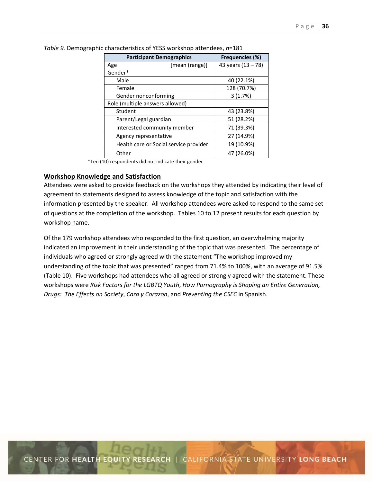| <b>Participant Demographics</b>        | <b>Frequencies (%)</b> |  |  |  |
|----------------------------------------|------------------------|--|--|--|
| [mean (range)]<br>Age                  | 43 years (13 - 78)     |  |  |  |
| Gender*                                |                        |  |  |  |
| Male                                   | 40 (22.1%)             |  |  |  |
| Female                                 | 128 (70.7%)            |  |  |  |
| Gender nonconforming                   | 3(1.7%)                |  |  |  |
| Role (multiple answers allowed)        |                        |  |  |  |
| Student                                | 43 (23.8%)             |  |  |  |
| Parent/Legal guardian                  | 51 (28.2%)             |  |  |  |
| Interested community member            | 71 (39.3%)             |  |  |  |
| Agency representative                  | 27 (14.9%)             |  |  |  |
| Health care or Social service provider | 19 (10.9%)             |  |  |  |
| Other                                  | 47 (26.0%)             |  |  |  |

*Table 9.* Demographic characteristics of YESS workshop attendees, *n*=181

\*Ten (10) respondents did not indicate their gender

#### **Workshop Knowledge and Satisfaction**

Attendees were asked to provide feedback on the workshops they attended by indicating their level of agreement to statements designed to assess knowledge of the topic and satisfaction with the information presented by the speaker. All workshop attendees were asked to respond to the same set of questions at the completion of the workshop. Tables 10 to 12 present results for each question by workshop name.

Of the 179 workshop attendees who responded to the first question, an overwhelming majority indicated an improvement in their understanding of the topic that was presented. The percentage of individuals who agreed or strongly agreed with the statement "The workshop improved my understanding of the topic that was presented" ranged from 71.4% to 100%, with an average of 91.5% (Table 10). Five workshops had attendees who all agreed or strongly agreed with the statement. These workshops were *Risk Factors for the LGBTQ Youth*, *How Pornography is Shaping an Entire Generation, Drugs: The Effects on Society*, *Cara y Corazon*, and *Preventing the CSEC* in Spanish.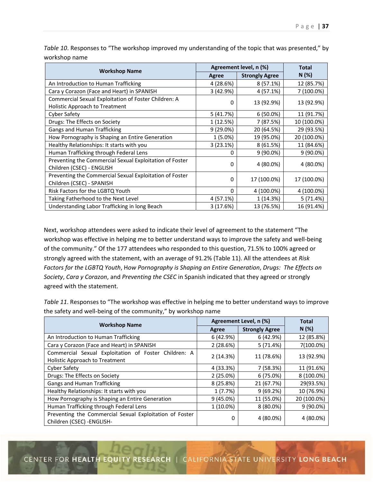|                                                         |             | Agreement level, n (%) |             |
|---------------------------------------------------------|-------------|------------------------|-------------|
| <b>Workshop Name</b>                                    | Agree       | <b>Strongly Agree</b>  | N(%)        |
| An Introduction to Human Trafficking                    | 4 (28.6%)   | $8(57.1\%)$            | 12 (85.7%)  |
| Cara y Corazon (Face and Heart) in SPANISH              | 3 (42.9%)   | 4 (57.1%)              | 7 (100.0%)  |
| Commercial Sexual Exploitation of Foster Children: A    | 0           | 13 (92.9%)             | 13 (92.9%)  |
| Holistic Approach to Treatment                          |             |                        |             |
| <b>Cyber Safety</b>                                     | 5(41.7%)    | $6(50.0\%)$            | 11 (91.7%)  |
| Drugs: The Effects on Society                           | 1 (12.5%)   | 7 (87.5%)              | 10 (100.0%) |
| Gangs and Human Trafficking                             | $9(29.0\%)$ | 20 (64.5%)             | 29 (93.5%)  |
| How Pornography is Shaping an Entire Generation         | 1 (5.0%)    | 19 (95.0%)             | 20 (100.0%) |
| Healthy Relationships: It starts with you               | 3(23.1%)    | 8(61.5%)               | 11 (84.6%)  |
| Human Trafficking through Federal Lens                  | 0           | $9(90.0\%)$            | $9(90.0\%)$ |
| Preventing the Commercial Sexual Exploitation of Foster | $\Omega$    | 4 (80.0%)              | 4 (80.0%)   |
| Children (CSEC) - ENGLISH                               |             |                        |             |
| Preventing the Commercial Sexual Exploitation of Foster | $\Omega$    | 17 (100.0%)            | 17 (100.0%) |
| Children (CSEC) - SPANISH                               |             |                        |             |
| Risk Factors for the LGBTQ Youth                        | 0           | 4 (100.0%)             | 4 (100.0%)  |
| Taking Fatherhood to the Next Level                     | 4 (57.1%)   | 1 (14.3%)              | 5(71.4%)    |
| Understanding Labor Trafficking in long Beach           | 3(17.6%)    | 13 (76.5%)             | 16 (91.4%)  |

*Table 10*. Responses to "The workshop improved my understanding of the topic that was presented," by workshop name

Next, workshop attendees were asked to indicate their level of agreement to the statement "The workshop was effective in helping me to better understand ways to improve the safety and well-being of the community." Of the 177 attendees who responded to this question, 71.5% to 100% agreed or strongly agreed with the statement, with an average of 91.2% (Table 11). All the attendees at *Risk Factors for the LGBTQ Youth*, H*ow Pornography is Shaping an Entire Generation*, *Drugs: The Effects on Society*, *Cara y Corazon*, and *Preventing the CSEC* in Spanish indicated that they agreed or strongly agreed with the statement.

*Table 11*. Responses to "The workshop was effective in helping me to better understand ways to improve the safety and well‐being of the community," by workshop name

| <b>Workshop Name</b>                                                                   | Agreement Level, n (%) | <b>Total</b>          |             |
|----------------------------------------------------------------------------------------|------------------------|-----------------------|-------------|
|                                                                                        | Agree                  | <b>Strongly Agree</b> | N(%)        |
| An Introduction to Human Trafficking                                                   | 6 (42.9%)              | 6(42.9%)              | 12 (85.8%)  |
| Cara y Corazon (Face and Heart) in SPANISH                                             | 2(28.6%)               | 5(71.4%)              | 7(100.0%)   |
| Commercial Sexual Exploitation of Foster Children: A<br>Holistic Approach to Treatment | 2(14.3%)               | 11 (78.6%)            | 13 (92.9%)  |
| Cyber Safety                                                                           | 4 (33.3%)              | 7(58.3%)              | 11 (91.6%)  |
| Drugs: The Effects on Society                                                          | 2(25.0%)               | 6(75.0%)              | 8 (100.0%)  |
| Gangs and Human Trafficking                                                            | 8 (25.8%)              | 21 (67.7%)            | 29(93.5%)   |
| Healthy Relationships: It starts with you                                              | 1(7.7%)                | 9(69.2%)              | 10 (76.9%)  |
| How Pornography is Shaping an Entire Generation                                        | $9(45.0\%)$            | 11 (55.0%)            | 20 (100.0%) |
| Human Trafficking through Federal Lens                                                 | $1(10.0\%)$            | $8(80.0\%)$           | $9(90.0\%)$ |
| Preventing the Commercial Sexual Exploitation of Foster<br>Children (CSEC) - ENGLISH-  | 0                      | 4 (80.0%)             | 4 (80.0%)   |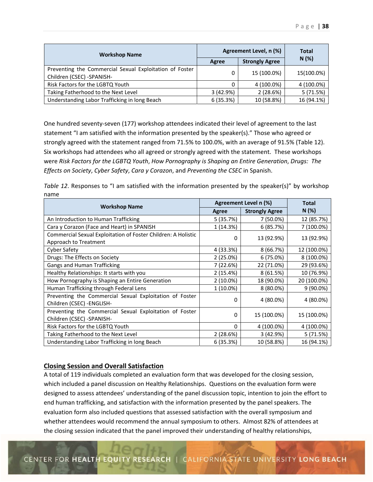| <b>Workshop Name</b>                                                                 | Agreement Level, n (%) | <b>Total</b>          |            |
|--------------------------------------------------------------------------------------|------------------------|-----------------------|------------|
|                                                                                      | Agree                  | <b>Strongly Agree</b> | N(%)       |
| Preventing the Commercial Sexual Exploitation of Foster<br>Children (CSEC) -SPANISH- | 0                      | 15 (100.0%)           | 15(100.0%) |
| Risk Factors for the LGBTQ Youth                                                     | 0                      | 4 (100.0%)            | 4 (100.0%) |
| Taking Fatherhood to the Next Level                                                  | 3(42.9%)               | 2(28.6%)              | 5(71.5%)   |
| Understanding Labor Trafficking in long Beach                                        | 6(35.3%)               | 10 (58.8%)            | 16 (94.1%) |

One hundred seventy‐seven (177) workshop attendees indicated their level of agreement to the last statement "I am satisfied with the information presented by the speaker(s)." Those who agreed or strongly agreed with the statement ranged from 71.5% to 100.0%, with an average of 91.5% (Table 12). Six workshops had attendees who all agreed or strongly agreed with the statement. These workshops were *Risk Factors for the LGBTQ Youth*, *How Pornography is Shaping an Entire Generation*, *Drugs: The Effects on Society*, *Cyber Safety*, *Cara y Corazon*, and *Preventing the CSEC* in Spanish.

*Table 12*. Responses to "I am satisfied with the information presented by the speaker(s)" by workshop name

| <b>Workshop Name</b>                                                                          |             | Agreement Level n (%) |             |
|-----------------------------------------------------------------------------------------------|-------------|-----------------------|-------------|
|                                                                                               | Agree       | <b>Strongly Agree</b> | N(%)        |
| An Introduction to Human Trafficking                                                          | 5(35.7%)    | 7 (50.0%)             | 12 (85.7%)  |
| Cara y Corazon (Face and Heart) in SPANISH                                                    | 1 (14.3%)   | 6(85.7%)              | 7 (100.0%)  |
| <b>Commercial Sexual Exploitation of Foster Children: A Holistic</b><br>Approach to Treatment | 0           | 13 (92.9%)            | 13 (92.9%)  |
| <b>Cyber Safety</b>                                                                           | 4 (33.3%)   | 8(66.7%)              | 12 (100.0%) |
| Drugs: The Effects on Society                                                                 | 2(25.0%)    | 6 (75.0%)             | 8 (100.0%)  |
| Gangs and Human Trafficking                                                                   | 7 (22.6%)   | 22 (71.0%)            | 29 (93.6%)  |
| Healthy Relationships: It starts with you                                                     | 2(15.4%)    | 8(61.5%)              | 10 (76.9%)  |
| How Pornography is Shaping an Entire Generation                                               | $2(10.0\%)$ | 18 (90.0%)            | 20 (100.0%) |
| Human Trafficking through Federal Lens                                                        | 1 (10.0%)   | 8 (80.0%)             | 9 (90.0%)   |
| Preventing the Commercial Sexual Exploitation of Foster<br>Children (CSEC) - ENGLISH-         | 0           | 4 (80.0%)             | 4 (80.0%)   |
| Preventing the Commercial Sexual Exploitation of Foster<br>Children (CSEC) -SPANISH-          | 0           | 15 (100.0%)           | 15 (100.0%) |
| Risk Factors for the LGBTQ Youth                                                              | 0           | 4 (100.0%)            | 4 (100.0%)  |
| Taking Fatherhood to the Next Level                                                           | 2(28.6%)    | 3(42.9%)              | 5(71.5%)    |
| Understanding Labor Trafficking in long Beach                                                 | 6 (35.3%)   | 10 (58.8%)            | 16 (94.1%)  |

## **Closing Session and Overall Satisfaction**

A total of 119 individuals completed an evaluation form that was developed for the closing session, which included a panel discussion on Healthy Relationships. Questions on the evaluation form were designed to assess attendees' understanding of the panel discussion topic, intention to join the effort to end human trafficking, and satisfaction with the information presented by the panel speakers. The evaluation form also included questions that assessed satisfaction with the overall symposium and whether attendees would recommend the annual symposium to others. Almost 82% of attendees at the closing session indicated that the panel improved their understanding of healthy relationships,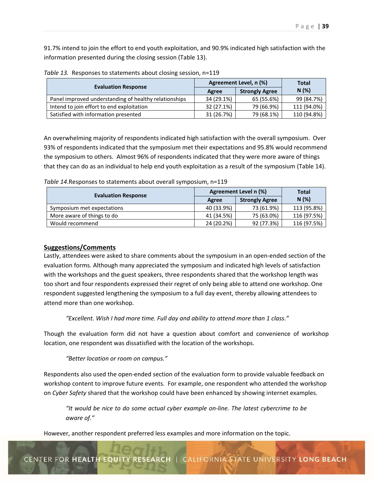91.7% intend to join the effort to end youth exploitation, and 90.9% indicated high satisfaction with the information presented during the closing session (Table 13).

| <b>Evaluation Response</b>                            | Agreement Level, n (%) | Total                 |             |
|-------------------------------------------------------|------------------------|-----------------------|-------------|
|                                                       | Agree                  | <b>Strongly Agree</b> | N(%)        |
| Panel improved understanding of healthy relationships | 34 (29.1%)             | 65 (55.6%)            | 99 (84.7%)  |
| Intend to join effort to end exploitation             | 32 (27.1%)             | 79 (66.9%)            | 111 (94.0%) |
| Satisfied with information presented                  | 31 (26.7%)             | 79 (68.1%)            | 110 (94.8%) |

*Table 13.* Responses to statements about closing session, n=119

An overwhelming majority of respondents indicated high satisfaction with the overall symposium. Over 93% of respondents indicated that the symposium met their expectations and 95.8% would recommend the symposium to others. Almost 96% of respondents indicated that they were more aware of things that they can do as an individual to help end youth exploitation as a result of the symposium (Table 14).

*Table 14*.Responses to statements about overall symposium, n=119

| <b>Evaluation Response</b> | Agreement Level n (%) | <b>Total</b>          |             |
|----------------------------|-----------------------|-----------------------|-------------|
|                            | Agree                 | <b>Strongly Agree</b> | $N(\%)$     |
| Symposium met expectations | 40 (33.9%)            | 73 (61.9%)            | 113 (95.8%) |
| More aware of things to do | 41 (34.5%)            | 75 (63.0%)            | 116 (97.5%) |
| Would recommend            | 24 (20.2%)            | 92 (77.3%)            | 116 (97.5%) |

## **Suggestions/Comments**

Lastly, attendees were asked to share comments about the symposium in an open‐ended section of the evaluation forms. Although many appreciated the symposium and indicated high levels of satisfaction with the workshops and the guest speakers, three respondents shared that the workshop length was too short and four respondents expressed their regret of only being able to attend one workshop. One respondent suggested lengthening the symposium to a full day event, thereby allowing attendees to attend more than one workshop.

*"Excellent. Wish I had more time. Full day and ability to attend more than 1 class."* 

Though the evaluation form did not have a question about comfort and convenience of workshop location, one respondent was dissatisfied with the location of the workshops.

## *"Better location or room on campus."*

Respondents also used the open‐ended section of the evaluation form to provide valuable feedback on workshop content to improve future events. For example, one respondent who attended the workshop on *Cyber Safety* shared that the workshop could have been enhanced by showing internet examples.

 *"It would be nice to do some actual cyber example on‐line. The latest cybercrime to be aware of."* 

However, another respondent preferred less examples and more information on the topic.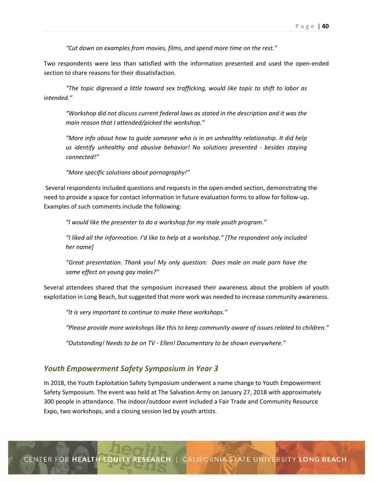*"Cut down on examples from movies, films, and spend more time on the rest."* 

Two respondents were less than satisfied with the information presented and used the open-ended section to share reasons for their dissatisfaction.

*"The topic digressed a little toward sex trafficking, would like topic to shift to labor as intended."* 

 *"Workshop did not discuss current federal laws as stated in the description and it was the main reason that I attended/picked the workshop."* 

 *"More info about how to guide someone who is in an unhealthy relationship. It did help us identify unhealthy and abusive behavior! No solutions presented ‐ besides staying connected!"* 

 *"More specific solutions about pornography!"* 

Several respondents included questions and requests in the open-ended section, demonstrating the need to provide a space for contact information in future evaluation forms to allow for follow‐up. Examples of such comments include the following:

*"I would like the presenter to do a workshop for my male youth program."* 

 *"I liked all the information. I'd like to help at a workshop." [The respondent only included her name]* 

 *"Great presentation. Thank you! My only question: Does male on male porn have the same effect on young gay males?"* 

Several attendees shared that the symposium increased their awareness about the problem of youth exploitation in Long Beach, but suggested that more work was needed to increase community awareness.

*"It is very important to continue to make these workshops."* 

*"Please provide more workshops like this to keep community aware of issues related to children."* 

*"Outstanding! Needs to be on TV ‐ Ellen! Documentary to be shown everywhere."* 

## *Youth Empowerment Safety Symposium in Year 3*

In 2018, the Youth Exploitation Safety Symposium underwent a name change to Youth Empowerment Safety Symposium. The event was held at The Salvation Army on January 27, 2018 with approximately 300 people in attendance. The indoor/outdoor event included a Fair Trade and Community Resource Expo, two workshops, and a closing session led by youth artists.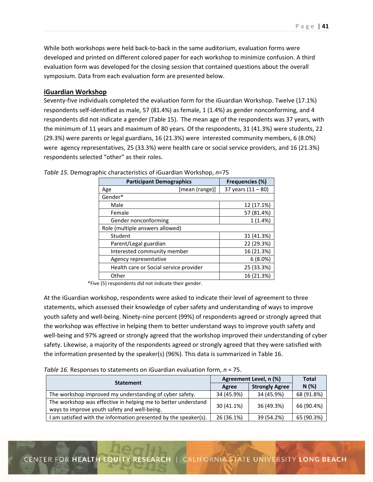While both workshops were held back-to-back in the same auditorium, evaluation forms were developed and printed on different colored paper for each workshop to minimize confusion. A third evaluation form was developed for the closing session that contained questions about the overall symposium. Data from each evaluation form are presented below.

## **iGuardian Workshop**

Seventy‐five individuals completed the evaluation form for the iGuardian Workshop. Twelve (17.1%) respondents self-identified as male, 57 (81.4%) as female, 1 (1.4%) as gender nonconforming, and 4 respondents did not indicate a gender (Table 15). The mean age of the respondents was 37 years, with the minimum of 11 years and maximum of 80 years. Of the respondents, 31 (41.3%) were students, 22 (29.3%) were parents or legal guardians, 16 (21.3%) were interested community members, 6 (8.0%) were agency representatives, 25 (33.3%) were health care or social service providers, and 16 (21.3%) respondents selected "other" as their roles.

| <b>Participant Demographics</b>        | Frequencies (%)      |
|----------------------------------------|----------------------|
| [mean (range)]<br>Age                  | 37 years $(11 - 80)$ |
| Gender*                                |                      |
| Male                                   | 12 (17.1%)           |
| Female                                 | 57 (81.4%)           |
| Gender nonconforming                   | 1(1.4%)              |
| Role (multiple answers allowed)        |                      |
| Student                                | 31 (41.3%)           |
| Parent/Legal guardian                  | 22 (29.3%)           |
| Interested community member            | 16 (21.3%)           |
| Agency representative                  | 6(8.0%)              |
| Health care or Social service provider | 25 (33.3%)           |
| Other                                  | 16 (21.3%)           |

*Table 15.* Demographic characteristics of iGuardian Workshop, *n*=75

\*Five (5) respondents did not indicate their gender.

At the iGuardian workshop, respondents were asked to indicate their level of agreement to three statements, which assessed their knowledge of cyber safety and understanding of ways to improve youth safety and well‐being. Ninety‐nine percent (99%) of respondents agreed or strongly agreed that the workshop was effective in helping them to better understand ways to improve youth safety and well-being and 97% agreed or strongly agreed that the workshop improved their understanding of cyber safety. Likewise, a majority of the respondents agreed or strongly agreed that they were satisfied with the information presented by the speaker(s) (96%). This data is summarized in Table 16.

*Table 16.* Responses to statements on iGuardian evaluation form, *n* = 75.

| <b>Statement</b>                                                                                              | Agreement Level, n (%) | <b>Total</b>          |            |
|---------------------------------------------------------------------------------------------------------------|------------------------|-----------------------|------------|
|                                                                                                               | Agree                  | <b>Strongly Agree</b> | N(%)       |
| The workshop improved my understanding of cyber safety.                                                       | 34 (45.9%)             | 34 (45.9%)            | 68 (91.8%) |
| The workshop was effective in helping me to better understand<br>ways to improve youth safety and well-being. | 30 (41.1%)             | 36 (49.3%)            | 66 (90.4%) |
| I am satisfied with the information presented by the speaker(s).                                              | 26 (36.1%)             | 39 (54.2%)            | 65 (90.3%) |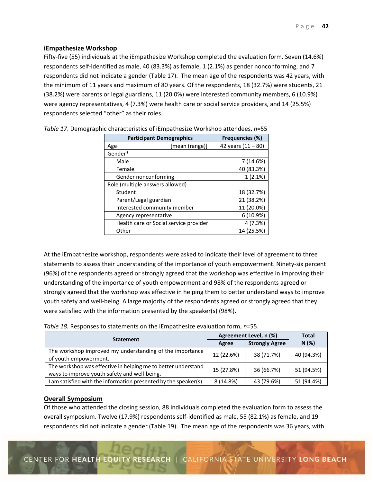## **iEmpathesize Workshop**

Fifty-five (55) individuals at the iEmpathesize Workshop completed the evaluation form. Seven (14.6%) respondents self-identified as male, 40 (83.3%) as female, 1 (2.1%) as gender nonconforming, and 7 respondents did not indicate a gender (Table 17). The mean age of the respondents was 42 years, with the minimum of 11 years and maximum of 80 years. Of the respondents, 18 (32.7%) were students, 21 (38.2%) were parents or legal guardians, 11 (20.0%) were interested community members, 6 (10.9%) were agency representatives, 4 (7.3%) were health care or social service providers, and 14 (25.5%) respondents selected "other" as their roles.

| <b>Participant Demographics</b>        | <b>Frequencies (%)</b> |
|----------------------------------------|------------------------|
| [mean (range)]<br>Age                  | 42 years $(11 - 80)$   |
| Gender*                                |                        |
| Male                                   | 7 (14.6%)              |
| Female                                 | 40 (83.3%)             |
| Gender nonconforming                   | 1(2.1%)                |
| Role (multiple answers allowed)        |                        |
| Student                                | 18 (32.7%)             |
| Parent/Legal guardian                  | 21 (38.2%)             |
| Interested community member            | 11 (20.0%)             |
| Agency representative                  | 6(10.9%)               |
| Health care or Social service provider | 4 (7.3%)               |
| Other                                  | 14 (25.5%)             |

*Table 17*. Demographic characteristics of iEmpathesize Workshop attendees, *n*=55

At the iEmpathesize workshop, respondents were asked to indicate their level of agreement to three statements to assess their understanding of the importance of youth empowerment. Ninety‐six percent (96%) of the respondents agreed or strongly agreed that the workshop was effective in improving their understanding of the importance of youth empowerment and 98% of the respondents agreed or strongly agreed that the workshop was effective in helping them to better understand ways to improve youth safety and well‐being. A large majority of the respondents agreed or strongly agreed that they were satisfied with the information presented by the speaker(s) (98%).

| Table 18. Responses to statements on the iEmpathesize evaluation form, n=55. |  |  |  |  |
|------------------------------------------------------------------------------|--|--|--|--|
|------------------------------------------------------------------------------|--|--|--|--|

| <b>Statement</b>                                                                                              | Agreement Level, n (%) |                       | Total      |
|---------------------------------------------------------------------------------------------------------------|------------------------|-----------------------|------------|
|                                                                                                               | Agree                  | <b>Strongly Agree</b> | N(%)       |
| The workshop improved my understanding of the importance<br>of youth empowerment.                             | 12 (22.6%)             | 38 (71.7%)            | 40 (94.3%) |
| The workshop was effective in helping me to better understand<br>ways to improve youth safety and well-being. | 15 (27.8%)             | 36 (66.7%)            | 51 (94.5%) |
| I am satisfied with the information presented by the speaker(s).                                              | 8 (14.8%)              | 43 (79.6%)            | 51 (94.4%) |

### **Overall Symposium**

Of those who attended the closing session, 88 individuals completed the evaluation form to assess the overall symposium. Twelve (17.9%) respondents self‐identified as male, 55 (82.1%) as female, and 19 respondents did not indicate a gender (Table 19). The mean age of the respondents was 36 years, with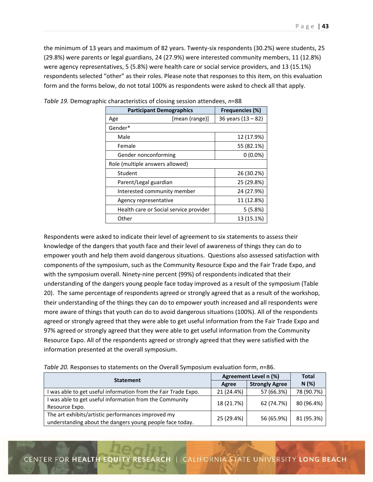the minimum of 13 years and maximum of 82 years. Twenty‐six respondents (30.2%) were students, 25 (29.8%) were parents or legal guardians, 24 (27.9%) were interested community members, 11 (12.8%) were agency representatives, 5 (5.8%) were health care or social service providers, and 13 (15.1%) respondents selected "other" as their roles. Please note that responses to this item, on this evaluation form and the forms below, do not total 100% as respondents were asked to check all that apply.

| <b>Participant Demographics</b>        | <b>Frequencies (%)</b> |
|----------------------------------------|------------------------|
| [mean (range)]<br>Age                  | 36 years $(13 - 82)$   |
| Gender*                                |                        |
| Male                                   | 12 (17.9%)             |
| Female                                 | 55 (82.1%)             |
| Gender nonconforming                   | $0(0.0\%)$             |
| Role (multiple answers allowed)        |                        |
| Student                                | 26 (30.2%)             |
| Parent/Legal guardian                  | 25 (29.8%)             |
| Interested community member            | 24 (27.9%)             |
| Agency representative                  | 11 (12.8%)             |
| Health care or Social service provider | 5(5.8%)                |
| Other                                  | 13 (15.1%)             |

| Table 19. Demographic characteristics of closing session attendees, n=88 |  |  |
|--------------------------------------------------------------------------|--|--|
|--------------------------------------------------------------------------|--|--|

Respondents were asked to indicate their level of agreement to six statements to assess their knowledge of the dangers that youth face and their level of awareness of things they can do to empower youth and help them avoid dangerous situations. Questions also assessed satisfaction with components of the symposium, such as the Community Resource Expo and the Fair Trade Expo, and with the symposium overall. Ninety-nine percent (99%) of respondents indicated that their understanding of the dangers young people face today improved as a result of the symposium (Table 20). The same percentage of respondents agreed or strongly agreed that as a result of the workshop, their understanding of the things they can do to empower youth increased and all respondents were more aware of things that youth can do to avoid dangerous situations (100%). All of the respondents agreed or strongly agreed that they were able to get useful information from the Fair Trade Expo and 97% agreed or strongly agreed that they were able to get useful information from the Community Resource Expo. All of the respondents agreed or strongly agreed that they were satisfied with the information presented at the overall symposium.

| <b>Statement</b>                                                                                               | Agreement Level n (%) | Total                 |            |
|----------------------------------------------------------------------------------------------------------------|-----------------------|-----------------------|------------|
|                                                                                                                | Agree                 | <b>Strongly Agree</b> | N(%)       |
| was able to get useful information from the Fair Trade Expo.                                                   | 21 (24.4%)            | 57 (66.3%)            | 78 (90.7%) |
| I was able to get useful information from the Community<br>Resource Expo.                                      | 18 (21.7%)            | 62 (74.7%)            | 80 (96.4%) |
| The art exhibits/artistic performances improved my<br>understanding about the dangers young people face today. | 25 (29.4%)            | 56 (65.9%)            | 81 (95.3%) |

*Table 20.* Responses to statements on the Overall Symposium evaluation form, *n*=86.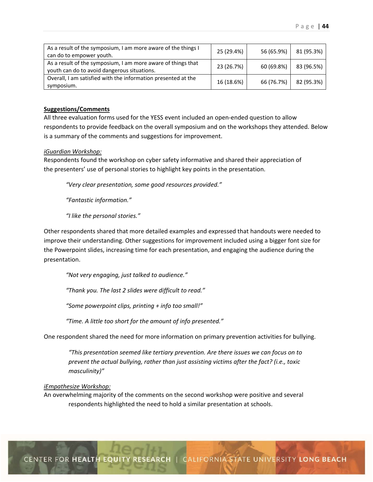| As a result of the symposium, I am more aware of the things I<br>can do to empower youth.                   | 25 (29.4%) | 56 (65.9%) | 81 (95.3%) |
|-------------------------------------------------------------------------------------------------------------|------------|------------|------------|
| As a result of the symposium, I am more aware of things that<br>youth can do to avoid dangerous situations. | 23 (26.7%) | 60 (69.8%) | 83 (96.5%) |
| Overall, I am satisfied with the information presented at the<br>symposium.                                 | 16 (18.6%) | 66 (76.7%) | 82 (95.3%) |

#### **Suggestions/Comments**

All three evaluation forms used for the YESS event included an open‐ended question to allow respondents to provide feedback on the overall symposium and on the workshops they attended. Below is a summary of the comments and suggestions for improvement.

#### *iGuardian Workshop:*

Respondents found the workshop on cyber safety informative and shared their appreciation of the presenters' use of personal stories to highlight key points in the presentation.

*"Very clear presentation, some good resources provided."* 

 *"Fantastic information."* 

 *"I like the personal stories."* 

Other respondents shared that more detailed examples and expressed that handouts were needed to improve their understanding. Other suggestions for improvement included using a bigger font size for the Powerpoint slides, increasing time for each presentation, and engaging the audience during the presentation.

*"Not very engaging, just talked to audience."* 

*"Thank you. The last 2 slides were difficult to read."* 

 *"Some powerpoint clips, printing + info too small!"* 

*"Time. A little too short for the amount of info presented."* 

One respondent shared the need for more information on primary prevention activities for bullying.

*"This presentation seemed like tertiary prevention. Are there issues we can focus on to prevent the actual bullying, rather than just assisting victims after the fact? (i.e., toxic masculinity)"* 

#### *iEmpathesize Workshop:*

An overwhelming majority of the comments on the second workshop were positive and several respondents highlighted the need to hold a similar presentation at schools.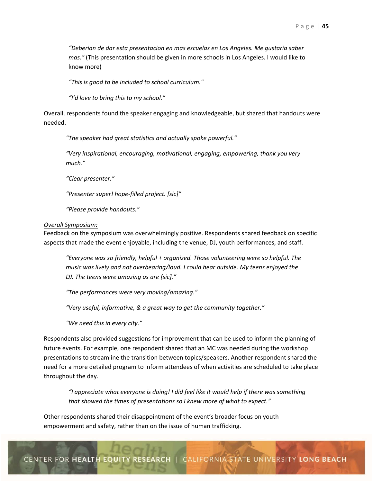*"Deberian de dar esta presentacion en mas escuelas en Los Angeles. Me gustaria saber mas."* (This presentation should be given in more schools in Los Angeles. I would like to know more)

 *"This is good to be included to school curriculum."* 

 *"I'd love to bring this to my school."* 

Overall, respondents found the speaker engaging and knowledgeable, but shared that handouts were needed.

*"The speaker had great statistics and actually spoke powerful."*

 *"Very inspirational, encouraging, motivational, engaging, empowering, thank you very much."* 

 *"Clear presenter."* 

 *"Presenter super! hope‐filled project. [sic]"* 

 *"Please provide handouts."* 

#### *Overall Symposium:*

Feedback on the symposium was overwhelmingly positive. Respondents shared feedback on specific aspects that made the event enjoyable, including the venue, DJ, youth performances, and staff.

*"Everyone was so friendly, helpful + organized. Those volunteering were so helpful. The music was lively and not overbearing/loud. I could hear outside. My teens enjoyed the DJ. The teens were amazing as are [sic]."* 

 *"The performances were very moving/amazing."* 

 *"Very useful, informative, & a great way to get the community together."* 

 *"We need this in every city."* 

Respondents also provided suggestions for improvement that can be used to inform the planning of future events. For example, one respondent shared that an MC was needed during the workshop presentations to streamline the transition between topics/speakers. Another respondent shared the need for a more detailed program to inform attendees of when activities are scheduled to take place throughout the day.

*"I appreciate what everyone is doing! I did feel like it would help if there was something that showed the times of presentations so I knew more of what to expect."* 

Other respondents shared their disappointment of the event's broader focus on youth empowerment and safety, rather than on the issue of human trafficking.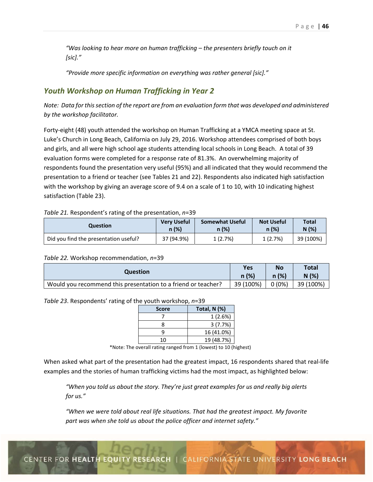*"Was looking to hear more on human trafficking – the presenters briefly touch on it [sic]."* 

*"Provide more specific information on everything was rather general [sic]."* 

# *Youth Workshop on Human Trafficking in Year 2*

*Note: Data for this section of the report are from an evaluation form that was developed and administered by the workshop facilitator.* 

Forty-eight (48) youth attended the workshop on Human Trafficking at a YMCA meeting space at St. Luke's Church in Long Beach, California on July 29, 2016. Workshop attendees comprised of both boys and girls, and all were high school age students attending local schools in Long Beach. A total of 39 evaluation forms were completed for a response rate of 81.3%. An overwhelming majority of respondents found the presentation very useful (95%) and all indicated that they would recommend the presentation to a friend or teacher (see Tables 21 and 22). Respondents also indicated high satisfaction with the workshop by giving an average score of 9.4 on a scale of 1 to 10, with 10 indicating highest satisfaction (Table 23).

## *Table 21.* Respondent's rating of the presentation, *n*=39

| Question                              | <b>Very Useful</b> | <b>Somewhat Useful</b> | <b>Not Useful</b> | <b>Total</b> |
|---------------------------------------|--------------------|------------------------|-------------------|--------------|
|                                       | n (%)              | n (%)                  | n (%)             | N(%)         |
| Did you find the presentation useful? | 37 (94.9%)         | 1(2.7%)                | 1(2.7%)           | 39 (100%)    |

#### *Table 22.* Workshop recommendation, *n*=39

| Question                                                      | <b>Yes</b> | No       | <b>Total</b> |
|---------------------------------------------------------------|------------|----------|--------------|
|                                                               | n(%)       | n(%)     | N(%          |
| Would you recommend this presentation to a friend or teacher? | 39 (100%)  | $0(0\%)$ | 39 (100%)    |

*Table 23*. Respondents' rating of the youth workshop, *n*=39

| <b>Score</b> | Total, $N$ $(\%)$ |
|--------------|-------------------|
|              | 1(2.6%)           |
|              | 3(7.7%)           |
|              | 16 (41.0%)        |
| 10           | 19 (48.7%)        |

\*Note: The overall rating ranged from 1 (lowest) to 10 (highest)

When asked what part of the presentation had the greatest impact, 16 respondents shared that real-life examples and the stories of human trafficking victims had the most impact, as highlighted below:

*"When you told us about the story. They're just great examples for us and really big alerts for us."* 

*"When we were told about real life situations. That had the greatest impact. My favorite part was when she told us about the police officer and internet safety."*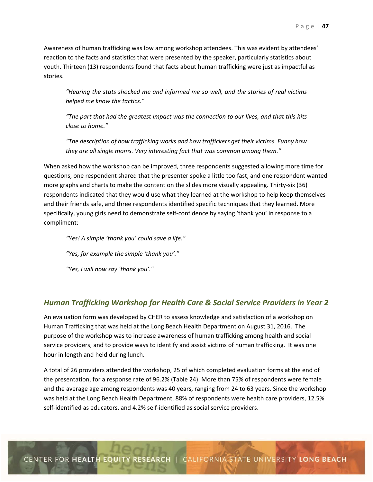Awareness of human trafficking was low among workshop attendees. This was evident by attendees' reaction to the facts and statistics that were presented by the speaker, particularly statistics about youth. Thirteen (13) respondents found that facts about human trafficking were just as impactful as stories.

*"Hearing the stats shocked me and informed me so well, and the stories of real victims helped me know the tactics."* 

*"The part that had the greatest impact was the connection to our lives, and that this hits close to home."* 

*"The description of how trafficking works and how traffickers get their victims. Funny how they are all single moms. Very interesting fact that was common among them."* 

When asked how the workshop can be improved, three respondents suggested allowing more time for questions, one respondent shared that the presenter spoke a little too fast, and one respondent wanted more graphs and charts to make the content on the slides more visually appealing. Thirty-six (36) respondents indicated that they would use what they learned at the workshop to help keep themselves and their friends safe, and three respondents identified specific techniques that they learned. More specifically, young girls need to demonstrate self-confidence by saying 'thank you' in response to a compliment:

 *"Yes! A simple 'thank you' could save a life." "Yes, for example the simple 'thank you'."* 

 *"Yes, I will now say 'thank you'."* 

# *Human Trafficking Workshop for Health Care & Social Service Providers in Year 2*

An evaluation form was developed by CHER to assess knowledge and satisfaction of a workshop on Human Trafficking that was held at the Long Beach Health Department on August 31, 2016. The purpose of the workshop was to increase awareness of human trafficking among health and social service providers, and to provide ways to identify and assist victims of human trafficking. It was one hour in length and held during lunch.

A total of 26 providers attended the workshop, 25 of which completed evaluation forms at the end of the presentation, for a response rate of 96.2% (Table 24). More than 75% of respondents were female and the average age among respondents was 40 years, ranging from 24 to 63 years. Since the workshop was held at the Long Beach Health Department, 88% of respondents were health care providers, 12.5% self-identified as educators, and 4.2% self-identified as social service providers.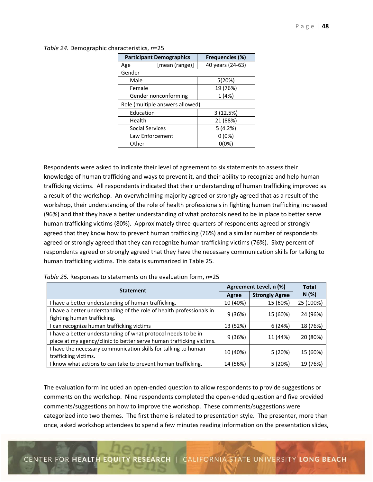|           | <b>Participant Demographics</b> | Frequencies (%)  |
|-----------|---------------------------------|------------------|
| Age       | [mean (range)]                  | 40 years (24-63) |
| Gender    |                                 |                  |
| Male      |                                 | 5(20%)           |
| Female    |                                 | 19 (76%)         |
|           | Gender nonconforming            | 1(4%)            |
|           | Role (multiple answers allowed) |                  |
| Education |                                 | 3(12.5%)         |
| Health    |                                 | 21 (88%)         |
|           | Social Services                 | 5(4.2%)          |
|           | Law Enforcement                 | $0(0\%)$         |
| Other     |                                 | 0(0%)            |

|  | Table 24. Demographic characteristics, n=25 |  |
|--|---------------------------------------------|--|
|--|---------------------------------------------|--|

Respondents were asked to indicate their level of agreement to six statements to assess their knowledge of human trafficking and ways to prevent it, and their ability to recognize and help human trafficking victims. All respondents indicated that their understanding of human trafficking improved as a result of the workshop. An overwhelming majority agreed or strongly agreed that as a result of the workshop, their understanding of the role of health professionals in fighting human trafficking increased (96%) and that they have a better understanding of what protocols need to be in place to better serve human trafficking victims (80%). Approximately three-quarters of respondents agreed or strongly agreed that they know how to prevent human trafficking (76%) and a similar number of respondents agreed or strongly agreed that they can recognize human trafficking victims (76%). Sixty percent of respondents agreed or strongly agreed that they have the necessary communication skills for talking to human trafficking victims. This data is summarized in Table 25.

| <b>Statement</b>                                                                                                                      |          | Agreement Level, n (%) |           |  |
|---------------------------------------------------------------------------------------------------------------------------------------|----------|------------------------|-----------|--|
|                                                                                                                                       |          | <b>Strongly Agree</b>  | N(%)      |  |
| I have a better understanding of human trafficking.                                                                                   | 10 (40%) | 15 (60%)               | 25 (100%) |  |
| I have a better understanding of the role of health professionals in<br>fighting human trafficking.                                   | 9(36%)   | 15 (60%)               | 24 (96%)  |  |
| I can recognize human trafficking victims                                                                                             | 13 (52%) | 6(24%)                 | 18 (76%)  |  |
| I have a better understanding of what protocol needs to be in<br>place at my agency/clinic to better serve human trafficking victims. | 9(36%)   | 11 (44%)               | 20 (80%)  |  |
| I have the necessary communication skills for talking to human<br>trafficking victims.                                                | 10 (40%) | 5(20%)                 | 15 (60%)  |  |
| know what actions to can take to prevent human trafficking.                                                                           | 14 (56%) | 5(20%)                 | 19 (76%)  |  |

*Table 25.* Responses to statements on the evaluation form, *n*=25

The evaluation form included an open‐ended question to allow respondents to provide suggestions or comments on the workshop. Nine respondents completed the open-ended question and five provided comments/suggestions on how to improve the workshop. These comments/suggestions were categorized into two themes. The first theme is related to presentation style. The presenter, more than once, asked workshop attendees to spend a few minutes reading information on the presentation slides,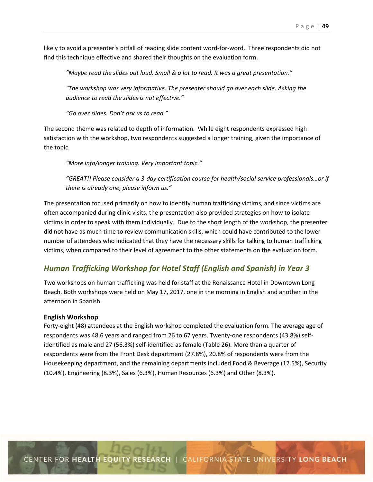likely to avoid a presenter's pitfall of reading slide content word-for-word. Three respondents did not find this technique effective and shared their thoughts on the evaluation form.

*"Maybe read the slides out loud. Small & a lot to read. It was a great presentation."* 

*"The workshop was very informative. The presenter should go over each slide. Asking the audience to read the slides is not effective."* 

*"Go over slides. Don't ask us to read."* 

The second theme was related to depth of information. While eight respondents expressed high satisfaction with the workshop, two respondents suggested a longer training, given the importance of the topic.

*"More info/longer training. Very important topic."* 

*"GREAT!! Please consider a 3‐day certification course for health/social service professionals…or if there is already one, please inform us."* 

The presentation focused primarily on how to identify human trafficking victims, and since victims are often accompanied during clinic visits, the presentation also provided strategies on how to isolate victims in order to speak with them individually. Due to the short length of the workshop, the presenter did not have as much time to review communication skills, which could have contributed to the lower number of attendees who indicated that they have the necessary skills for talking to human trafficking victims, when compared to their level of agreement to the other statements on the evaluation form.

# *Human Trafficking Workshop for Hotel Staff (English and Spanish) in Year 3*

Two workshops on human trafficking was held for staff at the Renaissance Hotel in Downtown Long Beach. Both workshops were held on May 17, 2017, one in the morning in English and another in the afternoon in Spanish.

#### **English Workshop**

Forty‐eight (48) attendees at the English workshop completed the evaluation form. The average age of respondents was 48.6 years and ranged from 26 to 67 years. Twenty‐one respondents (43.8%) self‐ identified as male and 27 (56.3%) self-identified as female (Table 26). More than a quarter of respondents were from the Front Desk department (27.8%), 20.8% of respondents were from the Housekeeping department, and the remaining departments included Food & Beverage (12.5%), Security (10.4%), Engineering (8.3%), Sales (6.3%), Human Resources (6.3%) and Other (8.3%).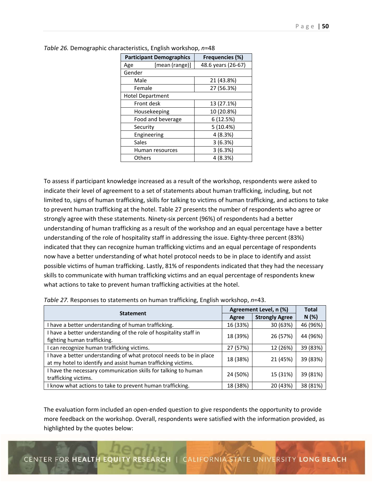| <b>Participant Demographics</b> | <b>Frequencies (%)</b> |
|---------------------------------|------------------------|
| [mean (range)]<br>Age           | 48.6 years (26-67)     |
| Gender                          |                        |
| Male                            | 21 (43.8%)             |
| Female                          | 27 (56.3%)             |
| <b>Hotel Department</b>         |                        |
| Front desk                      | 13 (27.1%)             |
| Housekeeping                    | 10 (20.8%)             |
| Food and beverage               | 6 (12.5%)              |
| Security                        | 5(10.4%)               |
| Engineering                     | 4 (8.3%)               |
| Sales                           | 3(6.3%)                |
| Human resources                 | 3(6.3%)                |
| Others                          | 4 (8.3%)               |

*Table 26.* Demographic characteristics, English workshop, *n*=48

To assess if participant knowledge increased as a result of the workshop, respondents were asked to indicate their level of agreement to a set of statements about human trafficking, including, but not limited to, signs of human trafficking, skills for talking to victims of human trafficking, and actions to take to prevent human trafficking at the hotel. Table 27 presents the number of respondents who agree or strongly agree with these statements. Ninety‐six percent (96%) of respondents had a better understanding of human trafficking as a result of the workshop and an equal percentage have a better understanding of the role of hospitality staff in addressing the issue. Eighty-three percent (83%) indicated that they can recognize human trafficking victims and an equal percentage of respondents now have a better understanding of what hotel protocol needs to be in place to identify and assist possible victims of human trafficking. Lastly, 81% of respondents indicated that they had the necessary skills to communicate with human trafficking victims and an equal percentage of respondents knew what actions to take to prevent human trafficking activities at the hotel.

| <b>Statement</b>                                                                                                                     |          | Agreement Level, n (%) |          |  |
|--------------------------------------------------------------------------------------------------------------------------------------|----------|------------------------|----------|--|
|                                                                                                                                      | Agree    | <b>Strongly Agree</b>  | N(%)     |  |
| I have a better understanding of human trafficking.                                                                                  | 16 (33%) | 30 (63%)               | 46 (96%) |  |
| I have a better understanding of the role of hospitality staff in<br>fighting human trafficking.                                     | 18 (39%) | 26 (57%)               | 44 (96%) |  |
| can recognize human trafficking victims.                                                                                             | 27 (57%) | 12 (26%)               | 39 (83%) |  |
| I have a better understanding of what protocol needs to be in place<br>at my hotel to identify and assist human trafficking victims. | 18 (38%) | 21 (45%)               | 39 (83%) |  |
| I have the necessary communication skills for talking to human<br>trafficking victims.                                               | 24 (50%) | 15 (31%)               | 39 (81%) |  |
| I know what actions to take to prevent human trafficking.                                                                            | 18 (38%) | 20 (43%)               | 38 (81%) |  |

| Table 27. Responses to statements on human trafficking, English workshop, n=43. |  |  |  |
|---------------------------------------------------------------------------------|--|--|--|
|---------------------------------------------------------------------------------|--|--|--|

The evaluation form included an open‐ended question to give respondents the opportunity to provide more feedback on the workshop. Overall, respondents were satisfied with the information provided, as highlighted by the quotes below: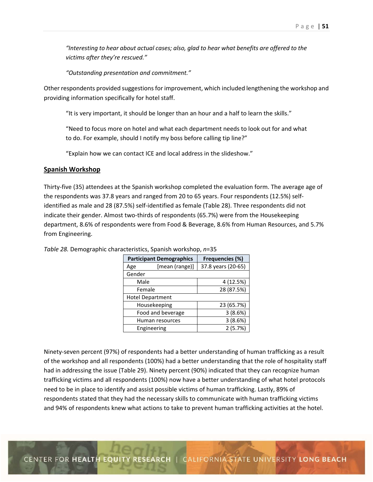*"Interesting to hear about actual cases; also, glad to hear what benefits are offered to the victims after they're rescued."* 

 *"Outstanding presentation and commitment."* 

Other respondents provided suggestions for improvement, which included lengthening the workshop and providing information specifically for hotel staff.

"It is very important, it should be longer than an hour and a half to learn the skills."

 "Need to focus more on hotel and what each department needs to look out for and what to do. For example, should I notify my boss before calling tip line?"

"Explain how we can contact ICE and local address in the slideshow."

#### **Spanish Workshop**

Thirty‐five (35) attendees at the Spanish workshop completed the evaluation form. The average age of the respondents was 37.8 years and ranged from 20 to 65 years. Four respondents (12.5%) selfidentified as male and 28 (87.5%) self‐identified as female (Table 28). Three respondents did not indicate their gender. Almost two-thirds of respondents (65.7%) were from the Housekeeping department, 8.6% of respondents were from Food & Beverage, 8.6% from Human Resources, and 5.7% from Engineering.

|        | <b>Participant Demographics</b> | <b>Frequencies (%)</b> |
|--------|---------------------------------|------------------------|
| Age    | [mean (range)]                  | 37.8 years (20-65)     |
| Gender |                                 |                        |
| Male   |                                 | 4 (12.5%)              |
| Female |                                 | 28 (87.5%)             |
|        | <b>Hotel Department</b>         |                        |
|        | Housekeeping                    | 23 (65.7%)             |
|        | Food and beverage               | 3(8.6%)                |
|        | Human resources                 | 3(8.6%)                |
|        | Engineering                     | 2(5.7%)                |

*Table 28.* Demographic characteristics, Spanish workshop, *n*=35

Ninety‐seven percent (97%) of respondents had a better understanding of human trafficking as a result of the workshop and all respondents (100%) had a better understanding that the role of hospitality staff had in addressing the issue (Table 29). Ninety percent (90%) indicated that they can recognize human trafficking victims and all respondents (100%) now have a better understanding of what hotel protocols need to be in place to identify and assist possible victims of human trafficking. Lastly, 89% of respondents stated that they had the necessary skills to communicate with human trafficking victims and 94% of respondents knew what actions to take to prevent human trafficking activities at the hotel.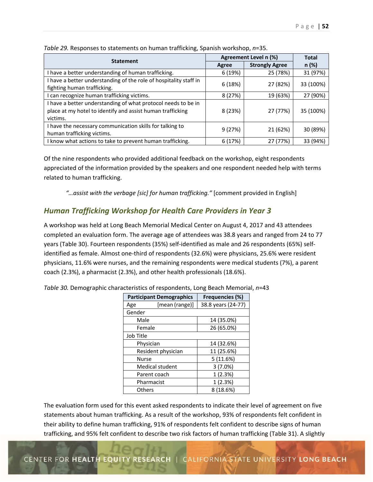| <b>Statement</b>                                                                                                                        | Agreement Level n (%) | <b>Total</b>          |           |
|-----------------------------------------------------------------------------------------------------------------------------------------|-----------------------|-----------------------|-----------|
|                                                                                                                                         | Agree                 | <b>Strongly Agree</b> | n (%)     |
| I have a better understanding of human trafficking.                                                                                     | 6(19%)                | 25 (78%)              | 31 (97%)  |
| I have a better understanding of the role of hospitality staff in<br>fighting human trafficking.                                        | 6(18%)                | 27 (82%)              | 33 (100%) |
| can recognize human trafficking victims.                                                                                                | 8(27%)                | 19 (63%)              | 27 (90%)  |
| I have a better understanding of what protocol needs to be in<br>place at my hotel to identify and assist human trafficking<br>victims. | 8(23%)                | 27 (77%)              | 35 (100%) |
| I have the necessary communication skills for talking to<br>human trafficking victims.                                                  | 9(27%)                | 21 (62%)              | 30 (89%)  |
| I know what actions to take to prevent human trafficking.                                                                               | 6(17%)                | 27 (77%)              | 33 (94%)  |

*Table 29.* Responses to statements on human trafficking, Spanish workshop, *n*=35.

Of the nine respondents who provided additional feedback on the workshop, eight respondents appreciated of the information provided by the speakers and one respondent needed help with terms related to human trafficking.

 *"…assist with the verbage [sic] for human trafficking."* [comment provided in English]

# *Human Trafficking Workshop for Health Care Providers in Year 3*

A workshop was held at Long Beach Memorial Medical Center on August 4, 2017 and 43 attendees completed an evaluation form. The average age of attendees was 38.8 years and ranged from 24 to 77 years (Table 30). Fourteen respondents (35%) self-identified as male and 26 respondents (65%) selfidentified as female. Almost one‐third of respondents (32.6%) were physicians, 25.6% were resident physicians, 11.6% were nurses, and the remaining respondents were medical students (7%), a parent coach (2.3%), a pharmacist (2.3%), and other health professionals (18.6%).

|           | <b>Participant Demographics</b> | Frequencies (%)    |
|-----------|---------------------------------|--------------------|
| Age       | [mean (range)]                  | 38.8 years (24-77) |
| Gender    |                                 |                    |
| Male      |                                 | 14 (35.0%)         |
| Female    |                                 | 26 (65.0%)         |
| Job Title |                                 |                    |
|           | Physician                       | 14 (32.6%)         |
|           | Resident physician              | 11 (25.6%)         |
| Nurse     |                                 | 5(11.6%)           |
|           | <b>Medical student</b>          | 3(7.0%)            |
|           | Parent coach                    | 1(2.3%)            |
|           | Pharmacist                      | 1(2.3%)            |
| Others    |                                 | 8 (18.6%)          |

*Table 30.* Demographic characteristics of respondents, Long Beach Memorial, *n*=43

The evaluation form used for this event asked respondents to indicate their level of agreement on five statements about human trafficking. As a result of the workshop, 93% of respondents felt confident in their ability to define human trafficking, 91% of respondents felt confident to describe signs of human trafficking, and 95% felt confident to describe two risk factors of human trafficking (Table 31). A slightly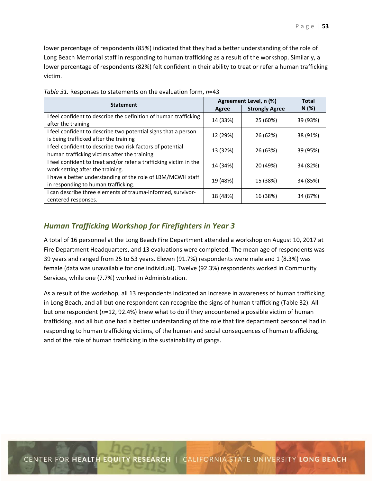lower percentage of respondents (85%) indicated that they had a better understanding of the role of Long Beach Memorial staff in responding to human trafficking as a result of the workshop. Similarly, a lower percentage of respondents (82%) felt confident in their ability to treat or refer a human trafficking victim.

|                                                                    | Agreement Level, n (%) | <b>Total</b>          |          |
|--------------------------------------------------------------------|------------------------|-----------------------|----------|
| <b>Statement</b>                                                   | Agree                  | <b>Strongly Agree</b> | N(%)     |
| I feel confident to describe the definition of human trafficking   | 14 (33%)               | 25 (60%)              | 39 (93%) |
| after the training                                                 |                        |                       |          |
| I feel confident to describe two potential signs that a person     | 12 (29%)               | 26 (62%)              | 38 (91%) |
| is being trafficked after the training                             |                        |                       |          |
| I feel confident to describe two risk factors of potential         | 13 (32%)               | 26 (63%)              | 39 (95%) |
| human trafficking victims after the training                       |                        |                       |          |
| I feel confident to treat and/or refer a trafficking victim in the | 14 (34%)               |                       | 34 (82%) |
| work setting after the training.                                   |                        | 20 (49%)              |          |
| I have a better understanding of the role of LBM/MCWH staff        |                        |                       |          |
| in responding to human trafficking.                                | 19 (48%)               | 15 (38%)              | 34 (85%) |
| I can describe three elements of trauma-informed, survivor-        |                        |                       |          |
| centered responses.                                                | 18 (48%)               | 16 (38%)              | 34 (87%) |

*Table 31.* Responses to statements on the evaluation form, *n*=43

# *Human Trafficking Workshop for Firefighters in Year 3*

A total of 16 personnel at the Long Beach Fire Department attended a workshop on August 10, 2017 at Fire Department Headquarters, and 13 evaluations were completed. The mean age of respondents was 39 years and ranged from 25 to 53 years. Eleven (91.7%) respondents were male and 1 (8.3%) was female (data was unavailable for one individual). Twelve (92.3%) respondents worked in Community Services, while one (7.7%) worked in Administration.

As a result of the workshop, all 13 respondents indicated an increase in awareness of human trafficking in Long Beach, and all but one respondent can recognize the signs of human trafficking (Table 32). All but one respondent (*n*=12, 92.4%) knew what to do if they encountered a possible victim of human trafficking, and all but one had a better understanding of the role that fire department personnel had in responding to human trafficking victims, of the human and social consequences of human trafficking, and of the role of human trafficking in the sustainability of gangs.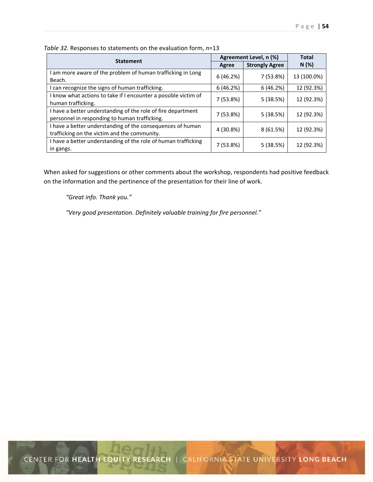| <b>Statement</b>                                                                                              | Agreement Level, n (%) | <b>Total</b>          |             |
|---------------------------------------------------------------------------------------------------------------|------------------------|-----------------------|-------------|
|                                                                                                               | Agree                  | <b>Strongly Agree</b> | N(%)        |
| I am more aware of the problem of human trafficking in Long<br>Beach.                                         | 6(46.2%)               | 7 (53.8%)             | 13 (100.0%) |
| I can recognize the signs of human trafficking.                                                               | 6(46.2%)               | 6(46.2%)              | 12 (92.3%)  |
| I know what actions to take if I encounter a possible victim of<br>human trafficking.                         | 7 (53.8%)              | 5(38.5%)              | 12 (92.3%)  |
| I have a better understanding of the role of fire department<br>personnel in responding to human trafficking. | 7 (53.8%)              | 5(38.5%)              | 12 (92.3%)  |
| I have a better understanding of the consequences of human<br>trafficking on the victim and the community.    | 4 (30.8%)              | 8(61.5%)              | 12 (92.3%)  |
| I have a better understanding of the role of human trafficking<br>in gangs.                                   | 7 (53.8%)              | 5(38.5%)              | 12 (92.3%)  |

*Table 32.* Responses to statements on the evaluation form, *n*=13

When asked for suggestions or other comments about the workshop, respondents had positive feedback on the information and the pertinence of the presentation for their line of work.

*"Great info. Thank you."* 

 *"Very good presentation. Definitely valuable training for fire personnel."*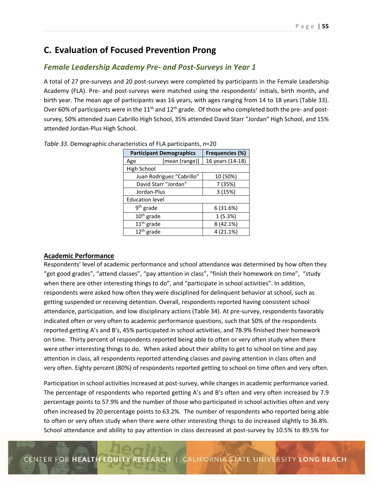# **C. Evaluation of Focused Prevention Prong**

# *Female Leadership Academy Pre‐ and Post‐Surveys in Year 1*

A total of 27 pre‐surveys and 20 post‐surveys were completed by participants in the Female Leadership Academy (FLA). Pre‐ and post‐surveys were matched using the respondents' initials, birth month, and birth year. The mean age of participants was 16 years, with ages ranging from 14 to 18 years (Table 33). Over 60% of participants were in the  $11<sup>th</sup>$  and  $12<sup>th</sup>$  grade. Of those who completed both the pre- and postsurvey, 50% attended Juan Cabrillo High School, 35% attended David Starr "Jordan" High School, and 15% attended Jordan‐Plus High School.

|                        | <b>Participant Demographics</b> | <b>Frequencies (%)</b> |
|------------------------|---------------------------------|------------------------|
| Age                    | [mean (range)]                  | 16 years (14-18)       |
| High School            |                                 |                        |
|                        | Juan Rodriguez "Cabrillo"       | 10 (50%)               |
|                        | David Starr "Jordan"            | 7 (35%)                |
| Jordan-Plus            |                                 | 3(15%)                 |
| <b>Education level</b> |                                 |                        |
| $9th$ grade            |                                 | 6 (31.6%)              |
| $10th$ grade           |                                 | 1(5.3%)                |
| $11th$ grade           |                                 | 8 (42.1%)              |
| $12th$ grade           |                                 | 4 (21.1%)              |

|  | Table 33. Demographic characteristics of FLA participants, n=20 |  |
|--|-----------------------------------------------------------------|--|
|--|-----------------------------------------------------------------|--|

## **Academic Performance**

Respondents' level of academic performance and school attendance was determined by how often they "get good grades", "attend classes", "pay attention in class", "finish their homework on time", "study when there are other interesting things to do", and "participate in school activities". In addition, respondents were asked how often they were disciplined for delinquent behavior at school, such as getting suspended or receiving detention. Overall, respondents reported having consistent school attendance, participation, and low disciplinary actions (Table 34). At pre‐survey, respondents favorably indicated often or very often to academic performance questions, such that 50% of the respondents reported getting A's and B's, 45% participated in school activities, and 78.9% finished their homework on time. Thirty percent of respondents reported being able to often or very often study when there were other interesting things to do. When asked about their ability to get to school on time and pay attention in class, all respondents reported attending classes and paying attention in class often and very often. Eighty percent (80%) of respondents reported getting to school on time often and very often.

Participation in school activities increased at post‐survey, while changes in academic performance varied. The percentage of respondents who reported getting A's and B's often and very often increased by 7.9 percentage points to 57.9% and the number of those who participated in school activities often and very often increased by 20 percentage points to 63.2%. The number of respondents who reported being able to often or very often study when there were other interesting things to do increased slightly to 36.8%. School attendance and ability to pay attention in class decreased at post‐survey by 10.5% to 89.5% for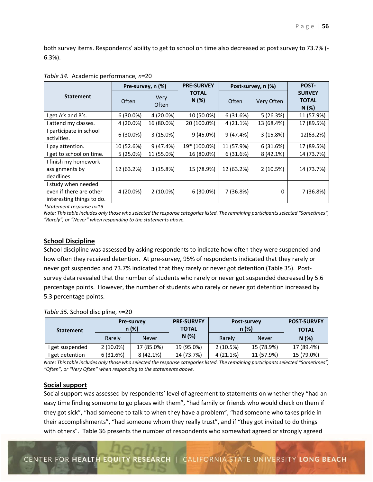both survey items. Respondents' ability to get to school on time also decreased at post survey to 73.7% (‐ 6.3%).

|                                                                             | Pre-survey, n (%) |               | <b>PRE-SURVEY</b>    | Post-survey, n (%) | POST-      |                                       |
|-----------------------------------------------------------------------------|-------------------|---------------|----------------------|--------------------|------------|---------------------------------------|
| <b>Statement</b>                                                            | Often             | Very<br>Often | <b>TOTAL</b><br>N(%) | Often              | Very Often | <b>SURVEY</b><br><b>TOTAL</b><br>N(%) |
| get A's and B's.                                                            | 6(30.0%)          | 4 (20.0%)     | 10 (50.0%)           | 6(31.6%)           | 5(26.3%)   | 11 (57.9%)                            |
| attend my classes.                                                          | 4 (20.0%)         | 16 (80.0%)    | 20 (100.0%)          | 4 (21.1%)          | 13 (68.4%) | 17 (89.5%)                            |
| I participate in school<br>activities.                                      | $6(30.0\%)$       | $3(15.0\%)$   | $9(45.0\%)$          | $9(47.4\%)$        | 3(15.8%)   | 12(63.2%)                             |
| pay attention.                                                              | 10 (52.6%)        | 9(47.4%)      | 19* (100.0%)         | 11 (57.9%)         | 6(31.6%)   | 17 (89.5%)                            |
| I get to school on time.                                                    | 5(25.0%)          | 11 (55.0%)    | 16 (80.0%)           | 6(31.6%)           | 8(42.1%)   | 14 (73.7%)                            |
| I finish my homework<br>assignments by<br>deadlines.                        | 12 (63.2%)        | 3(15.8%)      | 15 (78.9%)           | 12 (63.2%)         | 2(10.5%)   | 14 (73.7%)                            |
| I study when needed<br>even if there are other<br>interesting things to do. | 4 (20.0%)         | $2(10.0\%)$   | $6(30.0\%)$          | 7 (36.8%)          | 0          | 7 (36.8%)                             |

|  |  | Table 34. Academic performance, n=20 |
|--|--|--------------------------------------|
|--|--|--------------------------------------|

*\*Statement response n=19* 

*Note: This table includes only those who selected the response categories listed. The remaining participants selected "Sometimes", "Rarely", or "Never" when responding to the statements above.* 

# **School Discipline**

School discipline was assessed by asking respondents to indicate how often they were suspended and how often they received detention. At pre-survey, 95% of respondents indicated that they rarely or never got suspended and 73.7% indicated that they rarely or never got detention (Table 35). Post‐ survey data revealed that the number of students who rarely or never got suspended decreased by 5.6 percentage points. However, the number of students who rarely or never got detention increased by 5.3 percentage points.

| <b>Statement</b> | <b>Pre-survey</b><br>$n (\%)$ |              | <b>PRE-SURVEY</b><br><b>TOTAL</b> |           | <b>Post-survey</b><br>n(%) | <b>POST-SURVEY</b><br><b>TOTAL</b> |
|------------------|-------------------------------|--------------|-----------------------------------|-----------|----------------------------|------------------------------------|
|                  | Rarely                        | <b>Never</b> | N(%)                              | Rarely    | Never                      | N(%)                               |
| I get suspended  | $2(10.0\%)$                   | 17 (85.0%)   | 19 (95.0%)                        | 2(10.5%)  | 15 (78.9%)                 | 17 (89.4%)                         |
| get detention    | 6(31.6%)                      | $8(42.1\%)$  | 14 (73.7%)                        | 4 (21.1%) | 11 (57.9%)                 | 15 (79.0%)                         |

*Table 35.* School discipline, *n*=20

*Note: This table includes only those who selected the response categories listed. The remaining participants selected "Sometimes",*  "Often", or "Very Often" when responding to the statements above.

#### **Social support**

Social support was assessed by respondents' level of agreement to statements on whether they "had an easy time finding someone to go places with them", "had family or friends who would check on them if they got sick", "had someone to talk to when they have a problem", "had someone who takes pride in their accomplishments", "had someone whom they really trust", and if "they got invited to do things with others". Table 36 presents the number of respondents who somewhat agreed or strongly agreed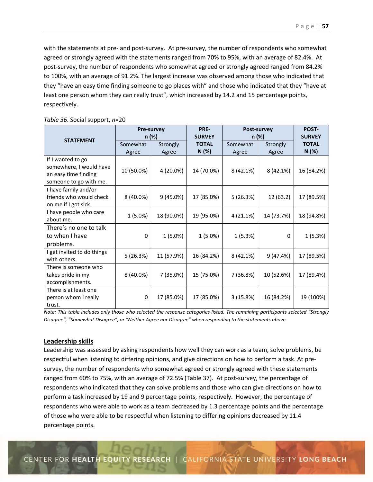with the statements at pre- and post-survey. At pre-survey, the number of respondents who somewhat agreed or strongly agreed with the statements ranged from 70% to 95%, with an average of 82.4%. At post-survey, the number of respondents who somewhat agreed or strongly agreed ranged from 84.2% to 100%, with an average of 91.2%. The largest increase was observed among those who indicated that they "have an easy time finding someone to go places with" and those who indicated that they "have at least one person whom they can really trust", which increased by 14.2 and 15 percentage points, respectively.

|                                                                                                | Pre-survey<br>n (%) |                   | PRE-<br><b>SURVEY</b> | Post-survey<br>n (%) |                   | POST-<br><b>SURVEY</b> |
|------------------------------------------------------------------------------------------------|---------------------|-------------------|-----------------------|----------------------|-------------------|------------------------|
| <b>STATEMENT</b>                                                                               | Somewhat<br>Agree   | Strongly<br>Agree | <b>TOTAL</b><br>N (%) | Somewhat<br>Agree    | Strongly<br>Agree | <b>TOTAL</b><br>N (%)  |
| If I wanted to go<br>somewhere, I would have<br>an easy time finding<br>someone to go with me. | 10 (50.0%)          | 4 (20.0%)         | 14 (70.0%)            | 8 (42.1%)            | 8 (42.1%)         | 16 (84.2%)             |
| I have family and/or<br>friends who would check<br>on me if I got sick.                        | 8 (40.0%)           | 9(45.0%)          | 17 (85.0%)            | 5(26.3%)             | 12 (63.2)         | 17 (89.5%)             |
| I have people who care<br>about me.                                                            | $1(5.0\%)$          | 18 (90.0%)        | 19 (95.0%)            | 4 (21.1%)            | 14 (73.7%)        | 18 (94.8%)             |
| There's no one to talk<br>to when I have<br>problems.                                          | 0                   | 1 (5.0%)          | $1(5.0\%)$            | 1(5.3%)              | 0                 | 1(5.3%)                |
| I get invited to do things<br>with others.                                                     | 5(26.3%)            | 11 (57.9%)        | 16 (84.2%)            | 8 (42.1%)            | 9(47.4%)          | 17 (89.5%)             |
| There is someone who<br>takes pride in my<br>accomplishments.                                  | 8 (40.0%)           | 7 (35.0%)         | 15 (75.0%)            | 7 (36.8%)            | 10 (52.6%)        | 17 (89.4%)             |
| There is at least one<br>person whom I really<br>trust.                                        | 0                   | 17 (85.0%)        | 17 (85.0%)            | 3(15.8%)             | 16 (84.2%)        | 19 (100%)              |

*Table 36*. Social support, *n*=20

*Note: This table includes only those who selected the response categories listed. The remaining participants selected "Strongly Disagree", "Somewhat Disagree", or "Neither Agree nor Disagree" when responding to the statements above.* 

## **Leadership skills**

Leadership was assessed by asking respondents how well they can work as a team, solve problems, be respectful when listening to differing opinions, and give directions on how to perform a task. At presurvey, the number of respondents who somewhat agreed or strongly agreed with these statements ranged from 60% to 75%, with an average of 72.5% (Table 37). At post-survey, the percentage of respondents who indicated that they can solve problems and those who can give directions on how to perform a task increased by 19 and 9 percentage points, respectively. However, the percentage of respondents who were able to work as a team decreased by 1.3 percentage points and the percentage of those who were able to be respectful when listening to differing opinions decreased by 11.4 percentage points.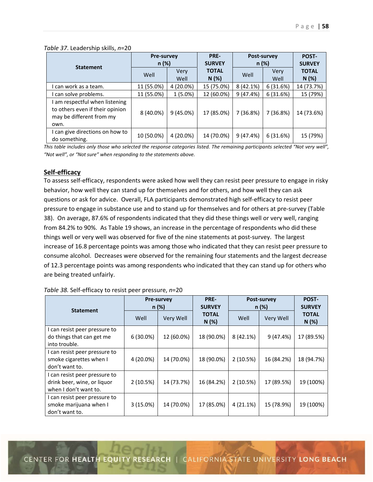|  |  | Table 37. Leadership skills, n=20 |
|--|--|-----------------------------------|
|--|--|-----------------------------------|

| <b>Statement</b>                                                                                      | <b>Pre-survey</b><br>n (%) |              | PRE-<br><b>SURVEY</b> | Post-survey<br>n (%) |                     | POST-<br><b>SURVEY</b> |
|-------------------------------------------------------------------------------------------------------|----------------------------|--------------|-----------------------|----------------------|---------------------|------------------------|
|                                                                                                       | Well                       | Very<br>Well | <b>TOTAL</b><br>N(%)  | Well                 | <b>Very</b><br>Well | <b>TOTAL</b><br>N(%)   |
| I can work as a team.                                                                                 | 11 (55.0%)                 | 4 (20.0%)    | 15 (75.0%)            | 8(42.1%)             | 6(31.6%)            | 14 (73.7%)             |
| I can solve problems.                                                                                 | 11 (55.0%)                 | $1(5.0\%)$   | 12 (60.0%)            | 9(47.4%)             | 6(31.6%)            | 15 (79%)               |
| I am respectful when listening<br>to others even if their opinion<br>may be different from my<br>own. | 8 (40.0%)                  | $9(45.0\%)$  | 17 (85.0%)            | 7 (36.8%)            | 7 (36.8%)           | 14 (73.6%)             |
| I can give directions on how to<br>do something.                                                      | 10 (50.0%)                 | 4 (20.0%)    | 14 (70.0%)            | 9(47.4%)             | 6(31.6%)            | 15 (79%)               |

*This table includes only those who selected the response categories listed. The remaining participants selected "Not very well",*  "Not well", or "Not sure" when responding to the statements above.

## **Self‐efficacy**

To assess self‐efficacy, respondents were asked how well they can resist peer pressure to engage in risky behavior, how well they can stand up for themselves and for others, and how well they can ask questions or ask for advice. Overall, FLA participants demonstrated high self‐efficacy to resist peer pressure to engage in substance use and to stand up for themselves and for others at pre‐survey (Table 38). On average, 87.6% of respondents indicated that they did these things well or very well, ranging from 84.2% to 90%. As Table 19 shows, an increase in the percentage of respondents who did these things well or very well was observed for five of the nine statements at post-survey. The largest increase of 16.8 percentage points was among those who indicated that they can resist peer pressure to consume alcohol. Decreases were observed for the remaining four statements and the largest decrease of 12.3 percentage points was among respondents who indicated that they can stand up for others who are being treated unfairly.

|                                                                                       |             | <b>Pre-survey</b><br>n (%) | <b>PRE-</b><br><b>SURVEY</b> |           | Post-survey<br>n (%) | POST-<br><b>SURVEY</b> |
|---------------------------------------------------------------------------------------|-------------|----------------------------|------------------------------|-----------|----------------------|------------------------|
| <b>Statement</b><br>Well                                                              | Very Well   | <b>TOTAL</b><br>N(%)       | Well                         | Very Well | <b>TOTAL</b><br>N(%) |                        |
| I can resist peer pressure to<br>do things that can get me<br>into trouble.           | $6(30.0\%)$ | 12 (60.0%)                 | 18 (90.0%)                   | 8 (42.1%) | 9(47.4%)             | 17 (89.5%)             |
| I can resist peer pressure to<br>smoke cigarettes when I<br>don't want to.            | 4 (20.0%)   | 14 (70.0%)                 | 18 (90.0%)                   | 2(10.5%)  | 16 (84.2%)           | 18 (94.7%)             |
| I can resist peer pressure to<br>drink beer, wine, or liquor<br>when I don't want to. | 2(10.5%)    | 14 (73.7%)                 | 16 (84.2%)                   | 2(10.5%)  | 17 (89.5%)           | 19 (100%)              |
| I can resist peer pressure to<br>smoke marijuana when I<br>don't want to.             | 3(15.0%)    | 14 (70.0%)                 | 17 (85.0%)                   | 4(21.1%)  | 15 (78.9%)           | 19 (100%)              |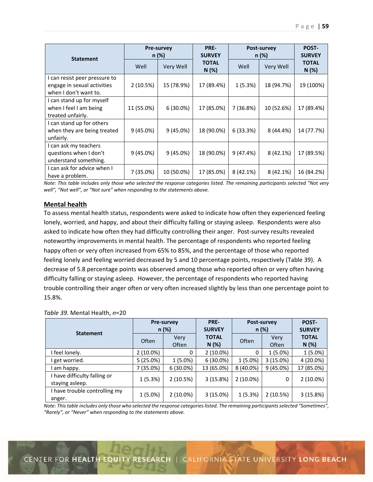|                                                                                       | PRE-<br><b>Pre-survey</b><br><b>SURVEY</b><br>n (%)<br><b>Statement</b> |             |                      | Post-survey<br>n (%) |            | POST-<br><b>SURVEY</b> |
|---------------------------------------------------------------------------------------|-------------------------------------------------------------------------|-------------|----------------------|----------------------|------------|------------------------|
|                                                                                       | Well                                                                    | Very Well   | <b>TOTAL</b><br>N(%) | Well                 | Very Well  | <b>TOTAL</b><br>N(%)   |
| I can resist peer pressure to<br>engage in sexual activities<br>when I don't want to. | 2(10.5%)                                                                | 15 (78.9%)  | 17 (89.4%)           | 1(5.3%)              | 18 (94.7%) | 19 (100%)              |
| I can stand up for myself<br>when I feel I am being<br>treated unfairly.              | 11 (55.0%)                                                              | $6(30.0\%)$ | 17 (85.0%)           | 7 (36.8%)            | 10 (52.6%) | 17 (89.4%)             |
| I can stand up for others<br>when they are being treated<br>unfairly.                 | 9(45.0%)                                                                | 9(45.0%)    | 18 (90.0%)           | 6(33.3%)             | 8 (44.4%)  | 14 (77.7%)             |
| I can ask my teachers<br>questions when I don't<br>understand something.              | 9(45.0%)                                                                | 9(45.0%)    | 18 (90.0%)           | 9(47.4%)             | 8(42.1%)   | 17 (89.5%)             |
| I can ask for advice when I<br>have a problem.                                        | 7 (35.0%)                                                               | 10 (50.0%)  | 17 (85.0%)           | 8 (42.1%)            | 8 (42.1%)  | 16 (84.2%)             |

*Note: This table includes only those who selected the response categories listed. The remaining participants selected "Not very well", "Not well", or "Not sure" when responding to the statements above.* 

## **Mental health**

To assess mental health status, respondents were asked to indicate how often they experienced feeling lonely, worried, and happy, and about their difficulty falling or staying asleep. Respondents were also asked to indicate how often they had difficulty controlling their anger. Post-survey results revealed noteworthy improvements in mental health. The percentage of respondents who reported feeling happy often or very often increased from 65% to 85%, and the percentage of those who reported feeling lonely and feeling worried decreased by 5 and 10 percentage points, respectively (Table 39). A decrease of 5.8 percentage points was observed among those who reported often or very often having difficulty falling or staying asleep. However, the percentage of respondents who reported having trouble controlling their anger often or very often increased slightly by less than one percentage point to 15.8%.

|                                               | <b>Pre-survey</b><br>n (%) |               | PRE-<br><b>SURVEY</b> | Post-survey<br>n (%) |               | POST-<br><b>SURVEY</b> |
|-----------------------------------------------|----------------------------|---------------|-----------------------|----------------------|---------------|------------------------|
| <b>Statement</b>                              | Often                      | Very<br>Often | <b>TOTAL</b><br>N(%)  | Often                | Very<br>Often | <b>TOTAL</b><br>N(%)   |
| I feel lonely.                                | $2(10.0\%)$                | 0             | $2(10.0\%)$           | 0                    | $1(5.0\%)$    | $1(5.0\%)$             |
| get worried.                                  | 5(25.0%)                   | $1(5.0\%)$    | $6(30.0\%)$           | $1(5.0\%)$           | 3(15.0%)      | 4 (20.0%)              |
| am happy.                                     | 7 (35.0%)                  | $6(30.0\%)$   | 13 (65.0%)            | 8 (40.0%)            | $9(45.0\%)$   | 17 (85.0%)             |
| have difficulty falling or<br>staying asleep. | 1(5.3%)                    | 2(10.5%)      | 3(15.8%)              | $2(10.0\%)$          | 0             | $2(10.0\%)$            |
| I have trouble controlling my<br>anger.       | $1(5.0\%)$                 | $2(10.0\%)$   | 3(15.0%)              | 1(5.3%)              | 2(10.5%)      | 3 (15.8%)              |

#### *Table 39.* Mental Health, *n*=20

*Note: This table includes only those who selected the response categories listed. The remaining participants selected "Sometimes", "Rarely", or "Never" when responding to the statements above.*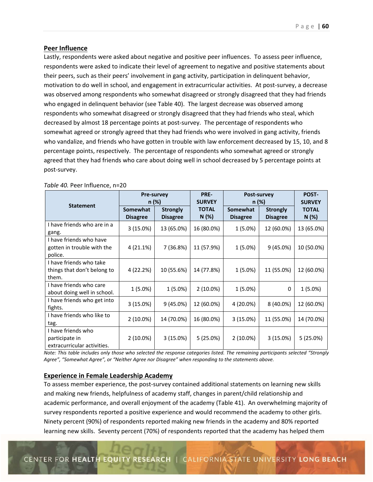### **Peer Influence**

Lastly, respondents were asked about negative and positive peer influences. To assess peer influence, respondents were asked to indicate their level of agreement to negative and positive statements about their peers, such as their peers' involvement in gang activity, participation in delinquent behavior, motivation to do well in school, and engagement in extracurricular activities. At post‐survey, a decrease was observed among respondents who somewhat disagreed or strongly disagreed that they had friends who engaged in delinquent behavior (see Table 40). The largest decrease was observed among respondents who somewhat disagreed or strongly disagreed that they had friends who steal, which decreased by almost 18 percentage points at post‐survey. The percentage of respondents who somewhat agreed or strongly agreed that they had friends who were involved in gang activity, friends who vandalize, and friends who have gotten in trouble with law enforcement decreased by 15, 10, and 8 percentage points, respectively. The percentage of respondents who somewhat agreed or strongly agreed that they had friends who care about doing well in school decreased by 5 percentage points at post‐survey.

|                                                                     | Pre-survey<br>n (%)         |                                    | PRE-<br><b>SURVEY</b> | Post-survey<br>n (%)        |                                    | POST-<br><b>SURVEY</b> |
|---------------------------------------------------------------------|-----------------------------|------------------------------------|-----------------------|-----------------------------|------------------------------------|------------------------|
| <b>Statement</b>                                                    | Somewhat<br><b>Disagree</b> | <b>Strongly</b><br><b>Disagree</b> | <b>TOTAL</b><br>N (%) | Somewhat<br><b>Disagree</b> | <b>Strongly</b><br><b>Disagree</b> | <b>TOTAL</b><br>N (%)  |
| I have friends who are in a<br>gang.                                | 3 (15.0%)                   | 13 (65.0%)                         | 16 (80.0%)            | 1 (5.0%)                    | 12 (60.0%)                         | 13 (65.0%)             |
| I have friends who have<br>gotten in trouble with the<br>police.    | 4 (21.1%)                   | 7 (36.8%)                          | 11 (57.9%)            | $1(5.0\%)$                  | 9(45.0%)                           | 10 (50.0%)             |
| I have friends who take<br>things that don't belong to<br>them.     | 4 (22.2%)                   | 10 (55.6%)                         | 14 (77.8%)            | $1(5.0\%)$                  | 11 (55.0%)                         | 12 (60.0%)             |
| I have friends who care<br>about doing well in school.              | $1(5.0\%)$                  | $1(5.0\%)$                         | $2(10.0\%)$           | $1(5.0\%)$                  | 0                                  | $1(5.0\%)$             |
| I have friends who get into<br>fights.                              | 3 (15.0%)                   | 9 (45.0%)                          | 12 (60.0%)            | 4 (20.0%)                   | 8 (40.0%)                          | 12 (60.0%)             |
| I have friends who like to<br>tag.                                  | $2(10.0\%)$                 | 14 (70.0%)                         | 16 (80.0%)            | 3(15.0%)                    | 11 (55.0%)                         | 14 (70.0%)             |
| I have friends who<br>participate in<br>extracurricular activities. | 2 (10.0%)                   | 3(15.0%)                           | 5(25.0%)              | $2(10.0\%)$                 | 3 (15.0%)                          | 5(25.0%)               |

*Table 40.* Peer Influence, n=20

*Note: This table includes only those who selected the response categories listed. The remaining participants selected "Strongly Agree", "Somewhat Agree", or "Neither Agree nor Disagree" when responding to the statements above.* 

#### **Experience in Female Leadership Academy**

To assess member experience, the post‐survey contained additional statements on learning new skills and making new friends, helpfulness of academy staff, changes in parent/child relationship and academic performance, and overall enjoyment of the academy (Table 41). An overwhelming majority of survey respondents reported a positive experience and would recommend the academy to other girls. Ninety percent (90%) of respondents reported making new friends in the academy and 80% reported learning new skills. Seventy percent (70%) of respondents reported that the academy has helped them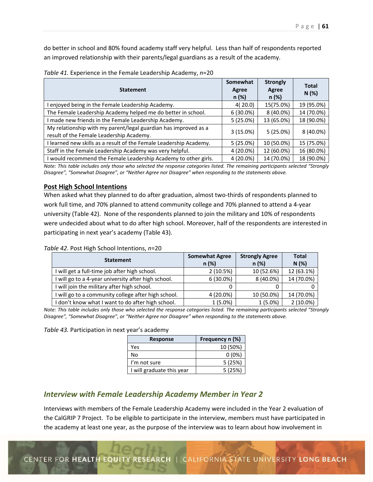do better in school and 80% found academy staff very helpful. Less than half of respondents reported an improved relationship with their parents/legal guardians as a result of the academy.

| <b>Statement</b>                                                                                            | Somewhat<br>Agree<br>$n (\%)$ | <b>Strongly</b><br>Agree<br>$n (\%)$ | <b>Total</b><br>N(%) |
|-------------------------------------------------------------------------------------------------------------|-------------------------------|--------------------------------------|----------------------|
| enjoyed being in the Female Leadership Academy.                                                             | 4(20.0)                       | 15(75.0%)                            | 19 (95.0%)           |
| The Female Leadership Academy helped me do better in school.                                                | $6(30.0\%)$                   | 8 (40.0%)                            | 14 (70.0%)           |
| made new friends in the Female Leadership Academy.                                                          | 5(25.0%)                      | 13 (65.0%)                           | 18 (90.0%)           |
| My relationship with my parent/legal guardian has improved as a<br>result of the Female Leadership Academy. | $3(15.0\%)$                   | $5(25.0\%)$                          | 8 (40.0%)            |
| learned new skills as a result of the Female Leadership Academy.                                            | $5(25.0\%)$                   | 10 (50.0%)                           | 15 (75.0%)           |
| Staff in the Female Leadership Academy was very helpful.                                                    | 4 (20.0%)                     | 12 (60.0%)                           | 16 (80.0%)           |
| would recommend the Female Leadership Academy to other girls.                                               | 4 (20.0%)                     | 14 (70.0%)                           | 18 (90.0%)           |

*Note: This table includes only those who selected the response categories listed. The remaining participants selected "Strongly Disagree", "Somewhat Disagree", or "Neither Agree nor Disagree" when responding to the statements above.* 

## **Post High School Intentions**

When asked what they planned to do after graduation, almost two-thirds of respondents planned to work full time, and 70% planned to attend community college and 70% planned to attend a 4‐year university (Table 42). None of the respondents planned to join the military and 10% of respondents were undecided about what to do after high school. Moreover, half of the respondents are interested in participating in next year's academy (Table 43).

*Table 42*. Post High School Intentions, *n*=20

| <b>Statement</b>                                    | <b>Somewhat Agree</b><br>n(%) | <b>Strongly Agree</b><br>$n (\%)$ | <b>Total</b><br>N(%) |
|-----------------------------------------------------|-------------------------------|-----------------------------------|----------------------|
| I will get a full-time job after high school.       | 2(10.5%)                      | 10 (52.6%)                        | 12 (63.1%)           |
| I will go to a 4-year university after high school. | $6(30.0\%)$                   | 8 (40.0%)                         | 14 (70.0%)           |
| I will join the military after high school.         |                               |                                   |                      |
| I will go to a community college after high school. | 4 (20.0%)                     | 10 (50.0%)                        | 14 (70.0%)           |
| I don't know what I want to do after high school.   | $1(5.0\%)$                    | $1(5.0\%)$                        | $2(10.0\%)$          |

*Note: This table includes only those who selected the response categories listed. The remaining participants selected "Strongly Disagree", "Somewhat Disagree", or "Neither Agree nor Disagree" when responding to the statements above.* 

*Table 43.* Participation in next year's academy

| <b>Response</b>           | Frequency n (%) |
|---------------------------|-----------------|
| Yes                       | 10 (50%)        |
| No                        | $0(0\%)$        |
| I'm not sure              | 5(25%)          |
| I will graduate this year | 5(25%)          |

# *Interview with Female Leadership Academy Member in Year 2*

Interviews with members of the Female Leadership Academy were included in the Year 2 evaluation of the CalGRIP 7 Project. To be eligible to participate in the interview, members must have participated in the academy at least one year, as the purpose of the interview was to learn about how involvement in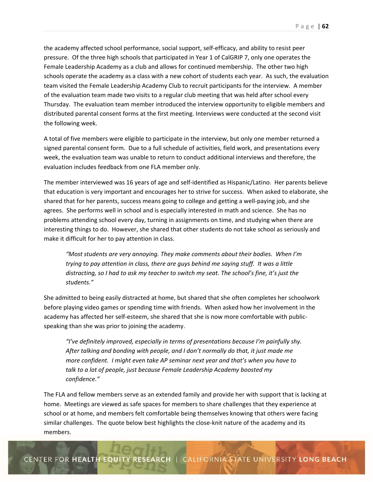the academy affected school performance, social support, self-efficacy, and ability to resist peer pressure. Of the three high schools that participated in Year 1 of CalGRIP 7, only one operates the Female Leadership Academy as a club and allows for continued membership. The other two high schools operate the academy as a class with a new cohort of students each year. As such, the evaluation team visited the Female Leadership Academy Club to recruit participants for the interview. A member of the evaluation team made two visits to a regular club meeting that was held after school every Thursday. The evaluation team member introduced the interview opportunity to eligible members and distributed parental consent forms at the first meeting. Interviews were conducted at the second visit the following week.

A total of five members were eligible to participate in the interview, but only one member returned a signed parental consent form. Due to a full schedule of activities, field work, and presentations every week, the evaluation team was unable to return to conduct additional interviews and therefore, the evaluation includes feedback from one FLA member only.

The member interviewed was 16 years of age and self‐identified as Hispanic/Latino. Her parents believe that education is very important and encourages her to strive for success. When asked to elaborate, she shared that for her parents, success means going to college and getting a well‐paying job, and she agrees. She performs well in school and is especially interested in math and science. She has no problems attending school every day, turning in assignments on time, and studying when there are interesting things to do. However, she shared that other students do not take school as seriously and make it difficult for her to pay attention in class.

*"Most students are very annoying. They make comments about their bodies. When I'm trying to pay attention in class, there are guys behind me saying stuff. It was a little distracting, so I had to ask my teacher to switch my seat. The school's fine, it's just the students."* 

She admitted to being easily distracted at home, but shared that she often completes her schoolwork before playing video games or spending time with friends. When asked how her involvement in the academy has affected her self‐esteem, she shared that she is now more comfortable with public‐ speaking than she was prior to joining the academy.

*"I've definitely improved, especially in terms of presentations because I'm painfully shy. After talking and bonding with people, and I don't normally do that, it just made me more confident. I might even take AP seminar next year and that's when you have to talk to a lot of people, just because Female Leadership Academy boosted my confidence."* 

The FLA and fellow members serve as an extended family and provide her with support that is lacking at home. Meetings are viewed as safe spaces for members to share challenges that they experience at school or at home, and members felt comfortable being themselves knowing that others were facing similar challenges. The quote below best highlights the close‐knit nature of the academy and its members.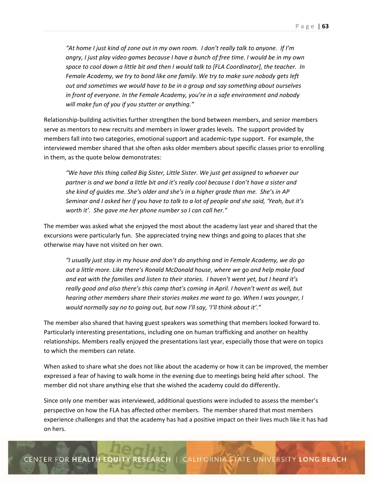*"At home I just kind of zone out in my own room. I don't really talk to anyone. If I'm angry, I just play video games because I have a bunch of free time. I would be in my own space to cool down a little bit and then I would talk to [FLA Coordinator], the teacher. In Female Academy, we try to bond like one family. We try to make sure nobody gets left out and sometimes we would have to be in a group and say something about ourselves in front of everyone. In the Female Academy, you're in a safe environment and nobody will make fun of you if you stutter or anything."* 

Relationship‐building activities further strengthen the bond between members, and senior members serve as mentors to new recruits and members in lower grades levels. The support provided by members fall into two categories, emotional support and academic‐type support. For example, the interviewed member shared that she often asks older members about specific classes prior to enrolling in them, as the quote below demonstrates:

*"We have this thing called Big Sister, Little Sister. We just get assigned to whoever our partner is and we bond a little bit and it's really cool because I don't have a sister and she kind of guides me. She's older and she's in a higher grade than me. She's in AP Seminar and I asked her if you have to talk to a lot of people and she said, 'Yeah, but it's worth it'. She gave me her phone number so I can call her."* 

The member was asked what she enjoyed the most about the academy last year and shared that the excursions were particularly fun. She appreciated trying new things and going to places that she otherwise may have not visited on her own.

*"I usually just stay in my house and don't do anything and in Female Academy, we do go out a little more. Like there's Ronald McDonald house, where we go and help make food and eat with the families and listen to their stories. I haven't went yet, but I heard it's really good and also there's this camp that's coming in April. I haven't went as well, but hearing other members share their stories makes me want to go. When I was younger, I*  would normally say no to going out, but now I'll say, 'I'll think about it'."

The member also shared that having guest speakers was something that members looked forward to. Particularly interesting presentations, including one on human trafficking and another on healthy relationships. Members really enjoyed the presentations last year, especially those that were on topics to which the members can relate.

When asked to share what she does not like about the academy or how it can be improved, the member expressed a fear of having to walk home in the evening due to meetings being held after school. The member did not share anything else that she wished the academy could do differently.

Since only one member was interviewed, additional questions were included to assess the member's perspective on how the FLA has affected other members. The member shared that most members experience challenges and that the academy has had a positive impact on their lives much like it has had on hers.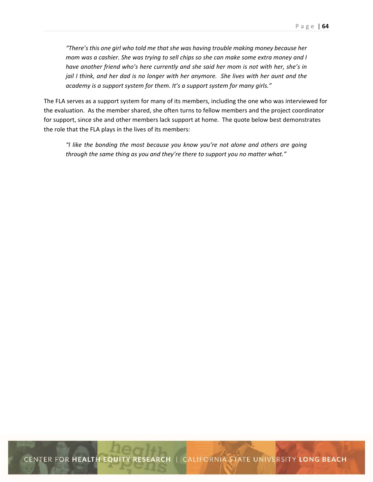*"There's this one girl who told me that she was having trouble making money because her mom was a cashier. She was trying to sell chips so she can make some extra money and I have another friend who's here currently and she said her mom is not with her, she's in jail I think, and her dad is no longer with her anymore. She lives with her aunt and the academy is a support system for them. It's a support system for many girls."* 

The FLA serves as a support system for many of its members, including the one who was interviewed for the evaluation. As the member shared, she often turns to fellow members and the project coordinator for support, since she and other members lack support at home. The quote below best demonstrates the role that the FLA plays in the lives of its members:

*"I like the bonding the most because you know you're not alone and others are going through the same thing as you and they're there to support you no matter what."*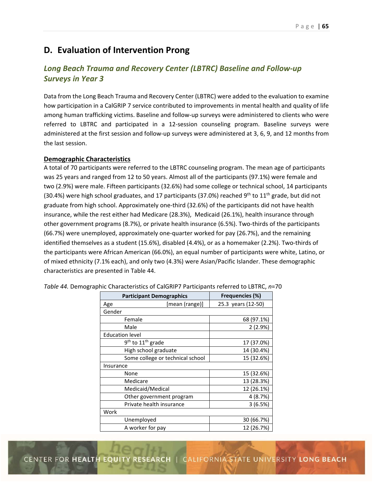# **D. Evaluation of Intervention Prong**

# *Long Beach Trauma and Recovery Center (LBTRC) Baseline and Follow‐up Surveys in Year 3*

Data from the Long Beach Trauma and Recovery Center (LBTRC) were added to the evaluation to examine how participation in a CalGRIP 7 service contributed to improvements in mental health and quality of life among human trafficking victims. Baseline and follow-up surveys were administered to clients who were referred to LBTRC and participated in a 12‐session counseling program. Baseline surveys were administered at the first session and follow‐up surveys were administered at 3, 6, 9, and 12 months from the last session.

## **Demographic Characteristics**

A total of 70 participants were referred to the LBTRC counseling program. The mean age of participants was 25 years and ranged from 12 to 50 years. Almost all of the participants (97.1%) were female and two (2.9%) were male. Fifteen participants (32.6%) had some college or technical school, 14 participants (30.4%) were high school graduates, and 17 participants (37.0%) reached 9<sup>th</sup> to 11<sup>th</sup> grade, but did not graduate from high school. Approximately one‐third (32.6%) of the participants did not have health insurance, while the rest either had Medicare (28.3%), Medicaid (26.1%), health insurance through other government programs (8.7%), or private health insurance (6.5%). Two‐thirds of the participants (66.7%) were unemployed, approximately one‐quarter worked for pay (26.7%), and the remaining identified themselves as a student (15.6%), disabled (4.4%), or as a homemaker (2.2%). Two‐thirds of the participants were African American (66.0%), an equal number of participants were white, Latino, or of mixed ethnicity (7.1% each), and only two (4.3%) were Asian/Pacific Islander. These demographic characteristics are presented in Table 44.

| <b>Participant Demographics</b>           | <b>Frequencies (%)</b> |
|-------------------------------------------|------------------------|
| [mean (range)]<br>Age                     | 25.3 years (12-50)     |
| Gender                                    |                        |
| Female                                    | 68 (97.1%)             |
| Male                                      | 2(2.9%)                |
| <b>Education level</b>                    |                        |
| 9 <sup>th</sup> to 11 <sup>th</sup> grade | 17 (37.0%)             |
| High school graduate                      | 14 (30.4%)             |
| Some college or technical school          | 15 (32.6%)             |
| Insurance                                 |                        |
| None                                      | 15 (32.6%)             |
| Medicare                                  | 13 (28.3%)             |
| Medicaid/Medical                          | 12 (26.1%)             |
| Other government program                  | 4 (8.7%)               |
| Private health insurance                  | 3(6.5%)                |
| Work                                      |                        |
| Unemployed                                | 30 (66.7%)             |
| A worker for pay                          | 12 (26.7%)             |

*Table 44.* Demographic Characteristics of CalGRIP7 Participants referred to LBTRC, *n*=70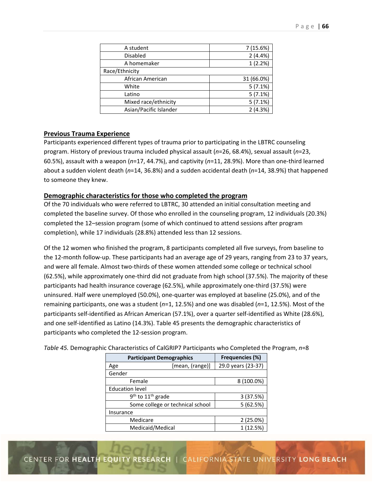| A student              | 7 (15.6%)  |
|------------------------|------------|
| <b>Disabled</b>        | 2(4.4%)    |
| A homemaker            | 1(2.2%)    |
| Race/Ethnicity         |            |
| African American       | 31 (66.0%) |
| White                  | 5(7.1%)    |
| Latino                 | 5(7.1%)    |
| Mixed race/ethnicity   | 5(7.1%)    |
| Asian/Pacific Islander | 2(4.3%)    |

## **Previous Trauma Experience**

Participants experienced different types of trauma prior to participating in the LBTRC counseling program. History of previous trauma included physical assault (*n*=26, 68.4%), sexual assault (*n*=23, 60.5%), assault with a weapon (*n*=17, 44.7%), and captivity (*n*=11, 28.9%). More than one‐third learned about a sudden violent death (*n*=14, 36.8%) and a sudden accidental death (*n*=14, 38.9%) that happened to someone they knew.

## **Demographic characteristics for those who completed the program**

Of the 70 individuals who were referred to LBTRC, 30 attended an initial consultation meeting and completed the baseline survey. Of those who enrolled in the counseling program, 12 individuals (20.3%) completed the 12–session program (some of which continued to attend sessions after program completion), while 17 individuals (28.8%) attended less than 12 sessions.

Of the 12 women who finished the program, 8 participants completed all five surveys, from baseline to the 12-month follow-up. These participants had an average age of 29 years, ranging from 23 to 37 years, and were all female. Almost two-thirds of these women attended some college or technical school (62.5%), while approximately one‐third did not graduate from high school (37.5%). The majority of these participants had health insurance coverage (62.5%), while approximately one‐third (37.5%) were uninsured. Half were unemployed (50.0%), one‐quarter was employed at baseline (25.0%), and of the remaining participants, one was a student (*n*=1, 12.5%) and one was disabled (*n*=1, 12.5%). Most of the participants self‐identified as African American (57.1%), over a quarter self‐identified as White (28.6%), and one self‐identified as Latino (14.3%). Table 45 presents the demographic characteristics of participants who completed the 12‐session program.

| <b>Participant Demographics</b>           | Frequencies (%) |                    |  |
|-------------------------------------------|-----------------|--------------------|--|
| Age                                       | [mean, (range)] | 29.0 years (23-37) |  |
| Gender                                    |                 |                    |  |
| Female                                    |                 | 8 (100.0%)         |  |
| <b>Education level</b>                    |                 |                    |  |
| 9 <sup>th</sup> to 11 <sup>th</sup> grade | 3 (37.5%)       |                    |  |
| Some college or technical school          | 5(62.5%)        |                    |  |
| Insurance                                 |                 |                    |  |
| Medicare                                  |                 | 2(25.0%)           |  |
| Medicaid/Medical                          |                 | 1 (12.5%)          |  |

*Table 45.* Demographic Characteristics of CalGRIP7 Participants who Completed the Program, *n*=8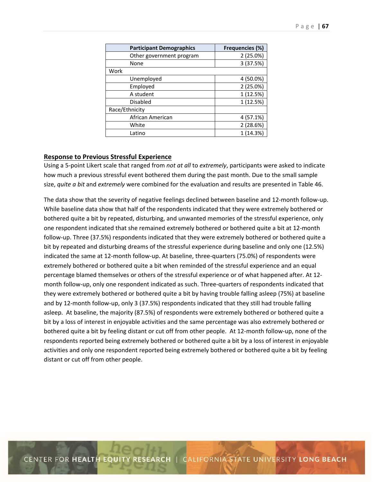| <b>Participant Demographics</b> | <b>Frequencies (%)</b> |  |  |
|---------------------------------|------------------------|--|--|
| Other government program        | 2(25.0%)               |  |  |
| None                            | 3 (37.5%)              |  |  |
| Work                            |                        |  |  |
| Unemployed                      | 4 (50.0%)              |  |  |
| Employed                        | 2(25.0%)               |  |  |
| A student                       | 1 (12.5%)              |  |  |
| <b>Disabled</b>                 | 1 (12.5%)              |  |  |
| Race/Ethnicity                  |                        |  |  |
| African American                | 4 (57.1%)              |  |  |
| White                           | 2(28.6%)               |  |  |
| Latino                          | (14.3%)                |  |  |

### **Response to Previous Stressful Experience**

Using a 5‐point Likert scale that ranged from *not at all* to *extremely*, participants were asked to indicate how much a previous stressful event bothered them during the past month. Due to the small sample size, *quite a bit* and *extremely* were combined for the evaluation and results are presented in Table 46.

The data show that the severity of negative feelings declined between baseline and 12‐month follow‐up. While baseline data show that half of the respondents indicated that they were extremely bothered or bothered quite a bit by repeated, disturbing, and unwanted memories of the stressful experience, only one respondent indicated that she remained extremely bothered or bothered quite a bit at 12‐month follow‐up. Three (37.5%) respondents indicated that they were extremely bothered or bothered quite a bit by repeated and disturbing dreams of the stressful experience during baseline and only one (12.5%) indicated the same at 12‐month follow‐up. At baseline, three‐quarters (75.0%) of respondents were extremely bothered or bothered quite a bit when reminded of the stressful experience and an equal percentage blamed themselves or others of the stressful experience or of what happened after. At 12‐ month follow-up, only one respondent indicated as such. Three-quarters of respondents indicated that they were extremely bothered or bothered quite a bit by having trouble falling asleep (75%) at baseline and by 12-month follow-up, only 3 (37.5%) respondents indicated that they still had trouble falling asleep. At baseline, the majority (87.5%) of respondents were extremely bothered or bothered quite a bit by a loss of interest in enjoyable activities and the same percentage was also extremely bothered or bothered quite a bit by feeling distant or cut off from other people. At 12-month follow-up, none of the respondents reported being extremely bothered or bothered quite a bit by a loss of interest in enjoyable activities and only one respondent reported being extremely bothered or bothered quite a bit by feeling distant or cut off from other people.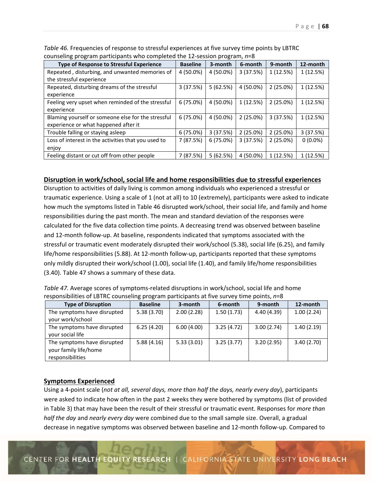| <b>Type of Response to Stressful Experience</b>     | <b>Baseline</b> | 3-month     | 6-month   | 9-month     | 12-month   |
|-----------------------------------------------------|-----------------|-------------|-----------|-------------|------------|
| Repeated, disturbing, and unwanted memories of      | 4 (50.0%)       | 4 (50.0%)   | 3(37.5%)  | 1(12.5%)    | 1(12.5%)   |
| the stressful experience                            |                 |             |           |             |            |
| Repeated, disturbing dreams of the stressful        | 3(37.5%)        | 5(62.5%)    | 4 (50.0%) | 2(25.0%)    | 1(12.5%)   |
| experience                                          |                 |             |           |             |            |
| Feeling very upset when reminded of the stressful   | 6(75.0%)        | 4 (50.0%)   | 1(12.5%)  | $2(25.0\%)$ | 1 (12.5%)  |
| experience                                          |                 |             |           |             |            |
| Blaming yourself or someone else for the stressful  | 6(75.0%)        | 4 (50.0%)   | 2(25.0%)  | 3(37.5%)    | 1(12.5%)   |
| experience or what happened after it                |                 |             |           |             |            |
| Trouble falling or staying asleep                   | 6(75.0%)        | 3(37.5%)    | 2(25.0%)  | 2(25.0%)    | 3(37.5%)   |
| Loss of interest in the activities that you used to | 7 (87.5%)       | $6(75.0\%)$ | 3(37.5%)  | $2(25.0\%)$ | $0(0.0\%)$ |
| enjoy                                               |                 |             |           |             |            |
| Feeling distant or cut off from other people        | 7 (87.5%)       | 5(62.5%)    | 4 (50.0%) | 1 (12.5%)   | 1 (12.5%)  |

*Table 46.* Frequencies of response to stressful experiences at five survey time points by LBTRC counseling program participants who completed the 12‐session program, *n*=8

## **Disruption in work/school, social life and home responsibilities due to stressful experiences**

Disruption to activities of daily living is common among individuals who experienced a stressful or traumatic experience. Using a scale of 1 (not at all) to 10 (extremely), participants were asked to indicate how much the symptoms listed in Table 46 disrupted work/school, their social life, and family and home responsibilities during the past month. The mean and standard deviation of the responses were calculated for the five data collection time points. A decreasing trend was observed between baseline and 12-month follow-up. At baseline, respondents indicated that symptoms associated with the stressful or traumatic event moderately disrupted their work/school (5.38), social life (6.25), and family life/home responsibilities (5.88). At 12‐month follow‐up, participants reported that these symptoms only mildly disrupted their work/school (1.00), social life (1.40), and family life/home responsibilities (3.40). Table 47 shows a summary of these data.

| <b>Type of Disruption</b>                                                | <b>Baseline</b> | 3-month    | 6-month    | 9-month    | 12-month   |
|--------------------------------------------------------------------------|-----------------|------------|------------|------------|------------|
| The symptoms have disrupted<br>your work/school                          | 5.38(3.70)      | 2.00(2.28) | 1.50(1.73) | 4.40(4.39) | 1.00(2.24) |
| The symptoms have disrupted<br>your social life                          | 6.25(4.20)      | 6.00(4.00) | 3.25(4.72) | 3.00(2.74) | 1.40(2.19) |
| The symptoms have disrupted<br>your family life/home<br>responsibilities | 5.88(4.16)      | 5.33(3.01) | 3.25(3.77) | 3.20(2.95) | 3.40(2.70) |

*Table 47.* Average scores of symptoms-related disruptions in work/school, social life and home responsibilities of LBTRC counseling program participants at five survey time points, *n*=8

## **Symptoms Experienced**

Using a 4‐point scale (*not at all, several days, more than half the days, nearly every day*), participants were asked to indicate how often in the past 2 weeks they were bothered by symptoms (list of provided in Table 3) that may have been the result of their stressful or traumatic event. Responses for *more than half the day* and *nearly every day* were combined due to the small sample size. Overall, a gradual decrease in negative symptoms was observed between baseline and 12‐month follow‐up. Compared to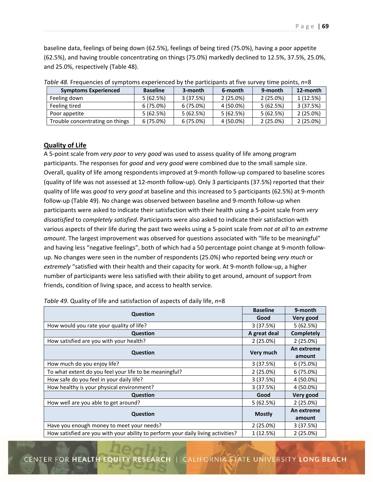baseline data, feelings of being down (62.5%), feelings of being tired (75.0%), having a poor appetite (62.5%), and having trouble concentrating on things (75.0%) markedly declined to 12.5%, 37.5%, 25.0%, and 25.0%, respectively (Table 48).

| <b>Symptoms Experienced</b>     | <b>Baseline</b> | 3-month     | 6-month     | 9-month     | 12-month    |
|---------------------------------|-----------------|-------------|-------------|-------------|-------------|
|                                 |                 |             |             |             |             |
| Feeling down                    | 5(62.5%)        | 3(37.5%)    | $2(25.0\%)$ | $2(25.0\%)$ | 1 (12.5%)   |
| Feeling tired                   | $6(75.0\%)$     | $6(75.0\%)$ | 4 (50.0%)   | 5(62.5%)    | 3(37.5%)    |
| Poor appetite                   | 5(62.5%)        | 5(62.5%)    | 5(62.5%)    | 5(62.5%)    | $2(25.0\%)$ |
| Trouble concentrating on things | $6(75.0\%)$     | $6(75.0\%)$ | 4 (50.0%)   | 2(25.0%)    | $2(25.0\%)$ |

*Table 48.* Frequencies of symptoms experienced by the participants at five survey time points,  $n=8$ 

## **Quality of Life**

A 5‐point scale from *very poor* to *very good* was used to assess quality of life among program participants. The responses for *good* and *very good* were combined due to the small sample size. Overall, quality of life among respondents improved at 9‐month follow‐up compared to baseline scores (quality of life was not assessed at 12‐month follow‐up). Only 3 participants (37.5%) reported that their quality of life was *good* to *very good* at baseline and this increased to 5 participants (62.5%) at 9‐month follow‐up (Table 49). No change was observed between baseline and 9‐month follow‐up when participants were asked to indicate their satisfaction with their health using a 5‐point scale from *very dissatisfied* to *completely satisfied*. Participants were also asked to indicate their satisfaction with various aspects of their life during the past two weeks using a 5‐point scale from *not at all* to *an extreme amount*. The largest improvement was observed for questions associated with "life to be meaningful" and having less "negative feelings", both of which had a 50 percentage point change at 9-month followup. No changes were seen in the number of respondents (25.0%) who reported being *very much* or *extremely* "satisfied with their health and their capacity for work. At 9‐month follow‐up, a higher number of participants were less satisfied with their ability to get around, amount of support from friends, condition of living space, and access to health service.

|                                                                                  | <b>Baseline</b> | 9-month           |
|----------------------------------------------------------------------------------|-----------------|-------------------|
| Question                                                                         | Good            | Very good         |
| How would you rate your quality of life?                                         | 3(37.5%)        | 5(62.5%)          |
| Question                                                                         | A great deal    | <b>Completely</b> |
| How satisfied are you with your health?                                          | 2(25.0%)        | 2(25.0%)          |
| Question                                                                         | Very much       | An extreme        |
|                                                                                  |                 | amount            |
| How much do you enjoy life?                                                      | 3(37.5%)        | $6(75.0\%)$       |
| To what extent do you feel your life to be meaningful?                           | 2(25.0%)        | 6(75.0%)          |
| How safe do you feel in your daily life?                                         | 3(37.5%)        | 4 (50.0%)         |
| How healthy is your physical environment?                                        | 3(37.5%)        | 4 (50.0%)         |
| <b>Question</b>                                                                  | Good            | Very good         |
| How well are you able to get around?                                             | 5(62.5%)        | 2(25.0%)          |
|                                                                                  |                 | An extreme        |
| Question                                                                         | <b>Mostly</b>   | amount            |
| Have you enough money to meet your needs?                                        | 2(25.0%)        | 3(37.5%)          |
| How satisfied are you with your ability to perform your daily living activities? | 1(12.5%)        | 2(25.0%)          |

*Table 49.* Quality of life and satisfaction of aspects of daily life, *n*=8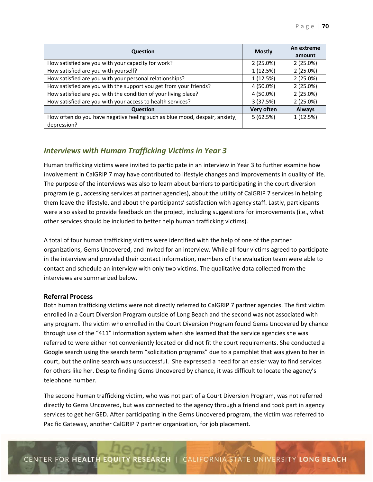| <b>Question</b>                                                                            | <b>Mostly</b> | An extreme<br>amount |
|--------------------------------------------------------------------------------------------|---------------|----------------------|
| How satisfied are you with your capacity for work?                                         | 2(25.0%)      | 2(25.0%)             |
| How satisfied are you with yourself?                                                       | 1 (12.5%)     | 2(25.0%)             |
| How satisfied are you with your personal relationships?                                    | 1 (12.5%)     | 2(25.0%)             |
| How satisfied are you with the support you get from your friends?                          | 4 (50.0%)     | 2(25.0%)             |
| How satisfied are you with the condition of your living place?                             | 4 (50.0%)     | 2(25.0%)             |
| How satisfied are you with your access to health services?                                 | 3(37.5%)      | 2(25.0%)             |
| <b>Question</b>                                                                            | Very often    | <b>Always</b>        |
| How often do you have negative feeling such as blue mood, despair, anxiety,<br>depression? | 5(62.5%)      | 1(12.5%)             |

# *Interviews with Human Trafficking Victims in Year 3*

Human trafficking victims were invited to participate in an interview in Year 3 to further examine how involvement in CalGRIP 7 may have contributed to lifestyle changes and improvements in quality of life. The purpose of the interviews was also to learn about barriers to participating in the court diversion program (e.g., accessing services at partner agencies), about the utility of CalGRIP 7 services in helping them leave the lifestyle, and about the participants' satisfaction with agency staff. Lastly, participants were also asked to provide feedback on the project, including suggestions for improvements (i.e., what other services should be included to better help human trafficking victims).

A total of four human trafficking victims were identified with the help of one of the partner organizations, Gems Uncovered, and invited for an interview. While all four victims agreed to participate in the interview and provided their contact information, members of the evaluation team were able to contact and schedule an interview with only two victims. The qualitative data collected from the interviews are summarized below.

## **Referral Process**

Both human trafficking victims were not directly referred to CalGRIP 7 partner agencies. The first victim enrolled in a Court Diversion Program outside of Long Beach and the second was not associated with any program. The victim who enrolled in the Court Diversion Program found Gems Uncovered by chance through use of the "411" information system when she learned that the service agencies she was referred to were either not conveniently located or did not fit the court requirements. She conducted a Google search using the search term "solicitation programs" due to a pamphlet that was given to her in court, but the online search was unsuccessful. She expressed a need for an easier way to find services for others like her. Despite finding Gems Uncovered by chance, it was difficult to locate the agency's telephone number.

The second human trafficking victim, who was not part of a Court Diversion Program, was not referred directly to Gems Uncovered, but was connected to the agency through a friend and took part in agency services to get her GED. After participating in the Gems Uncovered program, the victim was referred to Pacific Gateway, another CalGRIP 7 partner organization, for job placement.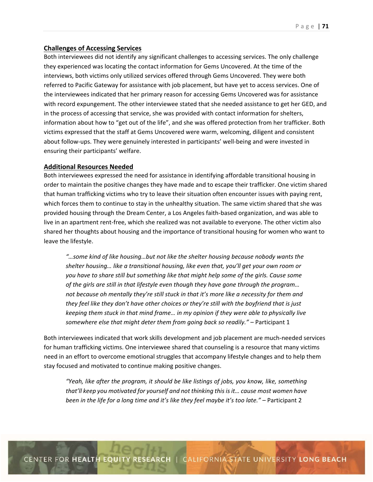## **Challenges of Accessing Services**

Both interviewees did not identify any significant challenges to accessing services. The only challenge they experienced was locating the contact information for Gems Uncovered. At the time of the interviews, both victims only utilized services offered through Gems Uncovered. They were both referred to Pacific Gateway for assistance with job placement, but have yet to access services. One of the interviewees indicated that her primary reason for accessing Gems Uncovered was for assistance with record expungement. The other interviewee stated that she needed assistance to get her GED, and in the process of accessing that service, she was provided with contact information for shelters, information about how to "get out of the life", and she was offered protection from her trafficker. Both victims expressed that the staff at Gems Uncovered were warm, welcoming, diligent and consistent about follow-ups. They were genuinely interested in participants' well-being and were invested in ensuring their participants' welfare.

### **Additional Resources Needed**

Both interviewees expressed the need for assistance in identifying affordable transitional housing in order to maintain the positive changes they have made and to escape their trafficker. One victim shared that human trafficking victims who try to leave their situation often encounter issues with paying rent, which forces them to continue to stay in the unhealthy situation. The same victim shared that she was provided housing through the Dream Center, a Los Angeles faith‐based organization, and was able to live in an apartment rent‐free, which she realized was not available to everyone. The other victim also shared her thoughts about housing and the importance of transitional housing for women who want to leave the lifestyle.

*"…some kind of like housing…but not like the shelter housing because nobody wants the shelter housing… like a transitional housing, like even that, you'll get your own room or you have to share still but something like that might help some of the girls. Cause some of the girls are still in that lifestyle even though they have gone through the program… not because oh mentally they're still stuck in that it's more like a necessity for them and they feel like they don't have other choices or they're still with the boyfriend that is just keeping them stuck in that mind frame… in my opinion if they were able to physically live somewhere else that might deter them from going back so readily."* – Participant 1

Both interviewees indicated that work skills development and job placement are much‐needed services for human trafficking victims. One interviewee shared that counseling is a resource that many victims need in an effort to overcome emotional struggles that accompany lifestyle changes and to help them stay focused and motivated to continue making positive changes.

*"Yeah, like after the program, it should be like listings of jobs, you know, like, something that'll keep you motivated for yourself and not thinking this is it… cause most women have been in the life for a long time and it's like they feel maybe it's too late."* – Participant 2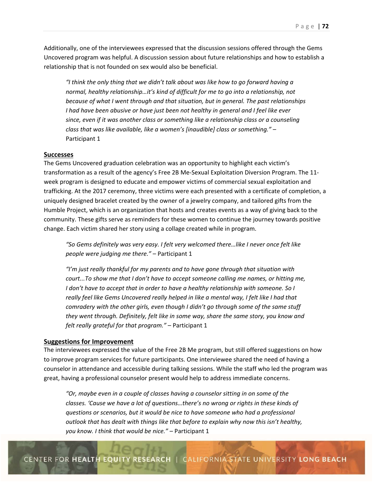Additionally, one of the interviewees expressed that the discussion sessions offered through the Gems Uncovered program was helpful. A discussion session about future relationships and how to establish a relationship that is not founded on sex would also be beneficial.

*"I think the only thing that we didn't talk about was like how to go forward having a normal, healthy relationship…it's kind of difficult for me to go into a relationship, not because of what I went through and that situation, but in general. The past relationships I had have been abusive or have just been not healthy in general and I feel like ever since, even if it was another class or something like a relationship class or a counseling class that was like available, like a women's [inaudible] class or something."* – Participant 1

#### **Successes**

The Gems Uncovered graduation celebration was an opportunity to highlight each victim's transformation as a result of the agency's Free 2B Me‐Sexual Exploitation Diversion Program. The 11‐ week program is designed to educate and empower victims of commercial sexual exploitation and trafficking. At the 2017 ceremony, three victims were each presented with a certificate of completion, a uniquely designed bracelet created by the owner of a jewelry company, and tailored gifts from the Humble Project, which is an organization that hosts and creates events as a way of giving back to the community. These gifts serve as reminders for these women to continue the journey towards positive change. Each victim shared her story using a collage created while in program.

*"So Gems definitely was very easy. I felt very welcomed there…like I never once felt like people were judging me there."* – Participant 1

*"I'm just really thankful for my parents and to have gone through that situation with court...To show me that I don't have to accept someone calling me names, or hitting me, I don't have to accept that in order to have a healthy relationship with someone. So I really feel like Gems Uncovered really helped in like a mental way, I felt like I had that comradery with the other girls, even though I didn't go through some of the same stuff they went through. Definitely, felt like in some way, share the same story, you know and felt really grateful for that program."* – Participant 1

## **Suggestions for Improvement**

The interviewees expressed the value of the Free 2B Me program, but still offered suggestions on how to improve program services for future participants. One interviewee shared the need of having a counselor in attendance and accessible during talking sessions. While the staff who led the program was great, having a professional counselor present would help to address immediate concerns.

*"Or, maybe even in a couple of classes having a counselor sitting in on some of the classes. 'Cause we have a lot of questions…there's no wrong or rights in these kinds of questions or scenarios, but it would be nice to have someone who had a professional outlook that has dealt with things like that before to explain why now this isn't healthy, you know. I think that would be nice."* – Participant 1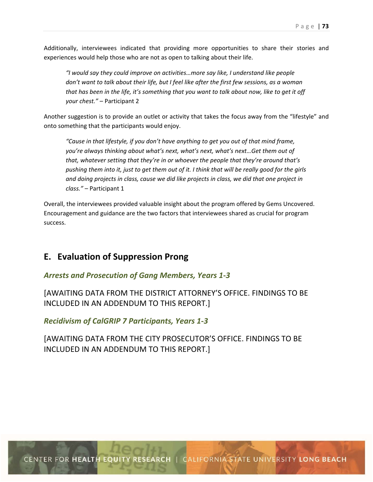Additionally, interviewees indicated that providing more opportunities to share their stories and experiences would help those who are not as open to talking about their life.

*"I would say they could improve on activities…more say like, I understand like people don't want to talk about their life, but I feel like after the first few sessions, as a woman that has been in the life, it's something that you want to talk about now, like to get it off your chest."* – Participant 2

Another suggestion is to provide an outlet or activity that takes the focus away from the "lifestyle" and onto something that the participants would enjoy.

*"Cause in that lifestyle, if you don't have anything to get you out of that mind frame, you're always thinking about what's next, what's next, what's next…Get them out of that, whatever setting that they're in or whoever the people that they're around that's pushing them into it, just to get them out of it. I think that will be really good for the girls and doing projects in class, cause we did like projects in class, we did that one project in class."* – Participant 1

Overall, the interviewees provided valuable insight about the program offered by Gems Uncovered. Encouragement and guidance are the two factors that interviewees shared as crucial for program success.

### **E. Evaluation of Suppression Prong**

### *Arrests and Prosecution of Gang Members, Years 1‐3*

[AWAITING DATA FROM THE DISTRICT ATTORNEY'S OFFICE. FINDINGS TO BE INCLUDED IN AN ADDENDUM TO THIS REPORT.]

*Recidivism of CalGRIP 7 Participants, Years 1‐3* 

[AWAITING DATA FROM THE CITY PROSECUTOR'S OFFICE. FINDINGS TO BE INCLUDED IN AN ADDENDUM TO THIS REPORT.]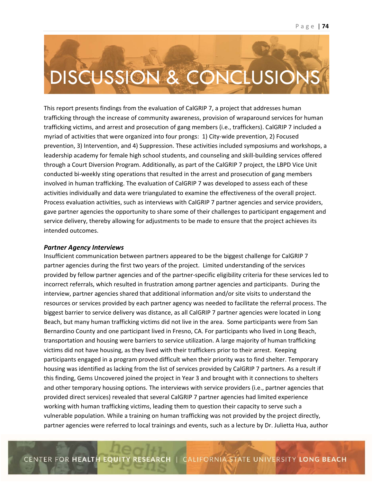## DISCUSSION & CONCLUSION

This report presents findings from the evaluation of CalGRIP 7, a project that addresses human trafficking through the increase of community awareness, provision of wraparound services for human trafficking victims, and arrest and prosecution of gang members (i.e., traffickers). CalGRIP 7 included a myriad of activities that were organized into four prongs: 1) City-wide prevention, 2) Focused prevention, 3) Intervention, and 4) Suppression. These activities included symposiums and workshops, a leadership academy for female high school students, and counseling and skill-building services offered through a Court Diversion Program. Additionally, as part of the CalGRIP 7 project, the LBPD Vice Unit conducted bi‐weekly sting operations that resulted in the arrest and prosecution of gang members involved in human trafficking. The evaluation of CalGRIP 7 was developed to assess each of these activities individually and data were triangulated to examine the effectiveness of the overall project. Process evaluation activities, such as interviews with CalGRIP 7 partner agencies and service providers, gave partner agencies the opportunity to share some of their challenges to participant engagement and service delivery, thereby allowing for adjustments to be made to ensure that the project achieves its intended outcomes.

### *Partner Agency Interviews*

Insufficient communication between partners appeared to be the biggest challenge for CalGRIP 7 partner agencies during the first two years of the project. Limited understanding of the services provided by fellow partner agencies and of the partner‐specific eligibility criteria for these services led to incorrect referrals, which resulted in frustration among partner agencies and participants. During the interview, partner agencies shared that additional information and/or site visits to understand the resources or services provided by each partner agency was needed to facilitate the referral process. The biggest barrier to service delivery was distance, as all CalGRIP 7 partner agencies were located in Long Beach, but many human trafficking victims did not live in the area. Some participants were from San Bernardino County and one participant lived in Fresno, CA. For participants who lived in Long Beach, transportation and housing were barriers to service utilization. A large majority of human trafficking victims did not have housing, as they lived with their traffickers prior to their arrest. Keeping participants engaged in a program proved difficult when their priority was to find shelter. Temporary housing was identified as lacking from the list of services provided by CalGRIP 7 partners. As a result if this finding, Gems Uncovered joined the project in Year 3 and brought with it connections to shelters and other temporary housing options. The interviews with service providers (i.e., partner agencies that provided direct services) revealed that several CalGRIP 7 partner agencies had limited experience working with human trafficking victims, leading them to question their capacity to serve such a vulnerable population. While a training on human trafficking was not provided by the project directly, partner agencies were referred to local trainings and events, such as a lecture by Dr. Julietta Hua, author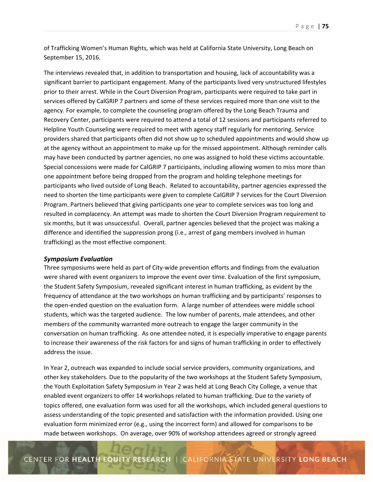of Trafficking Women's Human Rights, which was held at California State University, Long Beach on September 15, 2016.

The interviews revealed that, in addition to transportation and housing, lack of accountability was a significant barrier to participant engagement. Many of the participants lived very unstructured lifestyles prior to their arrest. While in the Court Diversion Program, participants were required to take part in services offered by CalGRIP 7 partners and some of these services required more than one visit to the agency. For example, to complete the counseling program offered by the Long Beach Trauma and Recovery Center, participants were required to attend a total of 12 sessions and participants referred to Helpline Youth Counseling were required to meet with agency staff regularly for mentoring. Service providers shared that participants often did not show up to scheduled appointments and would show up at the agency without an appointment to make up for the missed appointment. Although reminder calls may have been conducted by partner agencies, no one was assigned to hold these victims accountable. Special concessions were made for CalGRIP 7 participants, including allowing women to miss more than one appointment before being dropped from the program and holding telephone meetings for participants who lived outside of Long Beach. Related to accountability, partner agencies expressed the need to shorten the time participants were given to complete CalGRIP 7 services for the Court Diversion Program. Partners believed that giving participants one year to complete services was too long and resulted in complacency. An attempt was made to shorten the Court Diversion Program requirement to six months, but it was unsuccessful. Overall, partner agencies believed that the project was making a difference and identified the suppression prong (i.e., arrest of gang members involved in human trafficking) as the most effective component.

### *Symposium Evaluation*

Three symposiums were held as part of City-wide prevention efforts and findings from the evaluation were shared with event organizers to improve the event over time. Evaluation of the first symposium, the Student Safety Symposium, revealed significant interest in human trafficking, as evident by the frequency of attendance at the two workshops on human trafficking and by participants' responses to the open-ended question on the evaluation form. A large number of attendees were middle school students, which was the targeted audience. The low number of parents, male attendees, and other members of the community warranted more outreach to engage the larger community in the conversation on human trafficking. As one attendee noted, it is especially imperative to engage parents to increase their awareness of the risk factors for and signs of human trafficking in order to effectively address the issue.

In Year 2, outreach was expanded to include social service providers, community organizations, and other key stakeholders. Due to the popularity of the two workshops at the Student Safety Symposium, the Youth Exploitation Safety Symposium in Year 2 was held at Long Beach City College, a venue that enabled event organizers to offer 14 workshops related to human trafficking. Due to the variety of topics offered, one evaluation form was used for all the workshops, which included general questions to assess understanding of the topic presented and satisfaction with the information provided. Using one evaluation form minimized error (e.g., using the incorrect form) and allowed for comparisons to be made between workshops. On average, over 90% of workshop attendees agreed or strongly agreed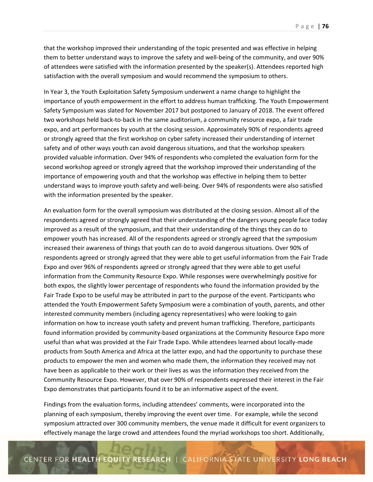that the workshop improved their understanding of the topic presented and was effective in helping them to better understand ways to improve the safety and well‐being of the community, and over 90% of attendees were satisfied with the information presented by the speaker(s). Attendees reported high satisfaction with the overall symposium and would recommend the symposium to others.

In Year 3, the Youth Exploitation Safety Symposium underwent a name change to highlight the importance of youth empowerment in the effort to address human trafficking. The Youth Empowerment Safety Symposium was slated for November 2017 but postponed to January of 2018. The event offered two workshops held back‐to‐back in the same auditorium, a community resource expo, a fair trade expo, and art performances by youth at the closing session. Approximately 90% of respondents agreed or strongly agreed that the first workshop on cyber safety increased their understanding of internet safety and of other ways youth can avoid dangerous situations, and that the workshop speakers provided valuable information. Over 94% of respondents who completed the evaluation form for the second workshop agreed or strongly agreed that the workshop improved their understanding of the importance of empowering youth and that the workshop was effective in helping them to better understand ways to improve youth safety and well‐being. Over 94% of respondents were also satisfied with the information presented by the speaker.

An evaluation form for the overall symposium was distributed at the closing session. Almost all of the respondents agreed or strongly agreed that their understanding of the dangers young people face today improved as a result of the symposium, and that their understanding of the things they can do to empower youth has increased. All of the respondents agreed or strongly agreed that the symposium increased their awareness of things that youth can do to avoid dangerous situations. Over 90% of respondents agreed or strongly agreed that they were able to get useful information from the Fair Trade Expo and over 96% of respondents agreed or strongly agreed that they were able to get useful information from the Community Resource Expo. While responses were overwhelmingly positive for both expos, the slightly lower percentage of respondents who found the information provided by the Fair Trade Expo to be useful may be attributed in part to the purpose of the event. Participants who attended the Youth Empowerment Safety Symposium were a combination of youth, parents, and other interested community members (including agency representatives) who were looking to gain information on how to increase youth safety and prevent human trafficking. Therefore, participants found information provided by community‐based organizations at the Community Resource Expo more useful than what was provided at the Fair Trade Expo. While attendees learned about locally‐made products from South America and Africa at the latter expo, and had the opportunity to purchase these products to empower the men and women who made them, the information they received may not have been as applicable to their work or their lives as was the information they received from the Community Resource Expo. However, that over 90% of respondents expressed their interest in the Fair Expo demonstrates that participants found it to be an informative aspect of the event.

Findings from the evaluation forms, including attendees' comments, were incorporated into the planning of each symposium, thereby improving the event over time. For example, while the second symposium attracted over 300 community members, the venue made it difficult for event organizers to effectively manage the large crowd and attendees found the myriad workshops too short. Additionally,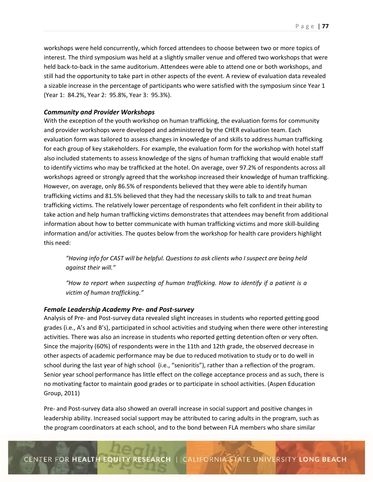workshops were held concurrently, which forced attendees to choose between two or more topics of interest. The third symposium was held at a slightly smaller venue and offered two workshops that were held back-to-back in the same auditorium. Attendees were able to attend one or both workshops, and still had the opportunity to take part in other aspects of the event. A review of evaluation data revealed a sizable increase in the percentage of participants who were satisfied with the symposium since Year 1 (Year 1: 84.2%, Year 2: 95.8%, Year 3: 95.3%).

### *Community and Provider Workshops*

With the exception of the youth workshop on human trafficking, the evaluation forms for community and provider workshops were developed and administered by the CHER evaluation team. Each evaluation form was tailored to assess changes in knowledge of and skills to address human trafficking for each group of key stakeholders. For example, the evaluation form for the workshop with hotel staff also included statements to assess knowledge of the signs of human trafficking that would enable staff to identify victims who may be trafficked at the hotel. On average, over 97.2% of respondents across all workshops agreed or strongly agreed that the workshop increased their knowledge of human trafficking. However, on average, only 86.5% of respondents believed that they were able to identify human trafficking victims and 81.5% believed that they had the necessary skills to talk to and treat human trafficking victims. The relatively lower percentage of respondents who felt confident in their ability to take action and help human trafficking victims demonstrates that attendees may benefit from additional information about how to better communicate with human trafficking victims and more skill-building information and/or activities. The quotes below from the workshop for health care providers highlight this need:

*"Having info for CAST will be helpful. Questions to ask clients who I suspect are being held against their will."* 

*"How to report when suspecting of human trafficking. How to identify if a patient is a victim of human trafficking."* 

### *Female Leadership Academy Pre‐ and Post‐survey*

Analysis of Pre‐ and Post‐survey data revealed slight increases in students who reported getting good grades (i.e., A's and B's), participated in school activities and studying when there were other interesting activities. There was also an increase in students who reported getting detention often or very often. Since the majority (60%) of respondents were in the 11th and 12th grade, the observed decrease in other aspects of academic performance may be due to reduced motivation to study or to do well in school during the last year of high school (i.e., "senioritis"), rather than a reflection of the program. Senior year school performance has little effect on the college acceptance process and as such, there is no motivating factor to maintain good grades or to participate in school activities. (Aspen Education Group, 2011)

Pre‐ and Post‐survey data also showed an overall increase in social support and positive changes in leadership ability. Increased social support may be attributed to caring adults in the program, such as the program coordinators at each school, and to the bond between FLA members who share similar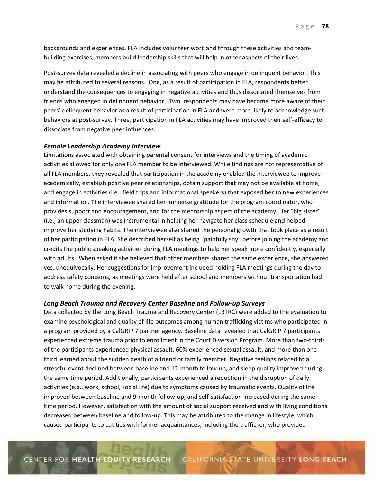backgrounds and experiences. FLA includes volunteer work and through these activities and team‐ building exercises, members build leadership skills that will help in other aspects of their lives.

Post-survey data revealed a decline in associating with peers who engage in delinquent behavior. This may be attributed to several reasons. One, as a result of participation in FLA, respondents better understand the consequences to engaging in negative activities and thus dissociated themselves from friends who engaged in delinquent behavior. Two, respondents may have become more aware of their peers' delinquent behavior as a result of participation in FLA and were more likely to acknowledge such behaviors at post-survey. Three, participation in FLA activities may have improved their self-efficacy to dissociate from negative peer influences.

### *Female Leadership Academy Interview*

Limitations associated with obtaining parental consent for interviews and the timing of academic activities allowed for only one FLA member to be interviewed. While findings are not representative of all FLA members, they revealed that participation in the academy enabled the interviewee to improve academically, establish positive peer relationships, obtain support that may not be available at home, and engage in activities (i.e., field trips and informational speakers) that exposed her to new experiences and information. The interviewee shared her immense gratitude for the program coordinator, who provides support and encouragement, and for the mentorship aspect of the academy. Her "big sister" (i.e., an upper classman) was instrumental in helping her navigate her class schedule and helped improve her studying habits. The interviewee also shared the personal growth that took place as a result of her participation in FLA. She described herself as being "painfully shy" before joining the academy and credits the public speaking activities during FLA meetings to help her speak more confidently, especially with adults. When asked if she believed that other members shared the same experience, she answered yes, unequivocally. Her suggestions for improvement included holding FLA meetings during the day to address safety concerns, as meetings were held after school and members without transportation had to walk home during the evening.

### *Long Beach Trauma and Recovery Center Baseline and Follow‐up Surveys*

Data collected by the Long Beach Trauma and Recovery Center (LBTRC) were added to the evaluation to examine psychological and quality of life outcomes among human trafficking victims who participated in a program provided by a CalGRIP 7 partner agency. Baseline data revealed that CalGRIP 7 participants experienced extreme trauma prior to enrollment in the Court Diversion Program. More than two-thirds of the participants experienced physical assault, 60% experienced sexual assault, and more than one‐ third learned about the sudden death of a friend or family member. Negative feelings related to a stressful event declined between baseline and 12‐month follow‐up, and sleep quality improved during the same time period. Additionally, participants experienced a reduction in the disruption of daily activities (e.g., work, school, social life) due to symptoms caused by traumatic events. Quality of life improved between baseline and 9‐month follow‐up, and self‐satisfaction increased during the same time period. However, satisfaction with the amount of social support received and with living conditions decreased between baseline and follow‐up. This may be attributed to the change in lifestyle, which caused participants to cut ties with former acquaintances, including the trafficker, who provided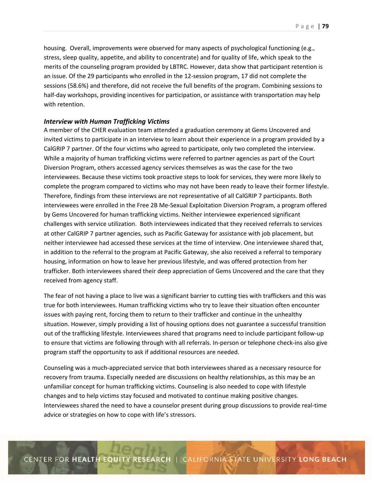housing. Overall, improvements were observed for many aspects of psychological functioning (e.g., stress, sleep quality, appetite, and ability to concentrate) and for quality of life, which speak to the merits of the counseling program provided by LBTRC. However, data show that participant retention is an issue. Of the 29 participants who enrolled in the 12‐session program, 17 did not complete the sessions (58.6%) and therefore, did not receive the full benefits of the program. Combining sessions to half-day workshops, providing incentives for participation, or assistance with transportation may help with retention.

### *Interview with Human Trafficking Victims*

A member of the CHER evaluation team attended a graduation ceremony at Gems Uncovered and invited victims to participate in an interview to learn about their experience in a program provided by a CalGRIP 7 partner. Of the four victims who agreed to participate, only two completed the interview. While a majority of human trafficking victims were referred to partner agencies as part of the Court Diversion Program, others accessed agency services themselves as was the case for the two interviewees. Because these victims took proactive steps to look for services, they were more likely to complete the program compared to victims who may not have been ready to leave their former lifestyle. Therefore, findings from these interviews are not representative of all CalGRIP 7 participants. Both interviewees were enrolled in the Free 2B Me‐Sexual Exploitation Diversion Program, a program offered by Gems Uncovered for human trafficking victims. Neither interviewee experienced significant challenges with service utilization. Both interviewees indicated that they received referrals to services at other CalGRIP 7 partner agencies, such as Pacific Gateway for assistance with job placement, but neither interviewee had accessed these services at the time of interview. One interviewee shared that, in addition to the referral to the program at Pacific Gateway, she also received a referral to temporary housing, information on how to leave her previous lifestyle, and was offered protection from her trafficker. Both interviewees shared their deep appreciation of Gems Uncovered and the care that they received from agency staff.

The fear of not having a place to live was a significant barrier to cutting ties with traffickers and this was true for both interviewees. Human trafficking victims who try to leave their situation often encounter issues with paying rent, forcing them to return to their trafficker and continue in the unhealthy situation. However, simply providing a list of housing options does not guarantee a successful transition out of the trafficking lifestyle. Interviewees shared that programs need to include participant follow‐up to ensure that victims are following through with all referrals. In‐person or telephone check‐ins also give program staff the opportunity to ask if additional resources are needed.

Counseling was a much‐appreciated service that both interviewees shared as a necessary resource for recovery from trauma. Especially needed are discussions on healthy relationships, as this may be an unfamiliar concept for human trafficking victims. Counseling is also needed to cope with lifestyle changes and to help victims stay focused and motivated to continue making positive changes. Interviewees shared the need to have a counselor present during group discussions to provide real‐time advice or strategies on how to cope with life's stressors.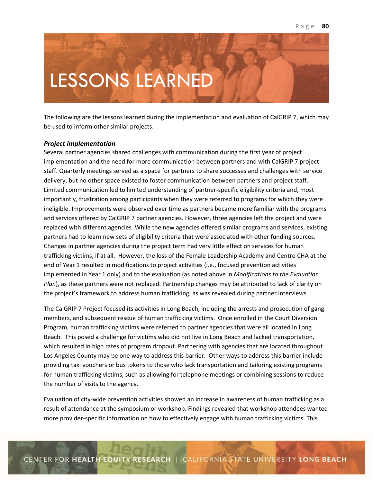### LESSONS LEARNED **AND ACCEPTANCE AND ACCEPTANCE**

The following are the lessons learned during the implementation and evaluation of CalGRIP 7, which may be used to inform other similar projects.

### *Project implementation*

Several partner agencies shared challenges with communication during the first year of project implementation and the need for more communication between partners and with CalGRIP 7 project staff. Quarterly meetings served as a space for partners to share successes and challenges with service delivery, but no other space existed to foster communication between partners and project staff. Limited communication led to limited understanding of partner‐specific eligibility criteria and, most importantly, frustration among participants when they were referred to programs for which they were ineligible. Improvements were observed over time as partners became more familiar with the programs and services offered by CalGRIP 7 partner agencies. However, three agencies left the project and were replaced with different agencies. While the new agencies offered similar programs and services, existing partners had to learn new sets of eligibility criteria that were associated with other funding sources. Changes in partner agencies during the project term had very little effect on services for human trafficking victims, if at all. However, the loss of the Female Leadership Academy and Centro CHA at the end of Year 1 resulted in modifications to project activities (i.e., focused prevention activities implemented in Year 1 only) and to the evaluation (as noted above in *Modifications to the Evaluation Plan*), as these partners were not replaced. Partnership changes may be attributed to lack of clarity on the project's framework to address human trafficking, as was revealed during partner interviews.

The CalGRIP 7 Project focused its activities in Long Beach, including the arrests and prosecution of gang members, and subsequent rescue of human trafficking victims. Once enrolled in the Court Diversion Program, human trafficking victims were referred to partner agencies that were all located in Long Beach. This posed a challenge for victims who did not live in Long Beach and lacked transportation, which resulted in high rates of program dropout. Partnering with agencies that are located throughout Los Angeles County may be one way to address this barrier. Other ways to address this barrier include providing taxi vouchers or bus tokens to those who lack transportation and tailoring existing programs for human trafficking victims, such as allowing for telephone meetings or combining sessions to reduce the number of visits to the agency.

Evaluation of city‐wide prevention activities showed an increase in awareness of human trafficking as a result of attendance at the symposium or workshop. Findings revealed that workshop attendees wanted more provider‐specific information on how to effectively engage with human trafficking victims. This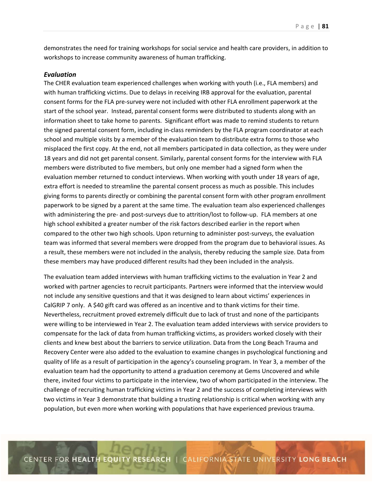demonstrates the need for training workshops for social service and health care providers, in addition to workshops to increase community awareness of human trafficking.

### *Evaluation*

The CHER evaluation team experienced challenges when working with youth (i.e., FLA members) and with human trafficking victims. Due to delays in receiving IRB approval for the evaluation, parental consent forms for the FLA pre‐survey were not included with other FLA enrollment paperwork at the start of the school year. Instead, parental consent forms were distributed to students along with an information sheet to take home to parents. Significant effort was made to remind students to return the signed parental consent form, including in‐class reminders by the FLA program coordinator at each school and multiple visits by a member of the evaluation team to distribute extra forms to those who misplaced the first copy. At the end, not all members participated in data collection, as they were under 18 years and did not get parental consent. Similarly, parental consent forms for the interview with FLA members were distributed to five members, but only one member had a signed form when the evaluation member returned to conduct interviews. When working with youth under 18 years of age, extra effort is needed to streamline the parental consent process as much as possible. This includes giving forms to parents directly or combining the parental consent form with other program enrollment paperwork to be signed by a parent at the same time. The evaluation team also experienced challenges with administering the pre- and post-surveys due to attrition/lost to follow-up. FLA members at one high school exhibited a greater number of the risk factors described earlier in the report when compared to the other two high schools. Upon returning to administer post-surveys, the evaluation team was informed that several members were dropped from the program due to behavioral issues. As a result, these members were not included in the analysis, thereby reducing the sample size. Data from these members may have produced different results had they been included in the analysis.

The evaluation team added interviews with human trafficking victims to the evaluation in Year 2 and worked with partner agencies to recruit participants. Partners were informed that the interview would not include any sensitive questions and that it was designed to learn about victims' experiences in CalGRIP 7 only. A \$40 gift card was offered as an incentive and to thank victims for their time. Nevertheless, recruitment proved extremely difficult due to lack of trust and none of the participants were willing to be interviewed in Year 2. The evaluation team added interviews with service providers to compensate for the lack of data from human trafficking victims, as providers worked closely with their clients and knew best about the barriers to service utilization. Data from the Long Beach Trauma and Recovery Center were also added to the evaluation to examine changes in psychological functioning and quality of life as a result of participation in the agency's counseling program. In Year 3, a member of the evaluation team had the opportunity to attend a graduation ceremony at Gems Uncovered and while there, invited four victims to participate in the interview, two of whom participated in the interview. The challenge of recruiting human trafficking victims in Year 2 and the success of completing interviews with two victims in Year 3 demonstrate that building a trusting relationship is critical when working with any population, but even more when working with populations that have experienced previous trauma.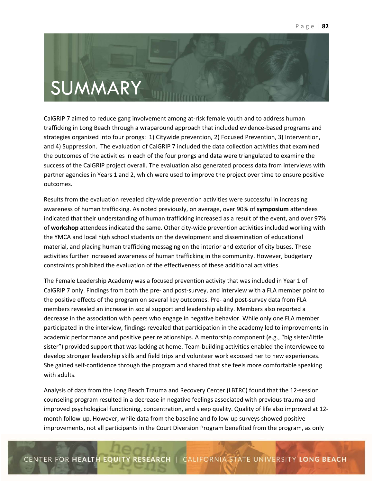# SUMMARY

CalGRIP 7 aimed to reduce gang involvement among at‐risk female youth and to address human trafficking in Long Beach through a wraparound approach that included evidence‐based programs and strategies organized into four prongs: 1) Citywide prevention, 2) Focused Prevention, 3) Intervention, and 4) Suppression. The evaluation of CalGRIP 7 included the data collection activities that examined the outcomes of the activities in each of the four prongs and data were triangulated to examine the success of the CalGRIP project overall. The evaluation also generated process data from interviews with partner agencies in Years 1 and 2, which were used to improve the project over time to ensure positive outcomes.

Results from the evaluation revealed city‐wide prevention activities were successful in increasing awareness of human trafficking. As noted previously, on average, over 90% of **symposium** attendees indicated that their understanding of human trafficking increased as a result of the event, and over 97% of **workshop** attendees indicated the same. Other city‐wide prevention activities included working with the YMCA and local high school students on the development and dissemination of educational material, and placing human trafficking messaging on the interior and exterior of city buses. These activities further increased awareness of human trafficking in the community. However, budgetary constraints prohibited the evaluation of the effectiveness of these additional activities.

The Female Leadership Academy was a focused prevention activity that was included in Year 1 of CalGRIP 7 only. Findings from both the pre‐ and post‐survey, and interview with a FLA member point to the positive effects of the program on several key outcomes. Pre- and post-survey data from FLA members revealed an increase in social support and leadership ability. Members also reported a decrease in the association with peers who engage in negative behavior. While only one FLA member participated in the interview, findings revealed that participation in the academy led to improvements in academic performance and positive peer relationships. A mentorship component (e.g., "big sister/little sister") provided support that was lacking at home. Team-building activities enabled the interviewee to develop stronger leadership skills and field trips and volunteer work exposed her to new experiences. She gained self‐confidence through the program and shared that she feels more comfortable speaking with adults.

Analysis of data from the Long Beach Trauma and Recovery Center (LBTRC) found that the 12‐session counseling program resulted in a decrease in negative feelings associated with previous trauma and improved psychological functioning, concentration, and sleep quality. Quality of life also improved at 12‐ month follow-up. However, while data from the baseline and follow-up surveys showed positive improvements, not all participants in the Court Diversion Program benefited from the program, as only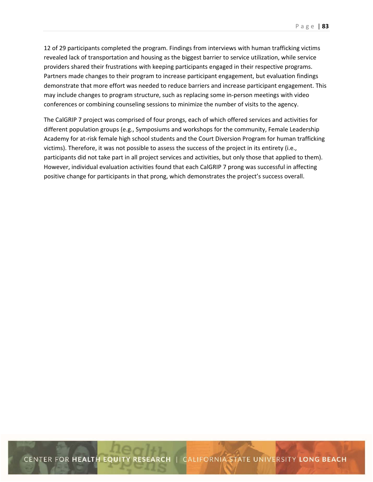12 of 29 participants completed the program. Findings from interviews with human trafficking victims revealed lack of transportation and housing as the biggest barrier to service utilization, while service providers shared their frustrations with keeping participants engaged in their respective programs. Partners made changes to their program to increase participant engagement, but evaluation findings demonstrate that more effort was needed to reduce barriers and increase participant engagement. This may include changes to program structure, such as replacing some in‐person meetings with video conferences or combining counseling sessions to minimize the number of visits to the agency.

The CalGRIP 7 project was comprised of four prongs, each of which offered services and activities for different population groups (e.g., Symposiums and workshops for the community, Female Leadership Academy for at‐risk female high school students and the Court Diversion Program for human trafficking victims). Therefore, it was not possible to assess the success of the project in its entirety (i.e., participants did not take part in all project services and activities, but only those that applied to them). However, individual evaluation activities found that each CalGRIP 7 prong was successful in affecting positive change for participants in that prong, which demonstrates the project's success overall.